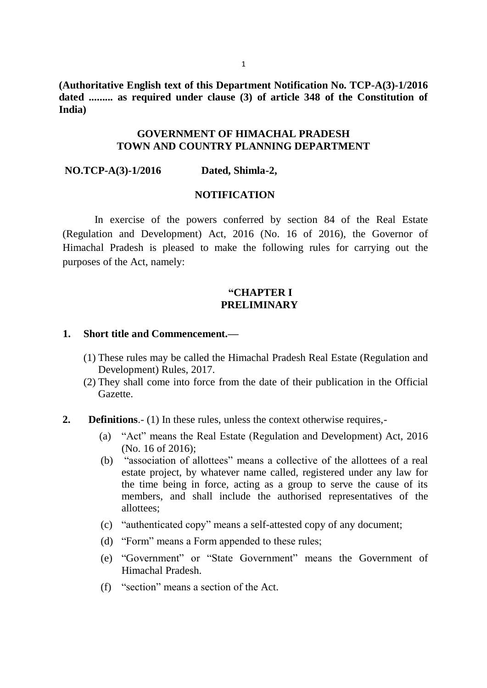**(Authoritative English text of this Department Notification No. TCP-A(3)-1/2016 dated ......... as required under clause (3) of article 348 of the Constitution of India)**

### **GOVERNMENT OF HIMACHAL PRADESH TOWN AND COUNTRY PLANNING DEPARTMENT**

**NO.TCP-A(3)-1/2016 Dated, Shimla-2,**

#### **NOTIFICATION**

 In exercise of the powers conferred by section 84 of the Real Estate (Regulation and Development) Act, 2016 (No. 16 of 2016), the Governor of Himachal Pradesh is pleased to make the following rules for carrying out the purposes of the Act, namely:

### **"CHAPTER I PRELIMINARY**

#### **1. Short title and Commencement.—**

- (1) These rules may be called the Himachal Pradesh Real Estate (Regulation and Development) Rules, 2017.
- (2) They shall come into force from the date of their publication in the Official Gazette.
- **2. Definitions**.- (1) In these rules, unless the context otherwise requires,-
	- (a) "Act" means the Real Estate (Regulation and Development) Act, 2016 (No. 16 of 2016);
	- (b) "association of allottees" means a collective of the allottees of a real estate project, by whatever name called, registered under any law for the time being in force, acting as a group to serve the cause of its members, and shall include the authorised representatives of the allottees;
	- (c) "authenticated copy" means a self-attested copy of any document;
	- (d) "Form" means a Form appended to these rules;
	- (e) "Government" or "State Government" means the Government of Himachal Pradesh.
	- (f) "section" means a section of the Act.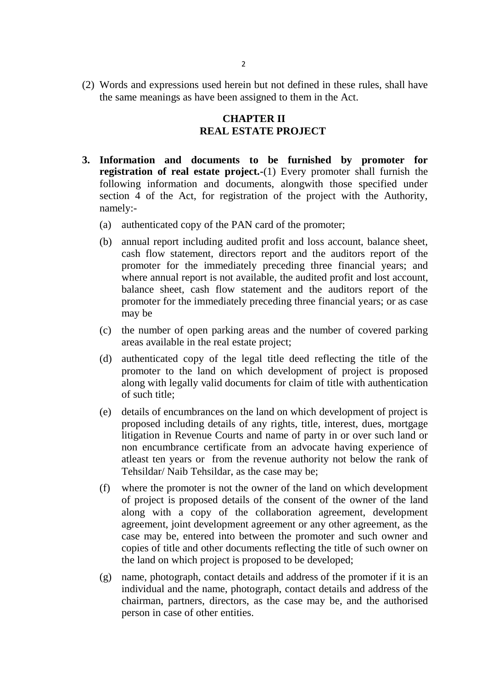(2) Words and expressions used herein but not defined in these rules, shall have the same meanings as have been assigned to them in the Act.

# **CHAPTER II REAL ESTATE PROJECT**

- **3. Information and documents to be furnished by promoter for registration of real estate project.-**(1) Every promoter shall furnish the following information and documents, alongwith those specified under section 4 of the Act, for registration of the project with the Authority, namely:-
	- (a) authenticated copy of the PAN card of the promoter;
	- (b) annual report including audited profit and loss account, balance sheet, cash flow statement, directors report and the auditors report of the promoter for the immediately preceding three financial years; and where annual report is not available, the audited profit and lost account, balance sheet, cash flow statement and the auditors report of the promoter for the immediately preceding three financial years; or as case may be
	- (c) the number of open parking areas and the number of covered parking areas available in the real estate project;
	- (d) authenticated copy of the legal title deed reflecting the title of the promoter to the land on which development of project is proposed along with legally valid documents for claim of title with authentication of such title;
	- (e) details of encumbrances on the land on which development of project is proposed including details of any rights, title, interest, dues, mortgage litigation in Revenue Courts and name of party in or over such land or non encumbrance certificate from an advocate having experience of atleast ten years or from the revenue authority not below the rank of Tehsildar/ Naib Tehsildar, as the case may be;
	- (f) where the promoter is not the owner of the land on which development of project is proposed details of the consent of the owner of the land along with a copy of the collaboration agreement, development agreement, joint development agreement or any other agreement, as the case may be, entered into between the promoter and such owner and copies of title and other documents reflecting the title of such owner on the land on which project is proposed to be developed;
	- (g) name, photograph, contact details and address of the promoter if it is an individual and the name, photograph, contact details and address of the chairman, partners, directors, as the case may be, and the authorised person in case of other entities.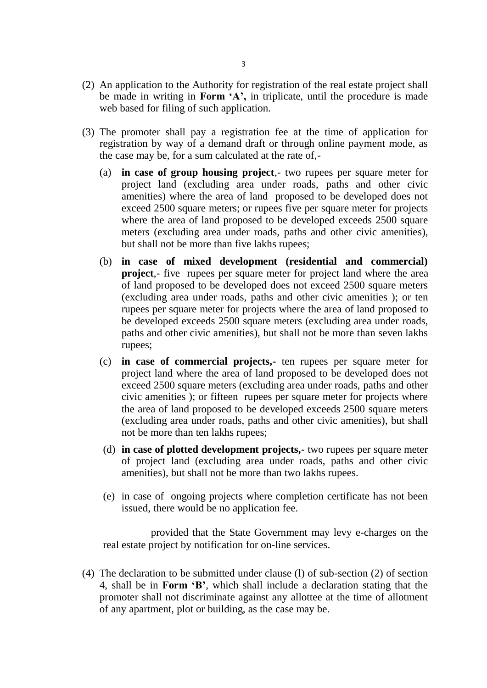- (2) An application to the Authority for registration of the real estate project shall be made in writing in **Form 'A',** in triplicate, until the procedure is made web based for filing of such application.
- (3) The promoter shall pay a registration fee at the time of application for registration by way of a demand draft or through online payment mode, as the case may be, for a sum calculated at the rate of,-
	- (a) **in case of group housing project**,- two rupees per square meter for project land (excluding area under roads, paths and other civic amenities) where the area of land proposed to be developed does not exceed 2500 square meters; or rupees five per square meter for projects where the area of land proposed to be developed exceeds 2500 square meters (excluding area under roads, paths and other civic amenities), but shall not be more than five lakhs rupees;
	- (b) **in case of mixed development (residential and commercial) project**,- five rupees per square meter for project land where the area of land proposed to be developed does not exceed 2500 square meters (excluding area under roads, paths and other civic amenities ); or ten rupees per square meter for projects where the area of land proposed to be developed exceeds 2500 square meters (excluding area under roads, paths and other civic amenities), but shall not be more than seven lakhs rupees;
	- (c) **in case of commercial projects,-** ten rupees per square meter for project land where the area of land proposed to be developed does not exceed 2500 square meters (excluding area under roads, paths and other civic amenities ); or fifteen rupees per square meter for projects where the area of land proposed to be developed exceeds 2500 square meters (excluding area under roads, paths and other civic amenities), but shall not be more than ten lakhs rupees;
	- (d) **in case of plotted development projects,-** two rupees per square meter of project land (excluding area under roads, paths and other civic amenities), but shall not be more than two lakhs rupees.
	- (e) in case of ongoing projects where completion certificate has not been issued, there would be no application fee.

 provided that the State Government may levy e-charges on the real estate project by notification for on-line services.

(4) The declaration to be submitted under clause (l) of sub-section (2) of section 4, shall be in **Form 'B'**, which shall include a declaration stating that the promoter shall not discriminate against any allottee at the time of allotment of any apartment, plot or building, as the case may be.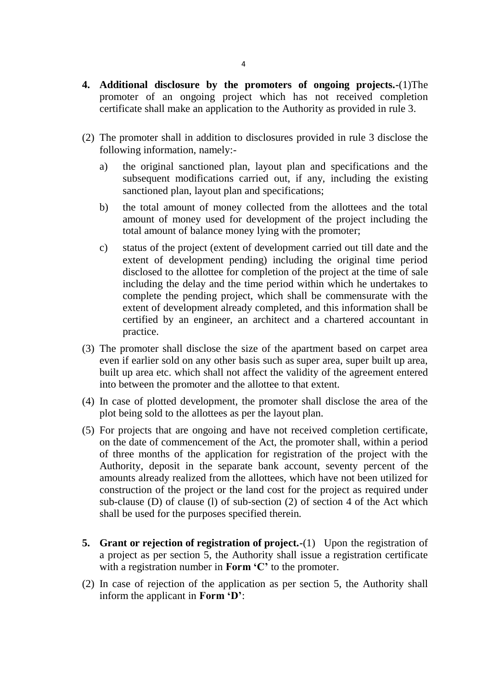- **4. Additional disclosure by the promoters of ongoing projects.-**(1)The promoter of an ongoing project which has not received completion certificate shall make an application to the Authority as provided in rule 3.
- (2) The promoter shall in addition to disclosures provided in rule 3 disclose the following information, namely:
	- a) the original sanctioned plan, layout plan and specifications and the subsequent modifications carried out, if any, including the existing sanctioned plan, layout plan and specifications;
	- b) the total amount of money collected from the allottees and the total amount of money used for development of the project including the total amount of balance money lying with the promoter;
	- c) status of the project (extent of development carried out till date and the extent of development pending) including the original time period disclosed to the allottee for completion of the project at the time of sale including the delay and the time period within which he undertakes to complete the pending project, which shall be commensurate with the extent of development already completed, and this information shall be certified by an engineer, an architect and a chartered accountant in practice.
- (3) The promoter shall disclose the size of the apartment based on carpet area even if earlier sold on any other basis such as super area, super built up area, built up area etc. which shall not affect the validity of the agreement entered into between the promoter and the allottee to that extent.
- (4) In case of plotted development, the promoter shall disclose the area of the plot being sold to the allottees as per the layout plan.
- (5) For projects that are ongoing and have not received completion certificate, on the date of commencement of the Act, the promoter shall, within a period of three months of the application for registration of the project with the Authority, deposit in the separate bank account, seventy percent of the amounts already realized from the allottees, which have not been utilized for construction of the project or the land cost for the project as required under sub-clause (D) of clause (l) of sub-section (2) of section 4 of the Act which shall be used for the purposes specified therein.
- **5. Grant or rejection of registration of project.-**(1) Upon the registration of a project as per section 5, the Authority shall issue a registration certificate with a registration number in **Form 'C'** to the promoter.
- (2) In case of rejection of the application as per section 5, the Authority shall inform the applicant in **Form 'D'**: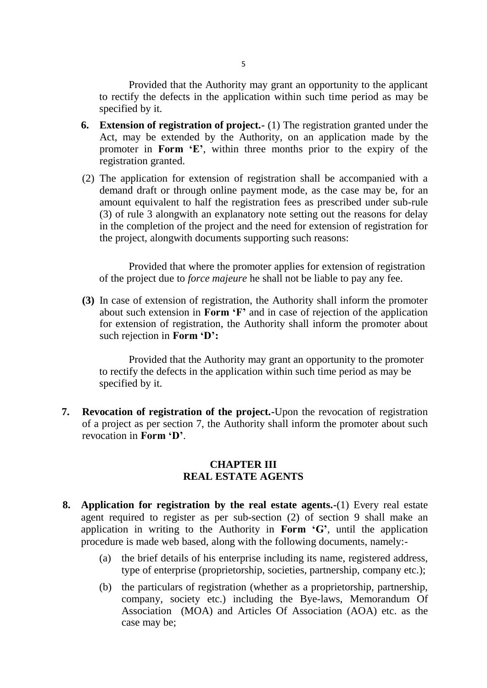Provided that the Authority may grant an opportunity to the applicant to rectify the defects in the application within such time period as may be specified by it.

- **6. Extension of registration of project.-** (1) The registration granted under the Act, may be extended by the Authority, on an application made by the promoter in **Form 'E'**, within three months prior to the expiry of the registration granted.
- (2) The application for extension of registration shall be accompanied with a demand draft or through online payment mode, as the case may be, for an amount equivalent to half the registration fees as prescribed under sub-rule (3) of rule 3 alongwith an explanatory note setting out the reasons for delay in the completion of the project and the need for extension of registration for the project, alongwith documents supporting such reasons:

Provided that where the promoter applies for extension of registration of the project due to *force majeure* he shall not be liable to pay any fee.

**(3)** In case of extension of registration, the Authority shall inform the promoter about such extension in **Form 'F'** and in case of rejection of the application for extension of registration, the Authority shall inform the promoter about such rejection in **Form 'D':**

Provided that the Authority may grant an opportunity to the promoter to rectify the defects in the application within such time period as may be specified by it.

**7. Revocation of registration of the project.-**Upon the revocation of registration of a project as per section 7, the Authority shall inform the promoter about such revocation in **Form 'D'**.

### **CHAPTER III REAL ESTATE AGENTS**

- **8. Application for registration by the real estate agents.-**(1) Every real estate agent required to register as per sub-section (2) of section 9 shall make an application in writing to the Authority in **Form 'G'**, until the application procedure is made web based, along with the following documents, namely:-
	- (a) the brief details of his enterprise including its name, registered address, type of enterprise (proprietorship, societies, partnership, company etc.);
	- (b) the particulars of registration (whether as a proprietorship, partnership, company, society etc.) including the Bye-laws, Memorandum Of Association (MOA) and Articles Of Association (AOA) etc. as the case may be;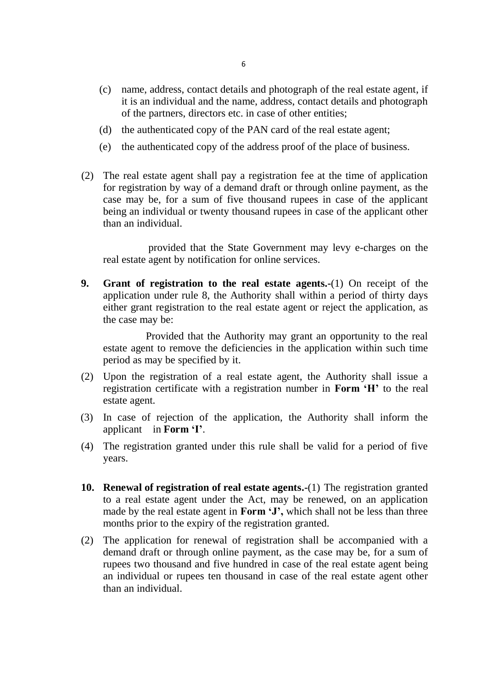- (c) name, address, contact details and photograph of the real estate agent, if it is an individual and the name, address, contact details and photograph of the partners, directors etc. in case of other entities;
- (d) the authenticated copy of the PAN card of the real estate agent;
- (e) the authenticated copy of the address proof of the place of business.
- (2) The real estate agent shall pay a registration fee at the time of application for registration by way of a demand draft or through online payment, as the case may be, for a sum of five thousand rupees in case of the applicant being an individual or twenty thousand rupees in case of the applicant other than an individual.

provided that the State Government may levy e-charges on the real estate agent by notification for online services.

**9. Grant of registration to the real estate agents.-**(1) On receipt of the application under rule 8, the Authority shall within a period of thirty days either grant registration to the real estate agent or reject the application, as the case may be:

 Provided that the Authority may grant an opportunity to the real estate agent to remove the deficiencies in the application within such time period as may be specified by it.

- (2) Upon the registration of a real estate agent, the Authority shall issue a registration certificate with a registration number in **Form 'H'** to the real estate agent.
- (3) In case of rejection of the application, the Authority shall inform the applicant in **Form 'I'**.
- (4) The registration granted under this rule shall be valid for a period of five years.
- **10. Renewal of registration of real estate agents.-**(1) The registration granted to a real estate agent under the Act, may be renewed, on an application made by the real estate agent in **Form 'J',** which shall not be less than three months prior to the expiry of the registration granted.
- (2) The application for renewal of registration shall be accompanied with a demand draft or through online payment, as the case may be, for a sum of rupees two thousand and five hundred in case of the real estate agent being an individual or rupees ten thousand in case of the real estate agent other than an individual.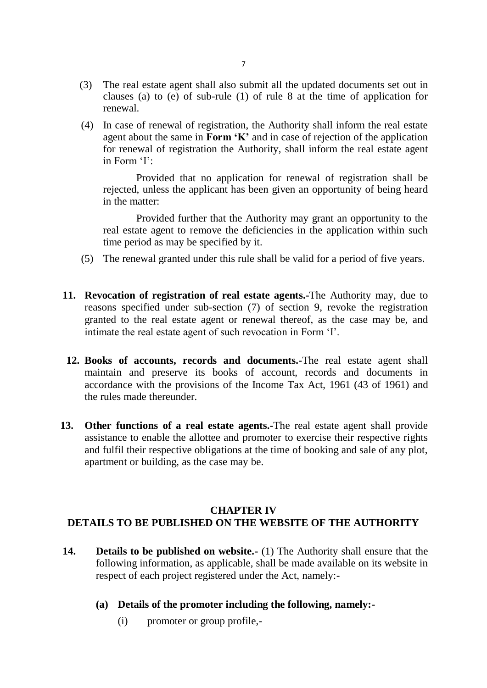- (3) The real estate agent shall also submit all the updated documents set out in clauses (a) to (e) of sub-rule (1) of rule 8 at the time of application for renewal.
- (4) In case of renewal of registration, the Authority shall inform the real estate agent about the same in **Form 'K'** and in case of rejection of the application for renewal of registration the Authority, shall inform the real estate agent in Form 'I':

Provided that no application for renewal of registration shall be rejected, unless the applicant has been given an opportunity of being heard in the matter:

Provided further that the Authority may grant an opportunity to the real estate agent to remove the deficiencies in the application within such time period as may be specified by it.

- (5) The renewal granted under this rule shall be valid for a period of five years.
- **11. Revocation of registration of real estate agents.-**The Authority may, due to reasons specified under sub-section (7) of section 9, revoke the registration granted to the real estate agent or renewal thereof, as the case may be, and intimate the real estate agent of such revocation in Form 'I'.
- **12. Books of accounts, records and documents.-**The real estate agent shall maintain and preserve its books of account, records and documents in accordance with the provisions of the Income Tax Act, 1961 (43 of 1961) and the rules made thereunder.
- **13. Other functions of a real estate agents.-**The real estate agent shall provide assistance to enable the allottee and promoter to exercise their respective rights and fulfil their respective obligations at the time of booking and sale of any plot, apartment or building, as the case may be.

# **CHAPTER IV DETAILS TO BE PUBLISHED ON THE WEBSITE OF THE AUTHORITY**

- **14. Details to be published on website.-** (1) The Authority shall ensure that the following information, as applicable, shall be made available on its website in respect of each project registered under the Act, namely:-
	- **(a) Details of the promoter including the following, namely:-**
		- (i) promoter or group profile,-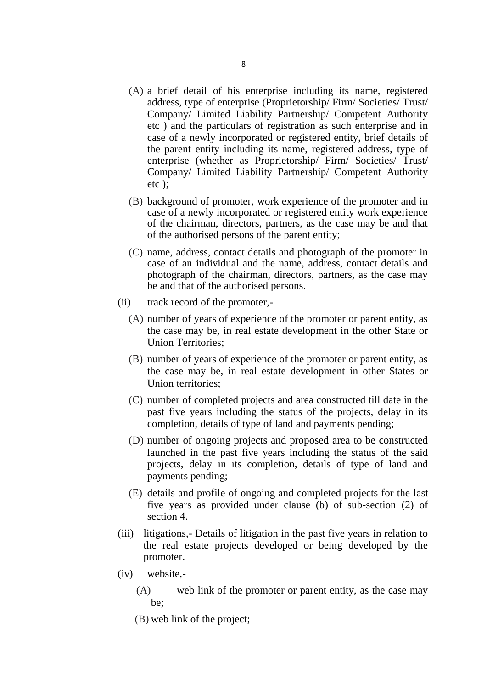- (A) a brief detail of his enterprise including its name, registered address, type of enterprise (Proprietorship/ Firm/ Societies/ Trust/ Company/ Limited Liability Partnership/ Competent Authority etc ) and the particulars of registration as such enterprise and in case of a newly incorporated or registered entity, brief details of the parent entity including its name, registered address, type of enterprise (whether as Proprietorship/ Firm/ Societies/ Trust/ Company/ Limited Liability Partnership/ Competent Authority etc );
- (B) background of promoter, work experience of the promoter and in case of a newly incorporated or registered entity work experience of the chairman, directors, partners, as the case may be and that of the authorised persons of the parent entity;
- (C) name, address, contact details and photograph of the promoter in case of an individual and the name, address, contact details and photograph of the chairman, directors, partners, as the case may be and that of the authorised persons.
- (ii) track record of the promoter,-
	- (A) number of years of experience of the promoter or parent entity, as the case may be, in real estate development in the other State or Union Territories;
	- (B) number of years of experience of the promoter or parent entity, as the case may be, in real estate development in other States or Union territories;
	- (C) number of completed projects and area constructed till date in the past five years including the status of the projects, delay in its completion, details of type of land and payments pending;
	- (D) number of ongoing projects and proposed area to be constructed launched in the past five years including the status of the said projects, delay in its completion, details of type of land and payments pending;
	- (E) details and profile of ongoing and completed projects for the last five years as provided under clause (b) of sub-section (2) of section 4.
- (iii) litigations,- Details of litigation in the past five years in relation to the real estate projects developed or being developed by the promoter.
- (iv) website,-
	- (A) web link of the promoter or parent entity, as the case may be;
	- (B) web link of the project;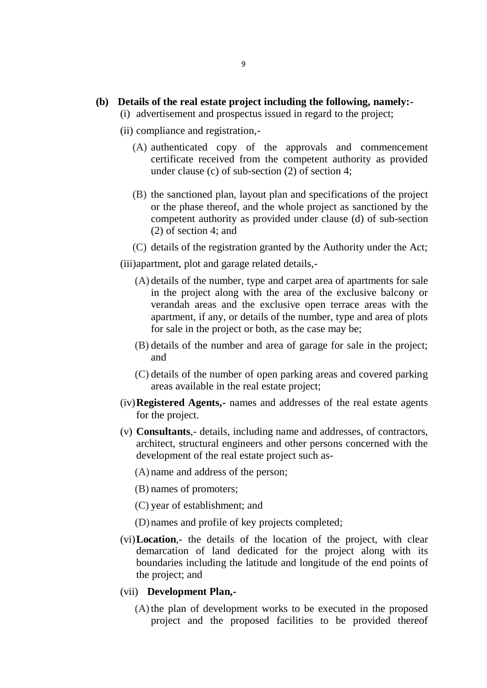#### **(b) Details of the real estate project including the following, namely:-**

- (i) advertisement and prospectus issued in regard to the project;
- (ii) compliance and registration,-
	- (A) authenticated copy of the approvals and commencement certificate received from the competent authority as provided under clause (c) of sub-section (2) of section 4;
	- (B) the sanctioned plan, layout plan and specifications of the project or the phase thereof, and the whole project as sanctioned by the competent authority as provided under clause (d) of sub-section (2) of section 4; and
	- (C) details of the registration granted by the Authority under the Act;

(iii)apartment, plot and garage related details,-

- (A) details of the number, type and carpet area of apartments for sale in the project along with the area of the exclusive balcony or verandah areas and the exclusive open terrace areas with the apartment, if any, or details of the number, type and area of plots for sale in the project or both, as the case may be;
- (B) details of the number and area of garage for sale in the project; and
- (C) details of the number of open parking areas and covered parking areas available in the real estate project;
- (iv)**Registered Agents,-** names and addresses of the real estate agents for the project.
- (v) **Consultants**,- details, including name and addresses, of contractors, architect, structural engineers and other persons concerned with the development of the real estate project such as-
	- (A) name and address of the person;
	- (B) names of promoters;
	- (C) year of establishment; and
	- (D) names and profile of key projects completed;
- (vi)**Location**,- the details of the location of the project, with clear demarcation of land dedicated for the project along with its boundaries including the latitude and longitude of the end points of the project; and

#### (vii) **Development Plan,-**

(A)the plan of development works to be executed in the proposed project and the proposed facilities to be provided thereof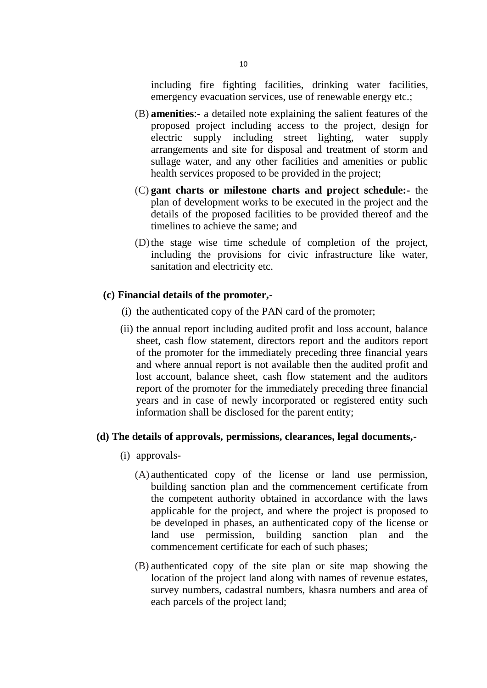including fire fighting facilities, drinking water facilities, emergency evacuation services, use of renewable energy etc.;

- (B) **amenities**:- a detailed note explaining the salient features of the proposed project including access to the project, design for electric supply including street lighting, water supply arrangements and site for disposal and treatment of storm and sullage water, and any other facilities and amenities or public health services proposed to be provided in the project;
- (C) **gant charts or milestone charts and project schedule:-** the plan of development works to be executed in the project and the details of the proposed facilities to be provided thereof and the timelines to achieve the same; and
- (D)the stage wise time schedule of completion of the project, including the provisions for civic infrastructure like water, sanitation and electricity etc.

#### **(c) Financial details of the promoter,-**

- (i) the authenticated copy of the PAN card of the promoter;
- (ii) the annual report including audited profit and loss account, balance sheet, cash flow statement, directors report and the auditors report of the promoter for the immediately preceding three financial years and where annual report is not available then the audited profit and lost account, balance sheet, cash flow statement and the auditors report of the promoter for the immediately preceding three financial years and in case of newly incorporated or registered entity such information shall be disclosed for the parent entity;

#### **(d) The details of approvals, permissions, clearances, legal documents,-**

- (i) approvals-
	- (A) authenticated copy of the license or land use permission, building sanction plan and the commencement certificate from the competent authority obtained in accordance with the laws applicable for the project, and where the project is proposed to be developed in phases, an authenticated copy of the license or land use permission, building sanction plan and the commencement certificate for each of such phases;
	- (B) authenticated copy of the site plan or site map showing the location of the project land along with names of revenue estates, survey numbers, cadastral numbers, khasra numbers and area of each parcels of the project land;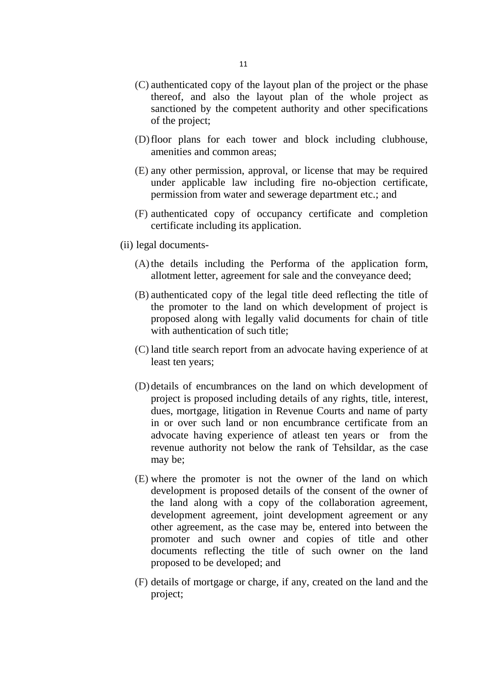- (C) authenticated copy of the layout plan of the project or the phase thereof, and also the layout plan of the whole project as sanctioned by the competent authority and other specifications of the project;
- (D)floor plans for each tower and block including clubhouse, amenities and common areas;
- (E) any other permission, approval, or license that may be required under applicable law including fire no-objection certificate, permission from water and sewerage department etc.; and
- (F) authenticated copy of occupancy certificate and completion certificate including its application.
- (ii) legal documents-
	- (A)the details including the Performa of the application form, allotment letter, agreement for sale and the conveyance deed;
	- (B) authenticated copy of the legal title deed reflecting the title of the promoter to the land on which development of project is proposed along with legally valid documents for chain of title with authentication of such title:
	- (C) land title search report from an advocate having experience of at least ten years;
	- (D) details of encumbrances on the land on which development of project is proposed including details of any rights, title, interest, dues, mortgage, litigation in Revenue Courts and name of party in or over such land or non encumbrance certificate from an advocate having experience of atleast ten years or from the revenue authority not below the rank of Tehsildar, as the case may be;
	- (E) where the promoter is not the owner of the land on which development is proposed details of the consent of the owner of the land along with a copy of the collaboration agreement, development agreement, joint development agreement or any other agreement, as the case may be, entered into between the promoter and such owner and copies of title and other documents reflecting the title of such owner on the land proposed to be developed; and
	- (F) details of mortgage or charge, if any, created on the land and the project;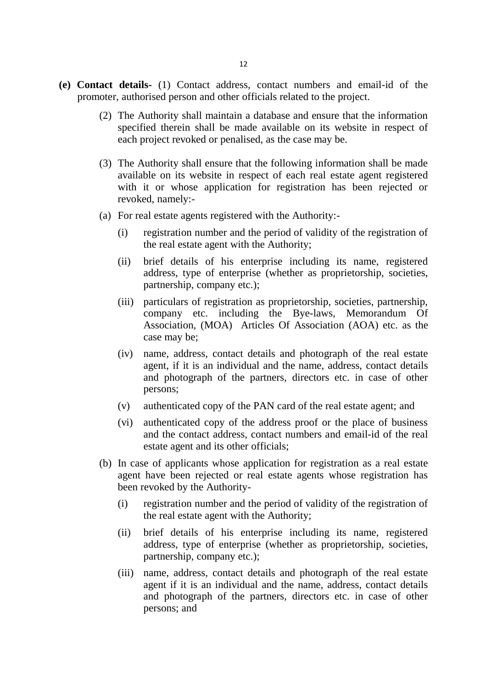- **(e) Contact details-** (1) Contact address, contact numbers and email-id of the promoter, authorised person and other officials related to the project.
	- (2) The Authority shall maintain a database and ensure that the information specified therein shall be made available on its website in respect of each project revoked or penalised, as the case may be.
	- (3) The Authority shall ensure that the following information shall be made available on its website in respect of each real estate agent registered with it or whose application for registration has been rejected or revoked, namely:-
	- (a) For real estate agents registered with the Authority:-
		- (i) registration number and the period of validity of the registration of the real estate agent with the Authority;
		- (ii) brief details of his enterprise including its name, registered address, type of enterprise (whether as proprietorship, societies, partnership, company etc.);
		- (iii) particulars of registration as proprietorship, societies, partnership, company etc. including the Bye-laws, Memorandum Of Association, (MOA) Articles Of Association (AOA) etc. as the case may be;
		- (iv) name, address, contact details and photograph of the real estate agent, if it is an individual and the name, address, contact details and photograph of the partners, directors etc. in case of other persons;
		- (v) authenticated copy of the PAN card of the real estate agent; and
		- (vi) authenticated copy of the address proof or the place of business and the contact address, contact numbers and email-id of the real estate agent and its other officials;
	- (b) In case of applicants whose application for registration as a real estate agent have been rejected or real estate agents whose registration has been revoked by the Authority-
		- (i) registration number and the period of validity of the registration of the real estate agent with the Authority;
		- (ii) brief details of his enterprise including its name, registered address, type of enterprise (whether as proprietorship, societies, partnership, company etc.);
		- (iii) name, address, contact details and photograph of the real estate agent if it is an individual and the name, address, contact details and photograph of the partners, directors etc. in case of other persons; and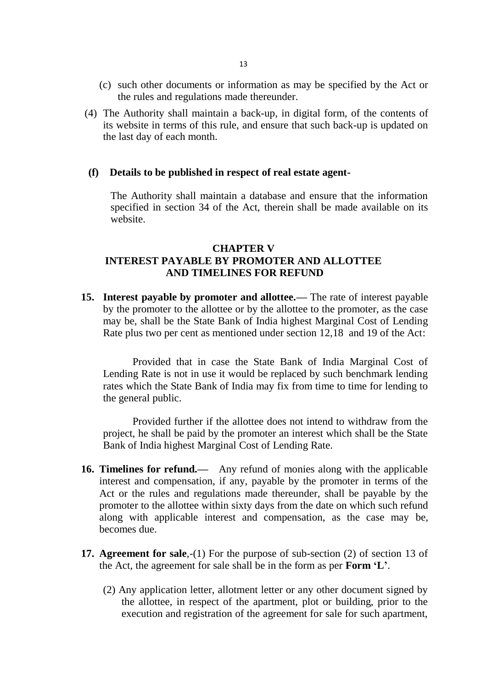- (c) such other documents or information as may be specified by the Act or the rules and regulations made thereunder.
- (4) The Authority shall maintain a back-up, in digital form, of the contents of its website in terms of this rule, and ensure that such back-up is updated on the last day of each month.

#### **(f) Details to be published in respect of real estate agent-**

The Authority shall maintain a database and ensure that the information specified in section 34 of the Act, therein shall be made available on its website.

### **CHAPTER V INTEREST PAYABLE BY PROMOTER AND ALLOTTEE AND TIMELINES FOR REFUND**

**15. Interest payable by promoter and allottee.—** The rate of interest payable by the promoter to the allottee or by the allottee to the promoter, as the case may be, shall be the State Bank of India highest Marginal Cost of Lending Rate plus two per cent as mentioned under section 12,18 and 19 of the Act:

Provided that in case the State Bank of India Marginal Cost of Lending Rate is not in use it would be replaced by such benchmark lending rates which the State Bank of India may fix from time to time for lending to the general public.

Provided further if the allottee does not intend to withdraw from the project, he shall be paid by the promoter an interest which shall be the State Bank of India highest Marginal Cost of Lending Rate.

- **16. Timelines for refund.—** Any refund of monies along with the applicable interest and compensation, if any, payable by the promoter in terms of the Act or the rules and regulations made thereunder, shall be payable by the promoter to the allottee within sixty days from the date on which such refund along with applicable interest and compensation, as the case may be, becomes due.
- **17. Agreement for sale**,-(1) For the purpose of sub-section (2) of section 13 of the Act, the agreement for sale shall be in the form as per **Form 'L'**.
	- (2) Any application letter, allotment letter or any other document signed by the allottee, in respect of the apartment, plot or building, prior to the execution and registration of the agreement for sale for such apartment,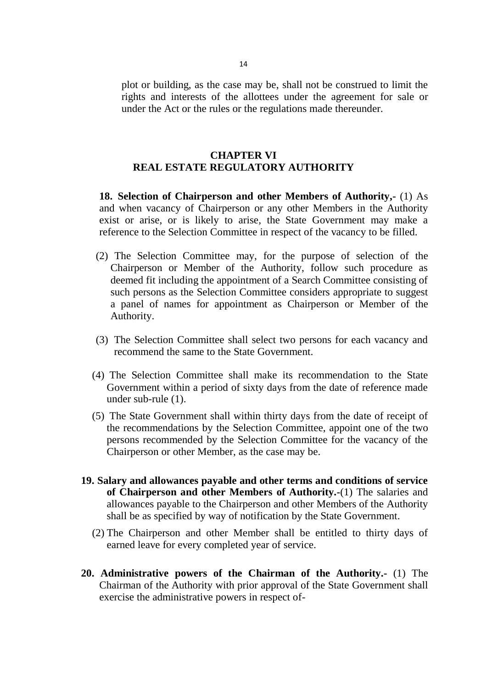plot or building, as the case may be, shall not be construed to limit the rights and interests of the allottees under the agreement for sale or under the Act or the rules or the regulations made thereunder.

### **CHAPTER VI REAL ESTATE REGULATORY AUTHORITY**

**18. Selection of Chairperson and other Members of Authority,-** (1) As and when vacancy of Chairperson or any other Members in the Authority exist or arise, or is likely to arise, the State Government may make a reference to the Selection Committee in respect of the vacancy to be filled.

- (2) The Selection Committee may, for the purpose of selection of the Chairperson or Member of the Authority, follow such procedure as deemed fit including the appointment of a Search Committee consisting of such persons as the Selection Committee considers appropriate to suggest a panel of names for appointment as Chairperson or Member of the Authority.
- (3) The Selection Committee shall select two persons for each vacancy and recommend the same to the State Government.
- (4) The Selection Committee shall make its recommendation to the State Government within a period of sixty days from the date of reference made under sub-rule (1).
- (5) The State Government shall within thirty days from the date of receipt of the recommendations by the Selection Committee, appoint one of the two persons recommended by the Selection Committee for the vacancy of the Chairperson or other Member, as the case may be.
- **19. Salary and allowances payable and other terms and conditions of service of Chairperson and other Members of Authority.-**(1) The salaries and allowances payable to the Chairperson and other Members of the Authority shall be as specified by way of notification by the State Government.
	- (2) The Chairperson and other Member shall be entitled to thirty days of earned leave for every completed year of service.
- **20. Administrative powers of the Chairman of the Authority.-** (1) The Chairman of the Authority with prior approval of the State Government shall exercise the administrative powers in respect of-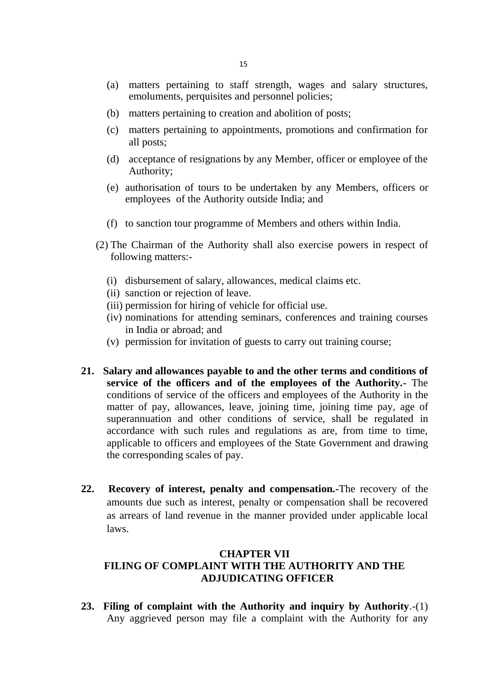- (a) matters pertaining to staff strength, wages and salary structures, emoluments, perquisites and personnel policies;
- (b) matters pertaining to creation and abolition of posts;
- (c) matters pertaining to appointments, promotions and confirmation for all posts;
- (d) acceptance of resignations by any Member, officer or employee of the Authority;
- (e) authorisation of tours to be undertaken by any Members, officers or employees of the Authority outside India; and
- (f) to sanction tour programme of Members and others within India.
- (2) The Chairman of the Authority shall also exercise powers in respect of following matters:-
	- (i) disbursement of salary, allowances, medical claims etc.
	- (ii) sanction or rejection of leave.
	- (iii) permission for hiring of vehicle for official use.
	- (iv) nominations for attending seminars, conferences and training courses in India or abroad; and
	- (v) permission for invitation of guests to carry out training course;
- **21. Salary and allowances payable to and the other terms and conditions of service of the officers and of the employees of the Authority.-** The conditions of service of the officers and employees of the Authority in the matter of pay, allowances, leave, joining time, joining time pay, age of superannuation and other conditions of service, shall be regulated in accordance with such rules and regulations as are, from time to time, applicable to officers and employees of the State Government and drawing the corresponding scales of pay.
- **22. Recovery of interest, penalty and compensation.-**The recovery of the amounts due such as interest, penalty or compensation shall be recovered as arrears of land revenue in the manner provided under applicable local laws.

### **CHAPTER VII FILING OF COMPLAINT WITH THE AUTHORITY AND THE ADJUDICATING OFFICER**

**23. Filing of complaint with the Authority and inquiry by Authority**.-(1) Any aggrieved person may file a complaint with the Authority for any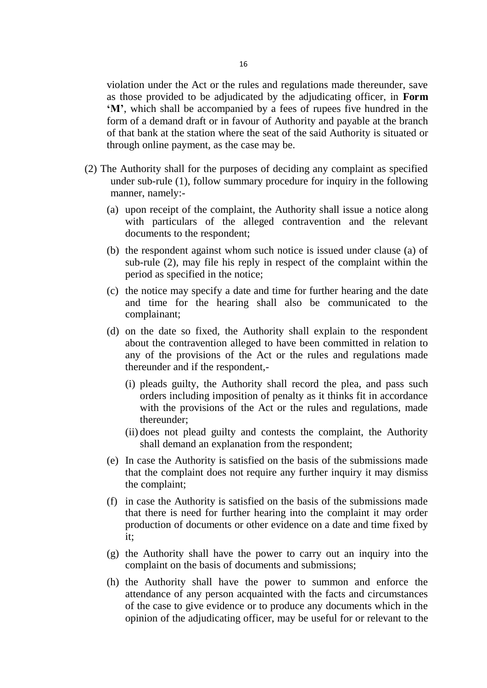violation under the Act or the rules and regulations made thereunder, save as those provided to be adjudicated by the adjudicating officer, in **Form 'M'**, which shall be accompanied by a fees of rupees five hundred in the form of a demand draft or in favour of Authority and payable at the branch of that bank at the station where the seat of the said Authority is situated or through online payment, as the case may be.

- (2) The Authority shall for the purposes of deciding any complaint as specified under sub-rule (1), follow summary procedure for inquiry in the following manner, namely:-
	- (a) upon receipt of the complaint, the Authority shall issue a notice along with particulars of the alleged contravention and the relevant documents to the respondent;
	- (b) the respondent against whom such notice is issued under clause (a) of sub-rule (2), may file his reply in respect of the complaint within the period as specified in the notice;
	- (c) the notice may specify a date and time for further hearing and the date and time for the hearing shall also be communicated to the complainant;
	- (d) on the date so fixed, the Authority shall explain to the respondent about the contravention alleged to have been committed in relation to any of the provisions of the Act or the rules and regulations made thereunder and if the respondent,-
		- (i) pleads guilty, the Authority shall record the plea, and pass such orders including imposition of penalty as it thinks fit in accordance with the provisions of the Act or the rules and regulations, made thereunder;
		- (ii) does not plead guilty and contests the complaint, the Authority shall demand an explanation from the respondent;
	- (e) In case the Authority is satisfied on the basis of the submissions made that the complaint does not require any further inquiry it may dismiss the complaint;
	- (f) in case the Authority is satisfied on the basis of the submissions made that there is need for further hearing into the complaint it may order production of documents or other evidence on a date and time fixed by it;
	- (g) the Authority shall have the power to carry out an inquiry into the complaint on the basis of documents and submissions;
	- (h) the Authority shall have the power to summon and enforce the attendance of any person acquainted with the facts and circumstances of the case to give evidence or to produce any documents which in the opinion of the adjudicating officer, may be useful for or relevant to the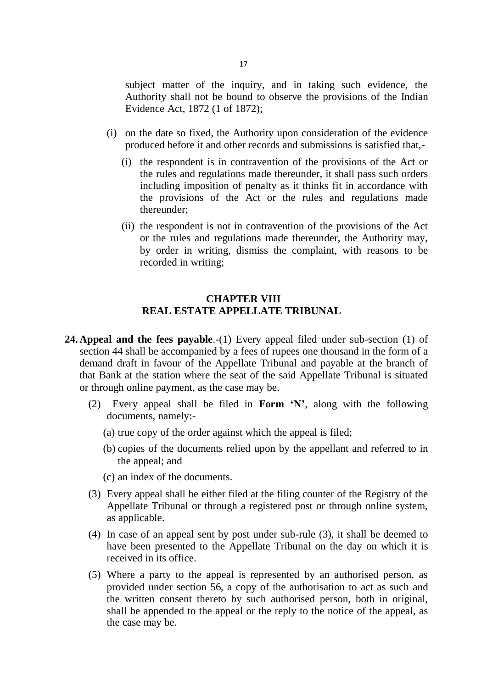subject matter of the inquiry, and in taking such evidence, the Authority shall not be bound to observe the provisions of the Indian Evidence Act, 1872 (1 of 1872);

- (i) on the date so fixed, the Authority upon consideration of the evidence produced before it and other records and submissions is satisfied that,-
	- (i) the respondent is in contravention of the provisions of the Act or the rules and regulations made thereunder, it shall pass such orders including imposition of penalty as it thinks fit in accordance with the provisions of the Act or the rules and regulations made thereunder;
	- (ii) the respondent is not in contravention of the provisions of the Act or the rules and regulations made thereunder, the Authority may, by order in writing, dismiss the complaint, with reasons to be recorded in writing;

### **CHAPTER VIII REAL ESTATE APPELLATE TRIBUNAL**

- **24. Appeal and the fees payable.**-(1) Every appeal filed under sub-section (1) of section 44 shall be accompanied by a fees of rupees one thousand in the form of a demand draft in favour of the Appellate Tribunal and payable at the branch of that Bank at the station where the seat of the said Appellate Tribunal is situated or through online payment, as the case may be.
	- (2) Every appeal shall be filed in **Form 'N'**, along with the following documents, namely:-
		- (a) true copy of the order against which the appeal is filed;
		- (b) copies of the documents relied upon by the appellant and referred to in the appeal; and
		- (c) an index of the documents.
	- (3) Every appeal shall be either filed at the filing counter of the Registry of the Appellate Tribunal or through a registered post or through online system, as applicable.
	- (4) In case of an appeal sent by post under sub-rule (3), it shall be deemed to have been presented to the Appellate Tribunal on the day on which it is received in its office.
	- (5) Where a party to the appeal is represented by an authorised person, as provided under section 56, a copy of the authorisation to act as such and the written consent thereto by such authorised person, both in original, shall be appended to the appeal or the reply to the notice of the appeal, as the case may be.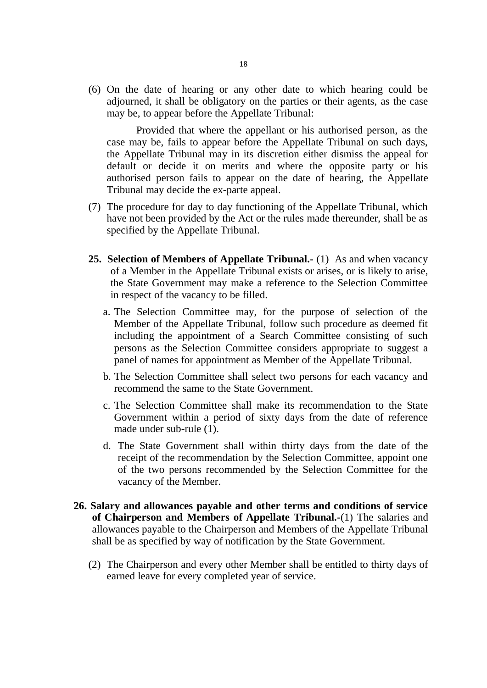(6) On the date of hearing or any other date to which hearing could be adjourned, it shall be obligatory on the parties or their agents, as the case may be, to appear before the Appellate Tribunal:

Provided that where the appellant or his authorised person, as the case may be, fails to appear before the Appellate Tribunal on such days, the Appellate Tribunal may in its discretion either dismiss the appeal for default or decide it on merits and where the opposite party or his authorised person fails to appear on the date of hearing, the Appellate Tribunal may decide the ex-parte appeal.

- (7) The procedure for day to day functioning of the Appellate Tribunal, which have not been provided by the Act or the rules made thereunder, shall be as specified by the Appellate Tribunal.
- **25. Selection of Members of Appellate Tribunal.-** (1) As and when vacancy of a Member in the Appellate Tribunal exists or arises, or is likely to arise, the State Government may make a reference to the Selection Committee in respect of the vacancy to be filled.
	- a. The Selection Committee may, for the purpose of selection of the Member of the Appellate Tribunal, follow such procedure as deemed fit including the appointment of a Search Committee consisting of such persons as the Selection Committee considers appropriate to suggest a panel of names for appointment as Member of the Appellate Tribunal.
	- b. The Selection Committee shall select two persons for each vacancy and recommend the same to the State Government.
	- c. The Selection Committee shall make its recommendation to the State Government within a period of sixty days from the date of reference made under sub-rule (1).
	- d. The State Government shall within thirty days from the date of the receipt of the recommendation by the Selection Committee, appoint one of the two persons recommended by the Selection Committee for the vacancy of the Member.
- **26. Salary and allowances payable and other terms and conditions of service of Chairperson and Members of Appellate Tribunal.-**(1) The salaries and allowances payable to the Chairperson and Members of the Appellate Tribunal shall be as specified by way of notification by the State Government.
	- (2) The Chairperson and every other Member shall be entitled to thirty days of earned leave for every completed year of service.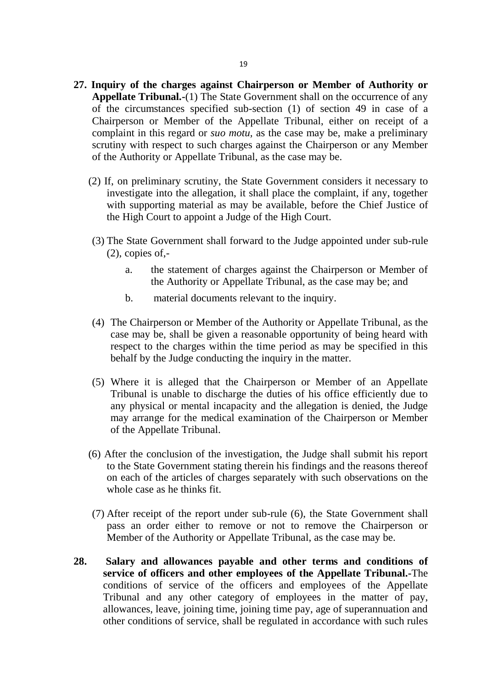- **27. Inquiry of the charges against Chairperson or Member of Authority or Appellate Tribunal.-**(1) The State Government shall on the occurrence of any of the circumstances specified sub-section (1) of section 49 in case of a Chairperson or Member of the Appellate Tribunal, either on receipt of a complaint in this regard or *suo motu,* as the case may be, make a preliminary scrutiny with respect to such charges against the Chairperson or any Member of the Authority or Appellate Tribunal, as the case may be.
	- (2) If, on preliminary scrutiny, the State Government considers it necessary to investigate into the allegation, it shall place the complaint, if any, together with supporting material as may be available, before the Chief Justice of the High Court to appoint a Judge of the High Court.
	- (3) The State Government shall forward to the Judge appointed under sub-rule  $(2)$ , copies of,
		- a. the statement of charges against the Chairperson or Member of the Authority or Appellate Tribunal, as the case may be; and
		- b. material documents relevant to the inquiry.
	- (4) The Chairperson or Member of the Authority or Appellate Tribunal, as the case may be, shall be given a reasonable opportunity of being heard with respect to the charges within the time period as may be specified in this behalf by the Judge conducting the inquiry in the matter.
	- (5) Where it is alleged that the Chairperson or Member of an Appellate Tribunal is unable to discharge the duties of his office efficiently due to any physical or mental incapacity and the allegation is denied, the Judge may arrange for the medical examination of the Chairperson or Member of the Appellate Tribunal.
	- (6) After the conclusion of the investigation, the Judge shall submit his report to the State Government stating therein his findings and the reasons thereof on each of the articles of charges separately with such observations on the whole case as he thinks fit.
	- (7) After receipt of the report under sub-rule (6), the State Government shall pass an order either to remove or not to remove the Chairperson or Member of the Authority or Appellate Tribunal, as the case may be.
- **28. Salary and allowances payable and other terms and conditions of service of officers and other employees of the Appellate Tribunal.-**The conditions of service of the officers and employees of the Appellate Tribunal and any other category of employees in the matter of pay, allowances, leave, joining time, joining time pay, age of superannuation and other conditions of service, shall be regulated in accordance with such rules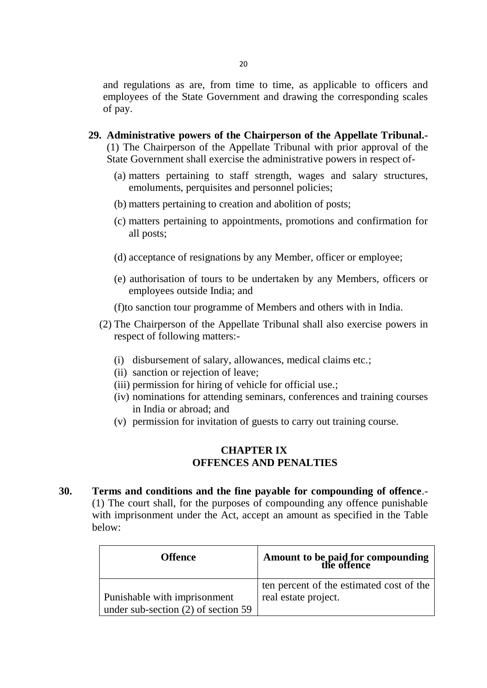and regulations as are, from time to time, as applicable to officers and employees of the State Government and drawing the corresponding scales of pay.

- **29. Administrative powers of the Chairperson of the Appellate Tribunal.-** (1) The Chairperson of the Appellate Tribunal with prior approval of the State Government shall exercise the administrative powers in respect of-
	- (a) matters pertaining to staff strength, wages and salary structures, emoluments, perquisites and personnel policies;
	- (b) matters pertaining to creation and abolition of posts;
	- (c) matters pertaining to appointments, promotions and confirmation for all posts;
	- (d) acceptance of resignations by any Member, officer or employee;
	- (e) authorisation of tours to be undertaken by any Members, officers or employees outside India; and
	- (f)to sanction tour programme of Members and others with in India.
	- (2) The Chairperson of the Appellate Tribunal shall also exercise powers in respect of following matters:-
		- (i) disbursement of salary, allowances, medical claims etc.;
		- (ii) sanction or rejection of leave;
		- (iii) permission for hiring of vehicle for official use.;
		- (iv) nominations for attending seminars, conferences and training courses in India or abroad; and
		- (v) permission for invitation of guests to carry out training course.

### **CHAPTER IX OFFENCES AND PENALTIES**

**30. Terms and conditions and the fine payable for compounding of offence**.- (1) The court shall, for the purposes of compounding any offence punishable with imprisonment under the Act, accept an amount as specified in the Table below:

| <b>Offence</b>                      | Amount to be paid for compounding<br>the offence |  |
|-------------------------------------|--------------------------------------------------|--|
|                                     | ten percent of the estimated cost of the         |  |
| <b>Punishable with imprisonment</b> | real estate project.                             |  |
| under sub-section (2) of section 59 |                                                  |  |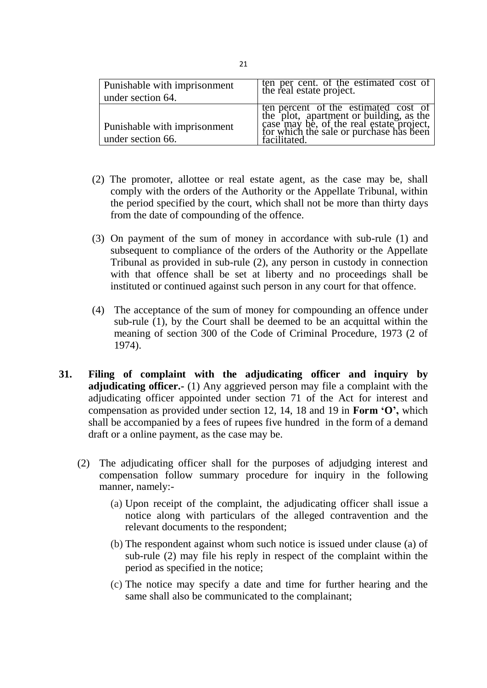| <b>Punishable with imprisonment</b><br>under section 64. | ten per cent. of the estimated cost of<br>the real estate project.                                                                                                     |
|----------------------------------------------------------|------------------------------------------------------------------------------------------------------------------------------------------------------------------------|
| Punishable with imprisonment                             | ten percent of the estimated cost of<br>the plot, apartment or building, as the<br>case may be, of the real estate project,<br>for which the sale or purchase has been |
| under section 66.                                        | facilitated.                                                                                                                                                           |

- (2) The promoter, allottee or real estate agent, as the case may be, shall comply with the orders of the Authority or the Appellate Tribunal, within the period specified by the court, which shall not be more than thirty days from the date of compounding of the offence.
- (3) On payment of the sum of money in accordance with sub-rule (1) and subsequent to compliance of the orders of the Authority or the Appellate Tribunal as provided in sub-rule (2), any person in custody in connection with that offence shall be set at liberty and no proceedings shall be instituted or continued against such person in any court for that offence.
- (4) The acceptance of the sum of money for compounding an offence under sub-rule (1), by the Court shall be deemed to be an acquittal within the meaning of section 300 of the Code of Criminal Procedure, 1973 (2 of 1974).
- **31. Filing of complaint with the adjudicating officer and inquiry by adjudicating officer.-** (1) Any aggrieved person may file a complaint with the adjudicating officer appointed under section 71 of the Act for interest and compensation as provided under section 12, 14, 18 and 19 in **Form 'O',** which shall be accompanied by a fees of rupees five hundred in the form of a demand draft or a online payment, as the case may be.
	- (2) The adjudicating officer shall for the purposes of adjudging interest and compensation follow summary procedure for inquiry in the following manner, namely:-
		- (a) Upon receipt of the complaint, the adjudicating officer shall issue a notice along with particulars of the alleged contravention and the relevant documents to the respondent;
		- (b) The respondent against whom such notice is issued under clause (a) of sub-rule (2) may file his reply in respect of the complaint within the period as specified in the notice;
		- (c) The notice may specify a date and time for further hearing and the same shall also be communicated to the complainant;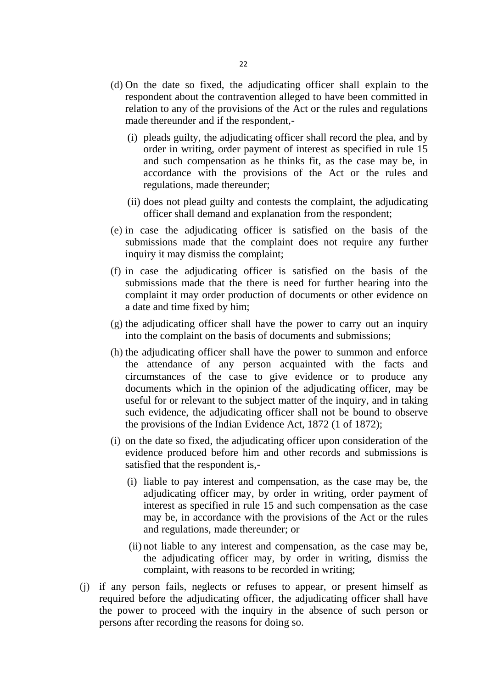- (d) On the date so fixed, the adjudicating officer shall explain to the respondent about the contravention alleged to have been committed in relation to any of the provisions of the Act or the rules and regulations made thereunder and if the respondent,-
	- (i) pleads guilty, the adjudicating officer shall record the plea, and by order in writing, order payment of interest as specified in rule 15 and such compensation as he thinks fit, as the case may be, in accordance with the provisions of the Act or the rules and regulations, made thereunder;
	- (ii) does not plead guilty and contests the complaint, the adjudicating officer shall demand and explanation from the respondent;
- (e) in case the adjudicating officer is satisfied on the basis of the submissions made that the complaint does not require any further inquiry it may dismiss the complaint;
- (f) in case the adjudicating officer is satisfied on the basis of the submissions made that the there is need for further hearing into the complaint it may order production of documents or other evidence on a date and time fixed by him;
- (g) the adjudicating officer shall have the power to carry out an inquiry into the complaint on the basis of documents and submissions;
- (h) the adjudicating officer shall have the power to summon and enforce the attendance of any person acquainted with the facts and circumstances of the case to give evidence or to produce any documents which in the opinion of the adjudicating officer, may be useful for or relevant to the subject matter of the inquiry, and in taking such evidence, the adjudicating officer shall not be bound to observe the provisions of the Indian Evidence Act, 1872 (1 of 1872);
- (i) on the date so fixed, the adjudicating officer upon consideration of the evidence produced before him and other records and submissions is satisfied that the respondent is,-
	- (i) liable to pay interest and compensation, as the case may be, the adjudicating officer may, by order in writing, order payment of interest as specified in rule 15 and such compensation as the case may be, in accordance with the provisions of the Act or the rules and regulations, made thereunder; or
	- (ii) not liable to any interest and compensation, as the case may be, the adjudicating officer may, by order in writing, dismiss the complaint, with reasons to be recorded in writing;
- (j) if any person fails, neglects or refuses to appear, or present himself as required before the adjudicating officer, the adjudicating officer shall have the power to proceed with the inquiry in the absence of such person or persons after recording the reasons for doing so.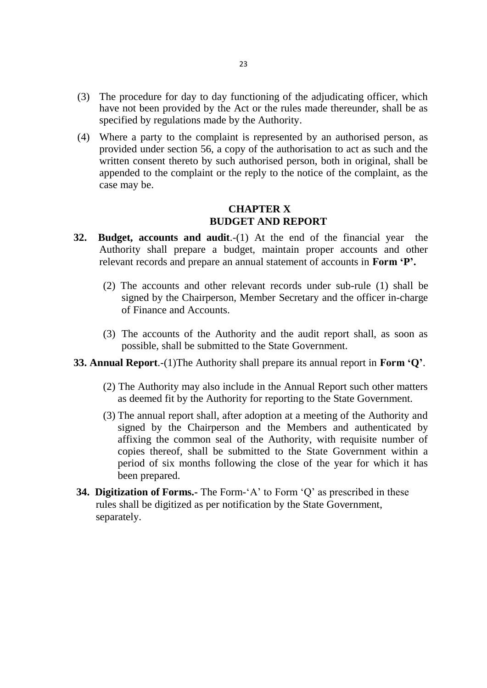- (3) The procedure for day to day functioning of the adjudicating officer, which have not been provided by the Act or the rules made thereunder, shall be as specified by regulations made by the Authority.
- (4) Where a party to the complaint is represented by an authorised person, as provided under section 56, a copy of the authorisation to act as such and the written consent thereto by such authorised person, both in original, shall be appended to the complaint or the reply to the notice of the complaint, as the case may be.

### **CHAPTER X BUDGET AND REPORT**

- **32. Budget, accounts and audit**.-(1) At the end of the financial year the Authority shall prepare a budget, maintain proper accounts and other relevant records and prepare an annual statement of accounts in **Form 'P'.**
	- (2) The accounts and other relevant records under sub-rule (1) shall be signed by the Chairperson, Member Secretary and the officer in-charge of Finance and Accounts.
	- (3) The accounts of the Authority and the audit report shall, as soon as possible, shall be submitted to the State Government.
- **33. Annual Report**.-(1)The Authority shall prepare its annual report in **Form 'Q'**.
	- (2) The Authority may also include in the Annual Report such other matters as deemed fit by the Authority for reporting to the State Government.
	- (3) The annual report shall, after adoption at a meeting of the Authority and signed by the Chairperson and the Members and authenticated by affixing the common seal of the Authority, with requisite number of copies thereof, shall be submitted to the State Government within a period of six months following the close of the year for which it has been prepared.
- **34. Digitization of Forms.-** The Form-'A' to Form 'Q' as prescribed in these rules shall be digitized as per notification by the State Government, separately.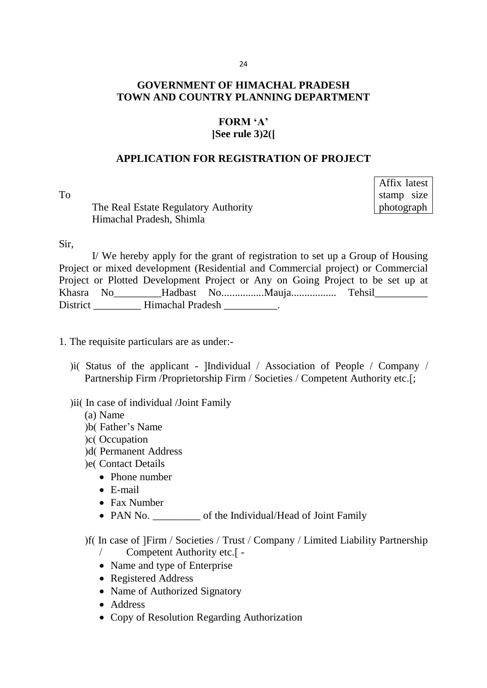### 24

# **GOVERNMENT OF HIMACHAL PRADESH TOWN AND COUNTRY PLANNING DEPARTMENT**

### **FORM 'A' [See rule 3(2)]**

#### **APPLICATION FOR REGISTRATION OF PROJECT**

To

The Real Estate Regulatory Authority Himachal Pradesh, Shimla

Affix latest stamp size photograph

#### Sir,

I/ We hereby apply for the grant of registration to set up a Group of Housing Project or mixed development (Residential and Commercial project) or Commercial Project or Plotted Development Project or Any on Going Project to be set up at Khasra No\_\_\_\_\_\_\_\_\_Hadbast No................Mauja................. Tehsil\_\_\_\_\_\_\_\_\_\_ District Himachal Pradesh .

1. The requisite particulars are as under:-

)i( Status of the applicant - [Individual / Association of People / Company / Partnership Firm / Proprietorship Firm / Societies / Competent Authority etc.[;

#### ) ii( In case of individual /Joint Family

- (a) Name
- )b(Father's Name)
- (c) Occupation
- )d( Permanent Address
- le(Contact Details
	- Phone number
	- E-mail
	- Fax Number
	- PAN No.  $\bullet$  of the Individual/Head of Joint Family

(f) In case of [Firm / Societies / Trust / Company / Limited Liability Partnership

- / Competent Authority etc.] -
- Name and type of Enterprise
- Registered Address
- Name of Authorized Signatory
- Address
- Copy of Resolution Regarding Authorization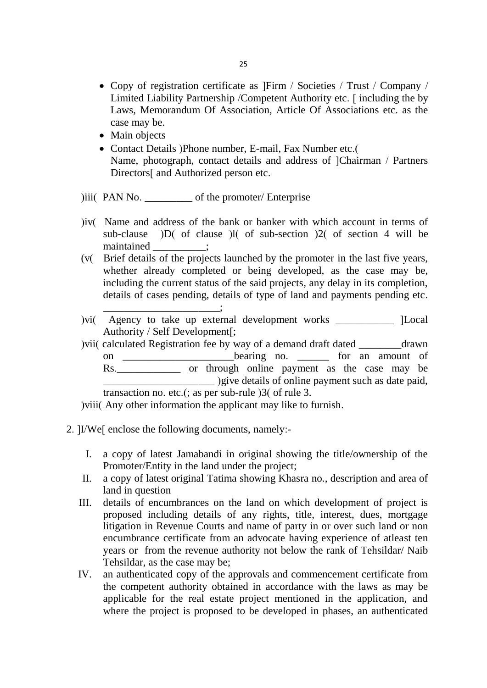- Copy of registration certificate as [Firm / Societies / Trust / Company / Limited Liability Partnership / Competent Authority etc. [including the by Laws, Memorandum Of Association, Article Of Associations etc. as the case may be.
- Main objects
- Contact Details (Phone number, E-mail, Fax Number etc.) Name, photograph, contact details and address of [Chairman / Partners Directors<sup>[</sup> and Authorized person etc.

)iii( PAN No. \_\_\_\_\_\_\_\_\_\_\_ of the promoter/ Enterprise

- (iv) Name and address of the bank or banker with which account in terms of sub-clause  $\overline{D}$  of clause  $\overline{D}$  of sub-section  $\overline{2}$  of section 4 will be maintained ;
- (v) Brief details of the projects launched by the promoter in the last five years, whether already completed or being developed, as the case may be, including the current status of the said projects, any delay in its completion, details of cases pending, details of type of land and payments pending etc.
- $(vi)$  Agency to take up external development works \_\_\_\_\_\_\_\_\_\_\_ [Local Authority / Self Development];
- ) vii( calculated Registration fee by way of a demand draft dated <u>comes</u> drawn on \_\_\_\_\_\_\_\_\_\_\_\_\_\_\_\_\_\_\_\_\_\_bearing no. \_\_\_\_\_\_\_ for an amount of Rs. or through online payment as the case may be \_\_\_\_\_\_\_\_\_\_\_\_\_\_\_\_\_\_\_\_\_ (give details of online payment such as date paid, transaction no. etc.(; as per sub-rule  $\alpha$ )3( of rule 3.

) viii( Any other information the applicant may like to furnish.

2. [I/We] enclose the following documents, namely:-

\_\_\_\_\_\_\_\_\_\_\_\_\_\_\_\_\_\_\_\_\_\_;

- I. a copy of latest Jamabandi in original showing the title/ownership of the Promoter/Entity in the land under the project;
- II. a copy of latest original Tatima showing Khasra no., description and area of land in question
- III. details of encumbrances on the land on which development of project is proposed including details of any rights, title, interest, dues, mortgage litigation in Revenue Courts and name of party in or over such land or non encumbrance certificate from an advocate having experience of atleast ten years or from the revenue authority not below the rank of Tehsildar/ Naib Tehsildar, as the case may be;
- IV. an authenticated copy of the approvals and commencement certificate from the competent authority obtained in accordance with the laws as may be applicable for the real estate project mentioned in the application, and where the project is proposed to be developed in phases, an authenticated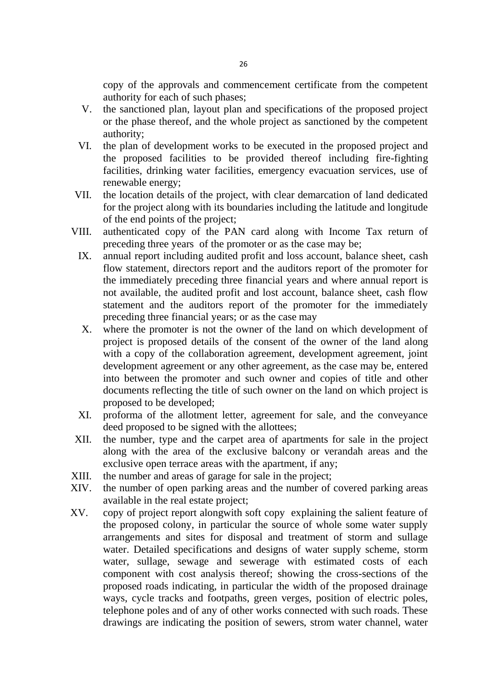copy of the approvals and commencement certificate from the competent authority for each of such phases;

- V. the sanctioned plan, layout plan and specifications of the proposed project or the phase thereof, and the whole project as sanctioned by the competent authority;
- VI. the plan of development works to be executed in the proposed project and the proposed facilities to be provided thereof including fire-fighting facilities, drinking water facilities, emergency evacuation services, use of renewable energy;
- VII. the location details of the project, with clear demarcation of land dedicated for the project along with its boundaries including the latitude and longitude of the end points of the project;
- VIII. authenticated copy of the PAN card along with Income Tax return of preceding three years of the promoter or as the case may be;
	- IX. annual report including audited profit and loss account, balance sheet, cash flow statement, directors report and the auditors report of the promoter for the immediately preceding three financial years and where annual report is not available, the audited profit and lost account, balance sheet, cash flow statement and the auditors report of the promoter for the immediately preceding three financial years; or as the case may
	- X. where the promoter is not the owner of the land on which development of project is proposed details of the consent of the owner of the land along with a copy of the collaboration agreement, development agreement, joint development agreement or any other agreement, as the case may be, entered into between the promoter and such owner and copies of title and other documents reflecting the title of such owner on the land on which project is proposed to be developed;
	- XI. proforma of the allotment letter, agreement for sale, and the conveyance deed proposed to be signed with the allottees;
- XII. the number, type and the carpet area of apartments for sale in the project along with the area of the exclusive balcony or verandah areas and the exclusive open terrace areas with the apartment, if any;
- XIII. the number and areas of garage for sale in the project;
- XIV. the number of open parking areas and the number of covered parking areas available in the real estate project;
- XV. copy of project report alongwith soft copy explaining the salient feature of the proposed colony, in particular the source of whole some water supply arrangements and sites for disposal and treatment of storm and sullage water. Detailed specifications and designs of water supply scheme, storm water, sullage, sewage and sewerage with estimated costs of each component with cost analysis thereof; showing the cross-sections of the proposed roads indicating, in particular the width of the proposed drainage ways, cycle tracks and footpaths, green verges, position of electric poles, telephone poles and of any of other works connected with such roads. These drawings are indicating the position of sewers, strom water channel, water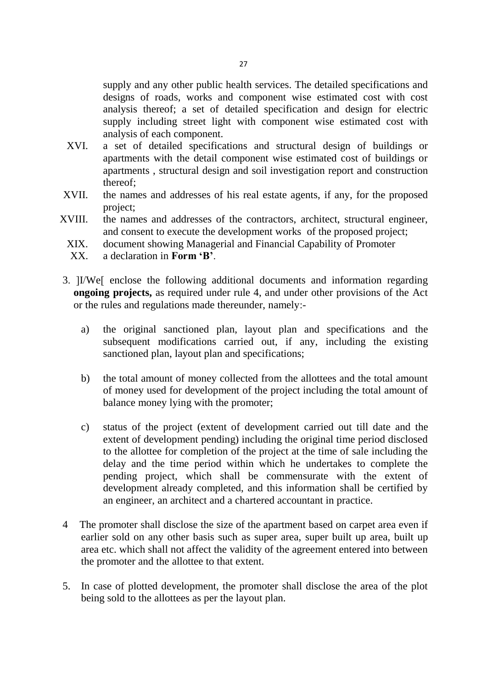supply and any other public health services. The detailed specifications and designs of roads, works and component wise estimated cost with cost analysis thereof; a set of detailed specification and design for electric supply including street light with component wise estimated cost with analysis of each component.

- XVI. a set of detailed specifications and structural design of buildings or apartments with the detail component wise estimated cost of buildings or apartments , structural design and soil investigation report and construction thereof;
- XVII. the names and addresses of his real estate agents, if any, for the proposed project;
- XVIII. the names and addresses of the contractors, architect, structural engineer, and consent to execute the development works of the proposed project;
	- XIX. document showing Managerial and Financial Capability of Promoter
	- XX. a declaration in **Form 'B'**.
- 3. [I/We] enclose the following additional documents and information regarding **ongoing projects,** as required under rule 4, and under other provisions of the Act or the rules and regulations made thereunder, namely:
	- a) the original sanctioned plan, layout plan and specifications and the subsequent modifications carried out, if any, including the existing sanctioned plan, layout plan and specifications;
	- b) the total amount of money collected from the allottees and the total amount of money used for development of the project including the total amount of balance money lying with the promoter;
	- c) status of the project (extent of development carried out till date and the extent of development pending) including the original time period disclosed to the allottee for completion of the project at the time of sale including the delay and the time period within which he undertakes to complete the pending project, which shall be commensurate with the extent of development already completed, and this information shall be certified by an engineer, an architect and a chartered accountant in practice.
- 4 The promoter shall disclose the size of the apartment based on carpet area even if earlier sold on any other basis such as super area, super built up area, built up area etc. which shall not affect the validity of the agreement entered into between the promoter and the allottee to that extent.
- 5. In case of plotted development, the promoter shall disclose the area of the plot being sold to the allottees as per the layout plan.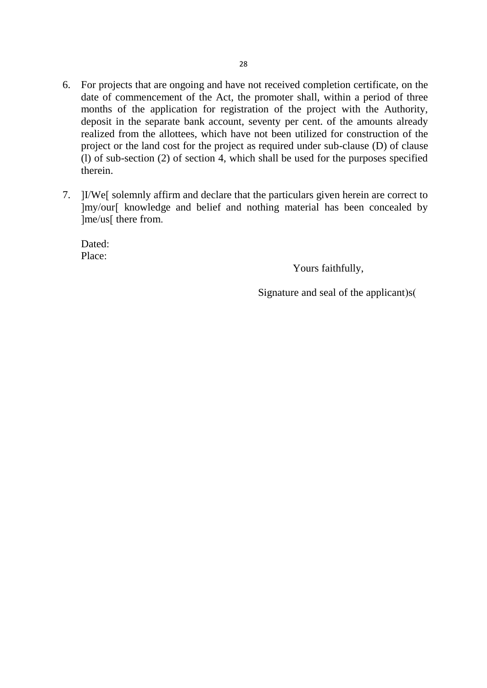- 6. For projects that are ongoing and have not received completion certificate, on the date of commencement of the Act, the promoter shall, within a period of three months of the application for registration of the project with the Authority, deposit in the separate bank account, seventy per cent. of the amounts already realized from the allottees, which have not been utilized for construction of the project or the land cost for the project as required under sub-clause (D) of clause (1) of sub-section (2) of section 4, which shall be used for the purposes specified therein.
- 7. [I/We] solemnly affirm and declare that the particulars given herein are correct to [my/our] knowledge and belief and nothing material has been concealed by [me/us] there from.

Dated: Place:

Yours faithfully,

Signature and seal of the applicant) $s($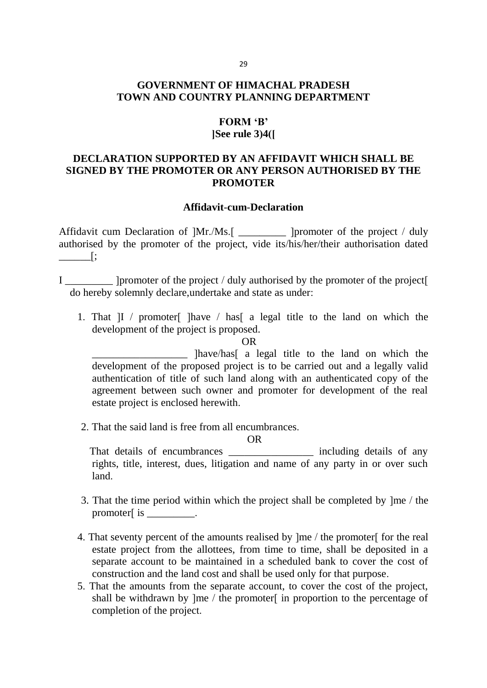# **GOVERNMENT OF HIMACHAL PRADESH TOWN AND COUNTRY PLANNING DEPARTMENT**

# **FORM 'B'**

# **[See rule 3(4)]**

# **DECLARATION SUPPORTED BY AN AFFIDAVIT WHICH SHALL BE SIGNED BY THE PROMOTER OR ANY PERSON AUTHORISED BY THE PROMOTER**

#### **Affidavit**-**cum**-**Declaration**

Affidavit cum Declaration of ]Mr./Ms.[ \_\_\_\_\_\_\_\_\_ ]promoter of the project / duly authorised by the promoter of the project, vide its/his/her/their authorisation dated  $\overline{\phantom{a}}$ 

I helpromoter of the project / duly authorised by the promoter of the project  $\lceil$ do hereby solemnly declare,undertake and state as under:

1. That  $|I \rangle$  promoter  $|I \rangle$  have  $|I \rangle$  has a legal title to the land on which the development of the project is proposed.

OR

\_\_\_\_\_\_\_\_\_\_\_\_\_\_\_\_\_\_ [have/has] a legal title to the land on which the development of the proposed project is to be carried out and a legally valid authentication of title of such land along with an authenticated copy of the agreement between such owner and promoter for development of the real estate project is enclosed herewith.

2. That the said land is free from all encumbrances.

OR

That details of encumbrances including details of any rights, title, interest, dues, litigation and name of any party in or over such land.

- 3. That the time period within which the project shall be completed by [me / the promoter $\int$  is  $\Box$
- 4. That seventy percent of the amounts realised by [me / the promoter] for the real estate project from the allottees, from time to time, shall be deposited in a separate account to be maintained in a scheduled bank to cover the cost of construction and the land cost and shall be used only for that purpose.
- 5. That the amounts from the separate account, to cover the cost of the project, shall be withdrawn by  $\text{Im}$  / the promoter in proportion to the percentage of completion of the project.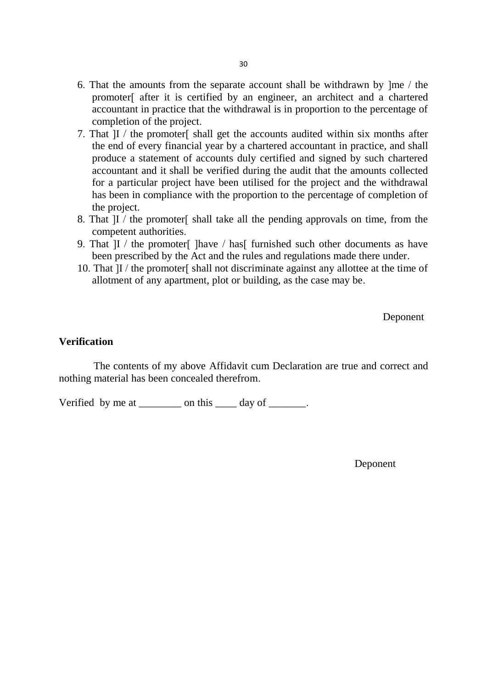- 6. That the amounts from the separate account shall be withdrawn by [me / the promoter] after it is certified by an engineer, an architect and a chartered accountant in practice that the withdrawal is in proportion to the percentage of completion of the project.
- 7. That [I / the promoter] shall get the accounts audited within six months after the end of every financial year by a chartered accountant in practice, and shall produce a statement of accounts duly certified and signed by such chartered accountant and it shall be verified during the audit that the amounts collected for a particular project have been utilised for the project and the withdrawal has been in compliance with the proportion to the percentage of completion of the project.
- 8. That II / the promoter [shall take all the pending approvals on time, from the competent authorities.
- 9. That  $|I|$  / the promoter  $|I|$  have  $|I|$  has  $|I|$  furnished such other documents as have been prescribed by the Act and the rules and regulations made there under.
- 10. That [I / the promoter] shall not discriminate against any allottee at the time of allotment of any apartment, plot or building, as the case may be.

Deponent

#### **Verification**

 The contents of my above Affidavit cum Declaration are true and correct and nothing material has been concealed therefrom.

Verified by me at \_\_\_\_\_\_\_\_ on this \_\_\_\_\_ day of \_\_\_\_\_\_.

Deponent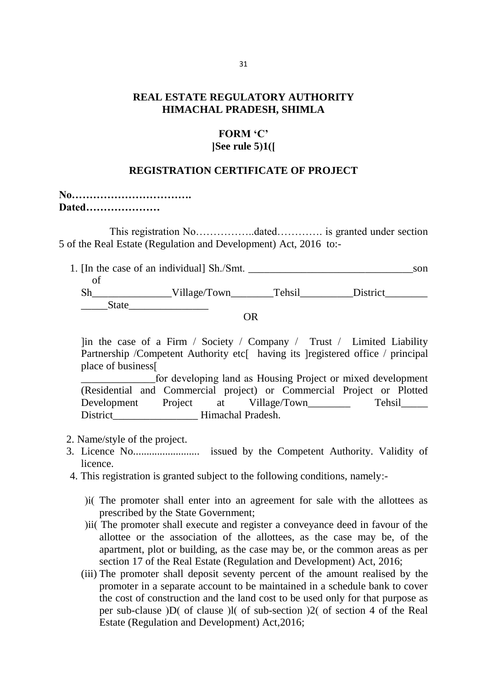### **REAL ESTATE REGULATORY AUTHORITY HIMACHAL PRADESH, SHIMLA**

### **FORM 'C' [See rule 5(1)]**

#### **REGISTRATION CERTIFICATE OF PROJECT**

| Dated |  |  |  |
|-------|--|--|--|

 This registration No……………..dated…………. is granted under section 5 of the Real Estate (Regulation and Development) Act, 2016 to:-

|       | 1. [In the case of an individual] Sh./Smt. |        |          | son |
|-------|--------------------------------------------|--------|----------|-----|
|       |                                            |        |          |     |
|       | Village/Town                               | Tehsil | District |     |
| State |                                            |        |          |     |

OR

 $\lim$  the case of a Firm / Society / Company / Trust / Limited Liability Partnership /Competent Authority etc[ having its ]registered office / principal place of business]

\_\_\_\_\_\_\_\_\_\_\_\_\_\_for developing land as Housing Project or mixed development (Residential and Commercial project) or Commercial Project or Plotted Development Project at Village/Town Tehsil District Himachal Pradesh.

- 2. Name/style of the project.
- 3. Licence No......................... issued by the Competent Authority. Validity of licence.
- 4. This registration is granted subject to the following conditions, namely:-
	- ) i(The promoter shall enter into an agreement for sale with the allottees as prescribed by the State Government;
	- (ii) The promoter shall execute and register a conveyance deed in favour of the allottee or the association of the allottees, as the case may be, of the apartment, plot or building, as the case may be, or the common areas as per section 17 of the Real Estate (Regulation and Development) Act, 2016;
	- (iii) The promoter shall deposit seventy percent of the amount realised by the promoter in a separate account to be maintained in a schedule bank to cover the cost of construction and the land cost to be used only for that purpose as per sub-clause  $|D|$  of clause  $|I|$  of sub-section  $|2|$  of section 4 of the Real Estate (Regulation and Development) Act,2016;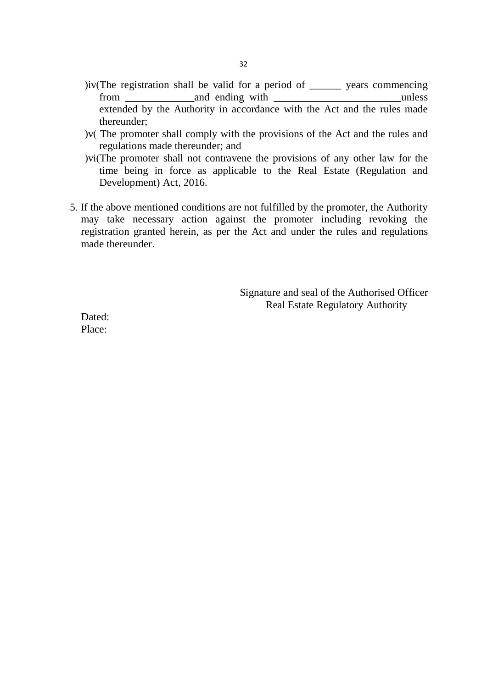- ) $iv$ (The registration shall be valid for a period of  $\_\_\_\_\$  years commencing from and ending with unless extended by the Authority in accordance with the Act and the rules made thereunder;
- $)v($  The promoter shall comply with the provisions of the Act and the rules and regulations made thereunder; and
- )vi(The promoter shall not contravene the provisions of any other law for the time being in force as applicable to the Real Estate (Regulation and Development) Act, 2016.
- 5. If the above mentioned conditions are not fulfilled by the promoter, the Authority may take necessary action against the promoter including revoking the registration granted herein, as per the Act and under the rules and regulations made thereunder.

Signature and seal of the Authorised Officer Real Estate Regulatory Authority

Dated: Place: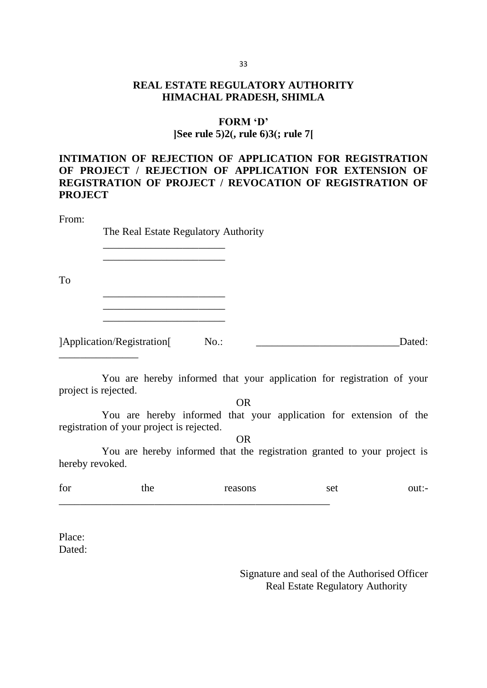# **REAL ESTATE REGULATORY AUTHORITY HIMACHAL PRADESH, SHIMLA**

#### **FORM 'D'**

### **[See rule 5(2), rule 6(3); rule 7]**

# **INTIMATION OF REJECTION OF APPLICATION FOR REGISTRATION OF PROJECT / REJECTION OF APPLICATION FOR EXTENSION OF REGISTRATION OF PROJECT / REVOCATION OF REGISTRATION OF PROJECT**

#### From:

The Real Estate Regulatory Authority

To

 $\frac{1}{2}$  , and the set of the set of the set of the set of the set of the set of the set of the set of the set of the set of the set of the set of the set of the set of the set of the set of the set of the set of the set \_\_\_\_\_\_\_\_\_\_\_\_\_\_\_\_\_\_\_\_\_\_\_

\_\_\_\_\_\_\_\_\_\_\_\_\_\_\_\_\_\_\_\_\_\_\_

\_\_\_\_\_\_\_\_\_\_\_\_\_\_\_\_\_\_\_\_\_\_\_ \_\_\_\_\_\_\_\_\_\_\_\_\_\_\_\_\_\_\_\_\_\_\_

\_\_\_\_\_\_\_\_\_\_\_\_\_\_\_

[Application/Registration] No.: \_\_\_\_\_\_\_\_\_\_\_\_\_\_\_\_\_\_\_\_\_\_\_\_\_\_\_Dated:

 You are hereby informed that your application for registration of your project is rejected.

# OR

 You are hereby informed that your application for extension of the registration of your project is rejected.

OR

 You are hereby informed that the registration granted to your project is hereby revoked.

| $\sim$<br>$+$ $-$<br>ш<br>TV. |  | -<br>. |  |
|-------------------------------|--|--------|--|
|                               |  |        |  |

Place: Dated:

> Signature and seal of the Authorised Officer Real Estate Regulatory Authority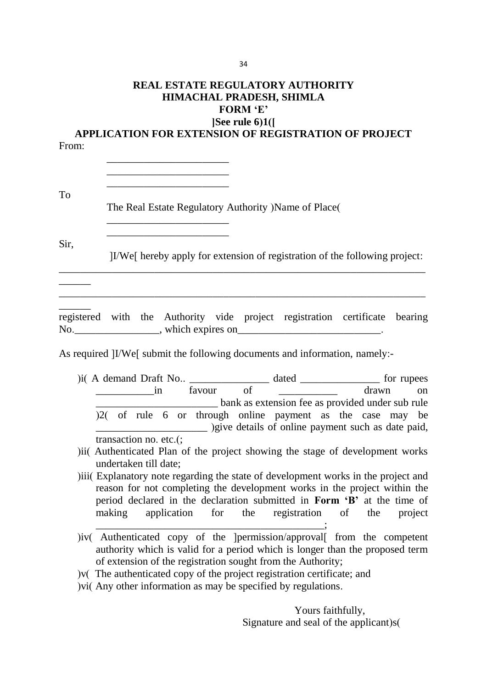### **REAL ESTATE REGULATORY AUTHORITY HIMACHAL PRADESH, SHIMLA FORM 'E' [See rule 6(1)]**

**APPLICATION FOR EXTENSION OF REGISTRATION OF PROJECT** From:

To

The Real Estate Regulatory Authority (Name of Place)

\_\_\_\_\_\_\_\_\_\_\_\_\_\_\_\_\_\_\_\_\_\_\_ \_\_\_\_\_\_\_\_\_\_\_\_\_\_\_\_\_\_\_\_\_\_\_ \_\_\_\_\_\_\_\_\_\_\_\_\_\_\_\_\_\_\_\_\_\_\_

\_\_\_\_\_\_\_\_\_\_\_\_\_\_\_\_\_\_\_\_\_\_\_ \_\_\_\_\_\_\_\_\_\_\_\_\_\_\_\_\_\_\_\_\_\_\_

Sir,

 $\overline{\phantom{a}}$ 

 $\overline{\phantom{a}}$ 

[I/We] hereby apply for extension of registration of the following project:

registered with the Authority vide project registration certificate bearing No. which expires on Theorem 2.

\_\_\_\_\_\_\_\_\_\_\_\_\_\_\_\_\_\_\_\_\_\_\_\_\_\_\_\_\_\_\_\_\_\_\_\_\_\_\_\_\_\_\_\_\_\_\_\_\_\_\_\_\_\_\_\_\_\_\_\_\_\_\_\_\_\_\_\_\_

\_\_\_\_\_\_\_\_\_\_\_\_\_\_\_\_\_\_\_\_\_\_\_\_\_\_\_\_\_\_\_\_\_\_\_\_\_\_\_\_\_\_\_\_\_\_\_\_\_\_\_\_\_\_\_\_\_\_\_\_\_\_\_\_\_\_\_\_\_

As required *II/We* submit the following documents and information, namely:-

- $(i)$  A demand Draft No..  $\frac{1}{i}$  favour of dated  $\frac{1}{i}$  for rupees drawn on  $\frac{1}{\sqrt{1-\frac{1}{\sqrt{1-\frac{1}{\sqrt{1-\frac{1}{\sqrt{1-\frac{1}{\sqrt{1-\frac{1}{\sqrt{1-\frac{1}{\sqrt{1-\frac{1}{\sqrt{1-\frac{1}{\sqrt{1-\frac{1}{\sqrt{1-\frac{1}{\sqrt{1-\frac{1}{\sqrt{1-\frac{1}{\sqrt{1-\frac{1}{\sqrt{1-\frac{1}{\sqrt{1-\frac{1}{\sqrt{1-\frac{1}{\sqrt{1-\frac{1}{\sqrt{1-\frac{1}{\sqrt{1-\frac{1}{\sqrt{1-\frac{1}{\sqrt{1-\frac{1}{\sqrt{1-\frac{1}{\sqrt{1-\frac{1}{\sqrt{1-\frac{1$ \_\_\_\_\_\_\_\_\_\_\_\_\_\_\_\_\_\_\_\_\_\_\_ bank as extension fee as provided under sub rule  $(2)$  of rule 6 or through online payment as the case may be **EXECUTE:** (give details of online payment such as date paid, transaction no. etc.(;
- )ii( Authenticated Plan of the project showing the stage of development works undertaken till date;
- ) iii) Explanatory note regarding the state of development works in the project and reason for not completing the development works in the project within the period declared in the declaration submitted in **Form 'B'** at the time of making application for the registration of the project  $\mathcal{L}$  and  $\mathcal{L}$  and  $\mathcal{L}$  and  $\mathcal{L}$
- )iv( Authenticated copy of the [permission/approval] from the competent authority which is valid for a period which is longer than the proposed term of extension of the registration sought from the Authority;

 $\gamma$  The authenticated copy of the project registration certificate; and

(vi) Next of Vi) Next information as may be specified by regulations.

Yours faithfully, Signature and seal of the applicant) $s($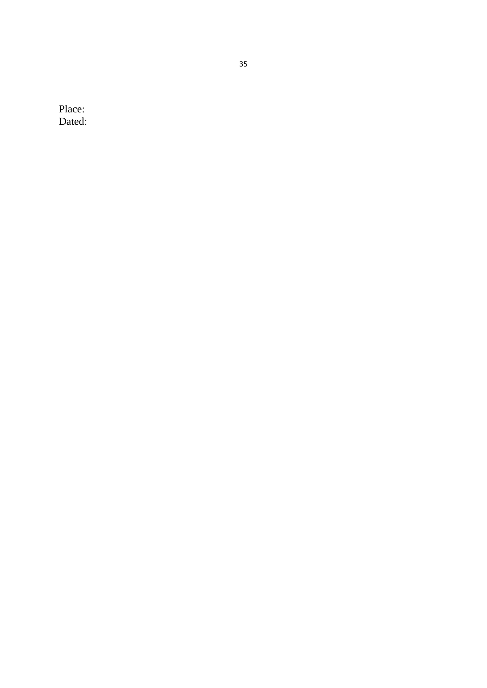Place : Dated :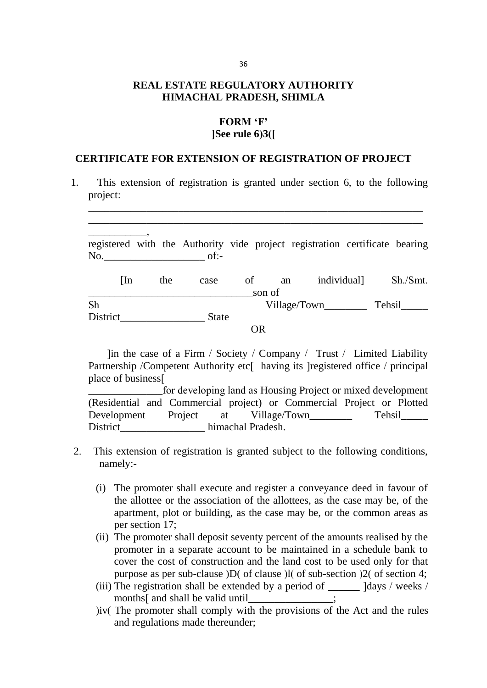# **REAL ESTATE REGULATORY AUTHORITY HIMACHAL PRADESH, SHIMLA**

### **FORM 'F' [See rule 6(3)]**

#### **CERTIFICATE FOR EXTENSION OF REGISTRATION OF PROJECT**

 1. This extension of registration is granted under section 6, to the following project:

\_\_\_\_\_\_\_\_\_\_\_\_\_\_\_\_\_\_\_\_\_\_\_\_\_\_\_\_\_\_\_\_\_\_\_\_\_\_\_\_\_\_\_\_\_\_\_\_\_\_\_\_\_\_\_\_\_\_\_\_\_\_\_ \_\_\_\_\_\_\_\_\_\_\_\_\_\_\_\_\_\_\_\_\_\_\_\_\_\_\_\_\_\_\_\_\_\_\_\_\_\_\_\_\_\_\_\_\_\_\_\_\_\_\_\_\_\_\_\_\_\_\_\_\_\_\_

\_\_\_\_\_\_\_\_\_\_\_, registered with the Authority vide project registration certificate bearing No.\_\_\_\_\_\_\_\_\_\_\_\_\_\_\_\_\_\_\_ of:- [In the case of an individual] Sh./Smt. \_\_\_\_\_\_\_\_\_\_\_\_\_\_\_\_\_\_\_\_\_\_\_\_\_\_\_\_\_\_\_son of

Sh Village/Town Tehsil District State

OR

 $\lim$  the case of a Firm / Society / Company / Trust / Limited Liability Partnership /Competent Authority etc<br/>[ having its ]registered office / principal place of business]

\_\_\_\_\_\_\_\_\_\_\_\_\_\_for developing land as Housing Project or mixed development (Residential and Commercial project) or Commercial Project or Plotted Development Project at Village/Town Tehsil District himachal Pradesh.

- 2. This extension of registration is granted subject to the following conditions, namely:-
	- (i) The promoter shall execute and register a conveyance deed in favour of the allottee or the association of the allottees, as the case may be, of the apartment, plot or building, as the case may be, or the common areas as per section 17;
	- (ii) The promoter shall deposit seventy percent of the amounts realised by the promoter in a separate account to be maintained in a schedule bank to cover the cost of construction and the land cost to be used only for that purpose as per sub-clause  $\overline{D}$  of clause  $\overline{D}$  of sub-section  $\overline{2}$  of section 4;
	- (iii) The registration shall be extended by a period of  $\qquad$  ldays / weeks / months<sup>[</sup> and shall be valid until intervalsed intervalsed intervalsed intervalsed intervalsed in the set of  $\frac{1}{2}$
	- )iv( The promoter shall comply with the provisions of the Act and the rules and regulations made thereunder;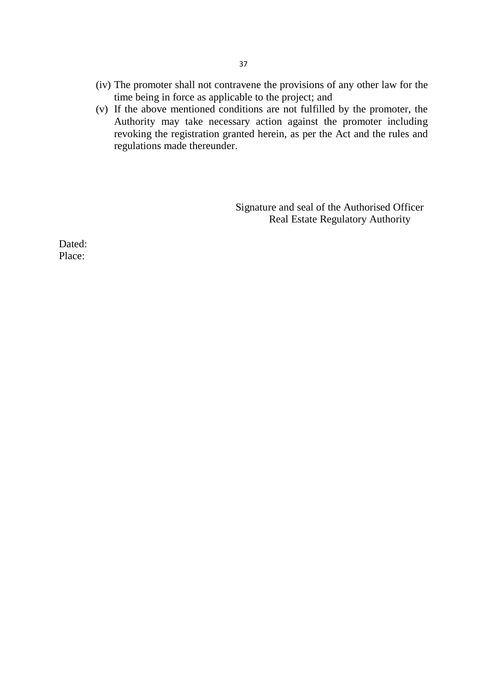- (iv) The promoter shall not contravene the provisions of any other law for the time being in force as applicable to the project; and
- (v) If the above mentioned conditions are not fulfilled by the promoter, the Authority may take necessary action against the promoter including revoking the registration granted herein, as per the Act and the rules and regulations made thereunder.

Signature and seal of the Authorised Officer Real Estate Regulatory Authority

Dated: Place: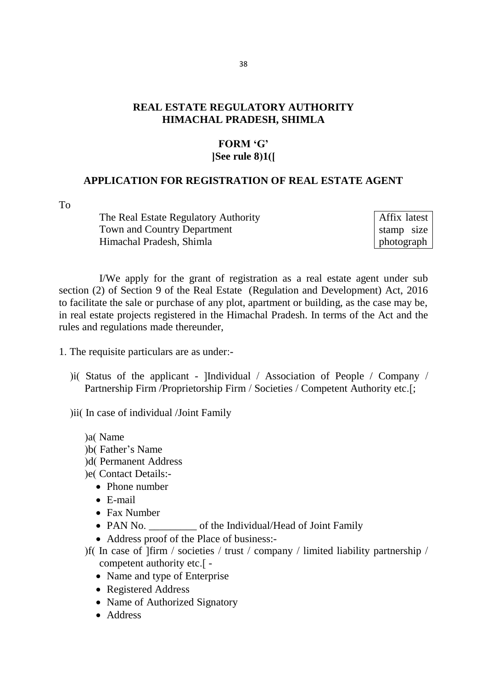### **REAL ESTATE REGULATORY AUTHORITY HIMACHAL PRADESH, SHIMLA**

#### **FORM 'G' [See rule 8(1)]**

#### **APPLICATION FOR REGISTRATION OF REAL ESTATE AGENT**

To

The Real Estate Regulatory Authority Town and Country Department Himachal Pradesh, Shimla

Affix latest stamp size photograph

I/We apply for the grant of registration as a real estate agent under sub section (2) of Section 9 of the Real Estate (Regulation and Development) Act, 2016 to facilitate the sale or purchase of any plot, apartment or building, as the case may be, in real estate projects registered in the Himachal Pradesh. In terms of the Act and the rules and regulations made thereunder,

1. The requisite particulars are as under:-

) i( Status of the applicant - [Individual / Association of People / Company / Partnership Firm /Proprietorship Firm / Societies / Competent Authority etc.[;

) ii( In case of individual /Joint Family

)a(Name )b(Father's Name) )d( Permanent Address )e( Contact Details:-

- Phone number
- E-mail
- Fax Number
- PAN No. of the Individual/Head of Joint Family
- Address proof of the Place of business:-
- ) If In case of  $I$ firm / societies / trust / company / limited liability partnership / competent authority etc.] -
	- Name and type of Enterprise
	- Registered Address
	- Name of Authorized Signatory
	- Address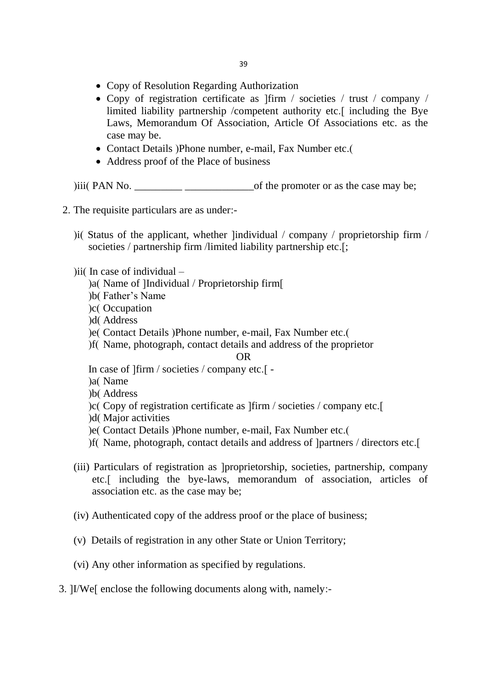- Copy of Resolution Regarding Authorization
- Copy of registration certificate as  $\lim /$  societies  $/$  trust  $/$  company  $/$ limited liability partnership /competent authority etc.<sup>[</sup> including the Bye Laws, Memorandum Of Association, Article Of Associations etc. as the case may be.
- Contact Details (Phone number, e-mail, Fax Number etc.)
- Address proof of the Place of business

 $(iii)$  PAN No.  $\_\_\_\_\_\_\_\_\_\_\_\_$  of the promoter or as the case may be;

- 2. The requisite particulars are as under:-
	- ) i(Status of the applicant, whether [individual  $/$  company  $/$  proprietorship firm  $/$ societies / partnership firm /limited liability partnership etc.[;
	- )ii( In case of individual  $-$ 
		- (a) Name of IIndividual / Proprietorship firm
		- (b) Father's Name
		- (c) Occupation
		- d( Address
		- ) e( Contact Details ) Phone number, e-mail, Fax Number etc.
		- (f) Name, photograph, contact details and address of the proprietor

#### OR

In case of  $\lim$  / societies / company etc. [-

- )a(Name
- )b(Address
- ) c( Copy of registration certificate as  $|f\|$  / societies / company etc.
- ) d(Major activities
- ) e( Contact Details ) Phone number, e-mail, Fax Number etc.
- (f) Name, photograph, contact details and address of [partners / directors etc.]
- (iii) Particulars of registration as [proprietorship, societies, partnership, company etc.] including the bye-laws, memorandum of association, articles of association etc. as the case may be;
- (iv) Authenticated copy of the address proof or the place of business;
- (v) Details of registration in any other State or Union Territory;
- (vi) Any other information as specified by regulations.
- 3. [I/We] enclose the following documents along with, namely:-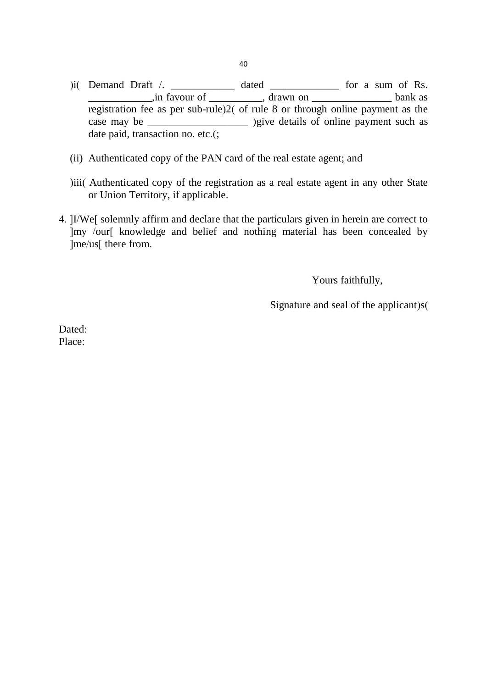- $(i)$  Demand Draft  $\ell$ . \_\_\_\_\_\_\_\_\_\_\_\_\_\_\_,in favour of \_\_\_\_\_\_\_\_\_\_\_, drawn on \_\_\_\_\_\_\_\_\_\_\_\_\_\_\_\_\_\_\_\_\_\_\_ bank as registration fee as per sub-rule) $2($  of rule 8 or through online payment as the case may be \_\_\_\_\_\_\_\_\_\_\_\_\_\_\_\_\_\_\_\_\_\_ )give details of online payment such as date paid, transaction no. etc.(;
- (ii) Authenticated copy of the PAN card of the real estate agent; and
- ) iii) Authenticated copy of the registration as a real estate agent in any other State or Union Territory, if applicable.
- 4. [I/We] solemnly affirm and declare that the particulars given in herein are correct to [my /our] knowledge and belief and nothing material has been concealed by [me/us] there from.

Yours faithfully,

Signature and seal of the applicant) $s($ 

Dated: Place: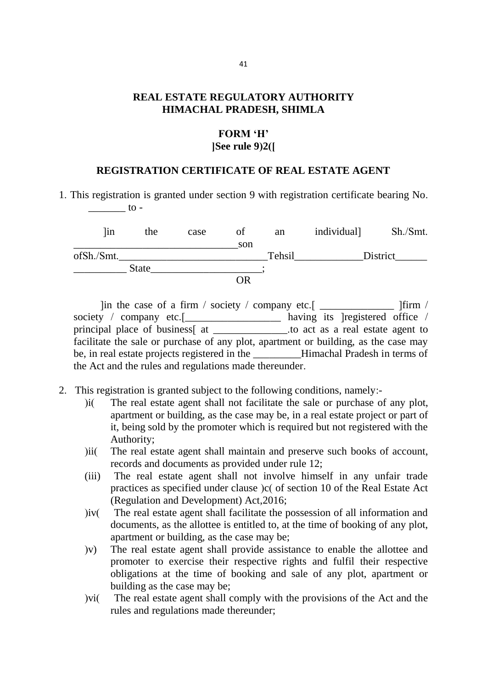### **REAL ESTATE REGULATORY AUTHORITY HIMACHAL PRADESH, SHIMLA**

## **FORM 'H' [See rule 9(2)]**

#### **REGISTRATION CERTIFICATE OF REAL ESTATE AGENT**

1. This registration is granted under section 9 with registration certificate bearing No.  $\frac{1}{\sqrt{1-\frac{1}{c^2}}}$  to -

| lin        | the          | case | ΟÌ  | an     | individual] | Sh./Smt. |
|------------|--------------|------|-----|--------|-------------|----------|
|            |              |      | son |        |             |          |
| ofSh./Smt. |              |      |     | Tehsil |             | District |
|            | <b>State</b> |      |     |        |             |          |
|            |              |      | OR  |        |             |          |

 $\lim$  the case of a firm / society / company etc.  $\lim$   $\lim$  / society / company etc.<sup>[</sup>\_\_\_\_\_\_\_\_\_\_\_\_\_\_\_\_\_\_\_\_\_ having its [registered office / principal place of business] at \_\_\_\_\_\_\_\_\_\_\_\_\_\_.to act as a real estate agent to facilitate the sale or purchase of any plot, apartment or building, as the case may be, in real estate projects registered in the Himachal Pradesh in terms of the Act and the rules and regulations made thereunder.

- 2. This registration is granted subject to the following conditions, namely:-
	- (i) The real estate agent shall not facilitate the sale or purchase of any plot, apartment or building, as the case may be, in a real estate project or part of it, being sold by the promoter which is required but not registered with the Authority;
	- )ii( The real estate agent shall maintain and preserve such books of account, records and documents as provided under rule 12;
	- (iii) The real estate agent shall not involve himself in any unfair trade practices as specified under clause (c) of section 10 of the Real Estate Act (Regulation and Development) Act,2016;
	- (iv) The real estate agent shall facilitate the possession of all information and documents, as the allottee is entitled to, at the time of booking of any plot, apartment or building, as the case may be;
	- (v) The real estate agent shall provide assistance to enable the allottee and promoter to exercise their respective rights and fulfil their respective obligations at the time of booking and sale of any plot, apartment or building as the case may be;
	- ) vi( The real estate agent shall comply with the provisions of the Act and the rules and regulations made thereunder;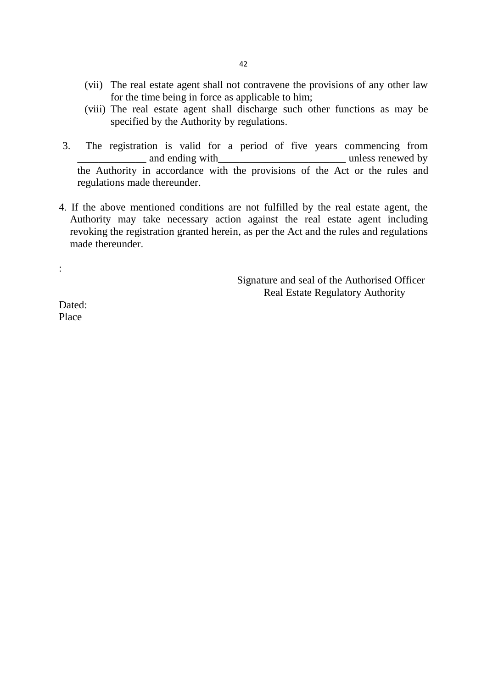- (vii) The real estate agent shall not contravene the provisions of any other law for the time being in force as applicable to him;
- (viii) The real estate agent shall discharge such other functions as may be specified by the Authority by regulations.
- 3. The registration is valid for a period of five years commencing from and ending with and the state of the state of the state of the state of the state of the state of the state of the state of the state of the state of the state of the state of the state of the state of the state of the sta the Authority in accordance with the provisions of the Act or the rules and regulations made thereunder.
- 4. If the above mentioned conditions are not fulfilled by the real estate agent, the Authority may take necessary action against the real estate agent including revoking the registration granted herein, as per the Act and the rules and regulations made thereunder

 Signature and seal of the Authorised Officer Real Estate Regulatory Authority

Dated: Place

: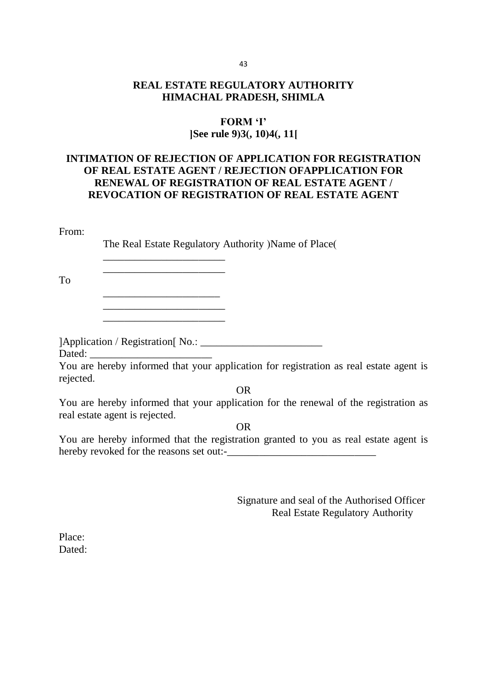## **REAL ESTATE REGULATORY AUTHORITY HIMACHAL PRADESH, SHIMLA**

## **FORM 'I' [See rule 9(3), 10(4), 11]**

## **INTIMATION OF REJECTION OF APPLICATION FOR REGISTRATION OF REAL ESTATE AGENT / REJECTION OFAPPLICATION FOR RENEWAL OF REGISTRATION OF REAL ESTATE AGENT / REVOCATION OF REGISTRATION OF REAL ESTATE AGENT**

#### From:

The Real Estate Regulatory Authority (Name of Place)

To

[Application / Registration] No.: \_\_\_\_\_\_\_\_\_\_\_\_\_\_\_\_\_\_\_\_\_\_\_

\_\_\_\_\_\_\_\_\_\_\_\_\_\_\_\_\_\_\_\_\_\_\_  $\_$ 

\_\_\_\_\_\_\_\_\_\_\_\_\_\_\_\_\_\_\_\_\_\_  $\frac{1}{2}$  ,  $\frac{1}{2}$  ,  $\frac{1}{2}$  ,  $\frac{1}{2}$  ,  $\frac{1}{2}$  ,  $\frac{1}{2}$  ,  $\frac{1}{2}$  ,  $\frac{1}{2}$  ,  $\frac{1}{2}$  ,  $\frac{1}{2}$  ,  $\frac{1}{2}$  ,  $\frac{1}{2}$  ,  $\frac{1}{2}$  ,  $\frac{1}{2}$  ,  $\frac{1}{2}$  ,  $\frac{1}{2}$  ,  $\frac{1}{2}$  ,  $\frac{1}{2}$  ,  $\frac{1$ \_\_\_\_\_\_\_\_\_\_\_\_\_\_\_\_\_\_\_\_\_\_\_

Dated:

You are hereby informed that your application for registration as real estate agent is rejected.

OR

You are hereby informed that your application for the renewal of the registration as real estate agent is rejected.

OR

You are hereby informed that the registration granted to you as real estate agent is hereby revoked for the reasons set out:-\_\_\_\_\_\_\_\_\_\_\_\_\_\_\_\_\_\_\_\_\_\_\_\_\_\_\_\_

> Signature and seal of the Authorised Officer Real Estate Regulatory Authority

Place: Dated: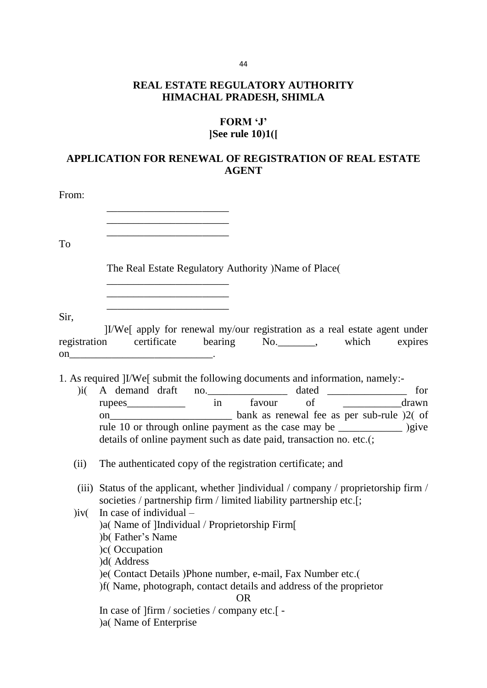# **REAL ESTATE REGULATORY AUTHORITY HIMACHAL PRADESH, SHIMLA**

## **FORM 'J' [See rule 10(1)]**

# **APPLICATION FOR RENEWAL OF REGISTRATION OF REAL ESTATE AGENT**

| From: |                                                                                                                                                                                                                                                                                                                                                                       |
|-------|-----------------------------------------------------------------------------------------------------------------------------------------------------------------------------------------------------------------------------------------------------------------------------------------------------------------------------------------------------------------------|
|       |                                                                                                                                                                                                                                                                                                                                                                       |
| To    |                                                                                                                                                                                                                                                                                                                                                                       |
|       | The Real Estate Regulatory Authority ) Name of Place (                                                                                                                                                                                                                                                                                                                |
| Sir,  | <u> 1980 - John Harry Harry Harry Harry Harry Harry Harry Harry Harry Harry Harry Harry Harry Harry Harry Harry Harry Harry Harry Harry Harry Harry Harry Harry Harry Harry Harry Harry Harry Harry Harry Harry Harry Harry Harr</u><br>the control of the control of the control of the control of the control of                                                    |
|       | IVWe [apply for renewal my/our registration as a real estate agent under<br>registration certificate bearing No. Mo. Moreover, which expires                                                                                                                                                                                                                          |
|       | 1. As required ]I/We[ submit the following documents and information, namely:-<br>)i( A demand draft no. ________________ dated ______________ for<br>rupees________________ in favour of __________________drawn<br>rule 10 or through online payment as the case may be ______________ )give<br>details of online payment such as date paid, transaction no. etc.(; |
| (ii)  | The authenticated copy of the registration certificate; and                                                                                                                                                                                                                                                                                                           |
|       | (iii) Status of the applicant, whether lindividual / company / proprietorship firm /<br>societies / partnership firm / limited liability partnership etc.[;                                                                                                                                                                                                           |
| jiv(  | In case of individual $-$<br>)a( Name of ]Individual / Proprietorship Firm[<br>)b(Father's Name)<br>)c(Occupation<br>)d(Address                                                                                                                                                                                                                                       |
|       | ) e( Contact Details ) Phone number, e-mail, Fax Number etc.<br>)f(Name, photograph, contact details and address of the proprietor<br><b>OR</b>                                                                                                                                                                                                                       |
|       | In case of ] firm / societies / company etc.[ -<br>)a( Name of Enterprise                                                                                                                                                                                                                                                                                             |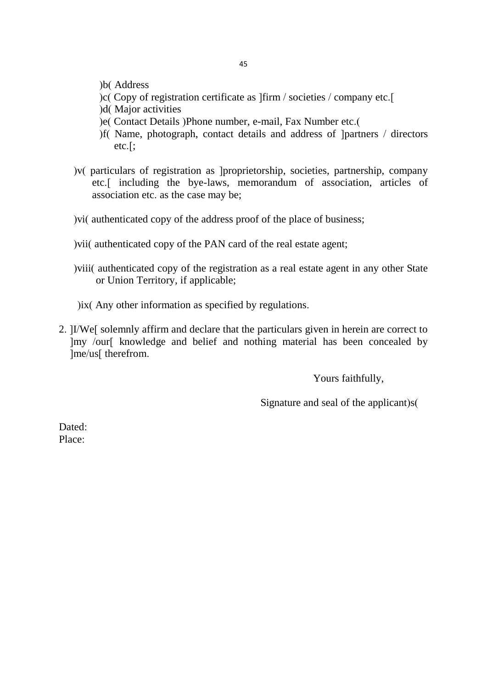- )b(Address
- $|c|$  Copy of registration certificate as  $|f\|$  / societies / company etc.
- )d(Major activities
- e (Contact Details )Phone number, e-mail, Fax Number etc.
- (f) Name, photograph, contact details and address of [partners / directors etc.];
- ) v( particulars of registration as [proprietorship, societies, partnership, company etc.] including the bye-laws, memorandum of association, articles of association etc. as the case may be;
- ) vi( authenticated copy of the address proof of the place of business;
- ) vii( authenticated copy of the PAN card of the real estate agent;
- ) viii( authenticated copy of the registration as a real estate agent in any other State or Union Territory, if applicable;
- $i$ ix( Any other information as specified by regulations.
- 2. [I/We] solemnly affirm and declare that the particulars given in herein are correct to [my /our] knowledge and belief and nothing material has been concealed by lme/us<sub>[therefrom.]</sub>

Yours faithfully,

Signature and seal of the applicant) $s($ 

Dated: Place: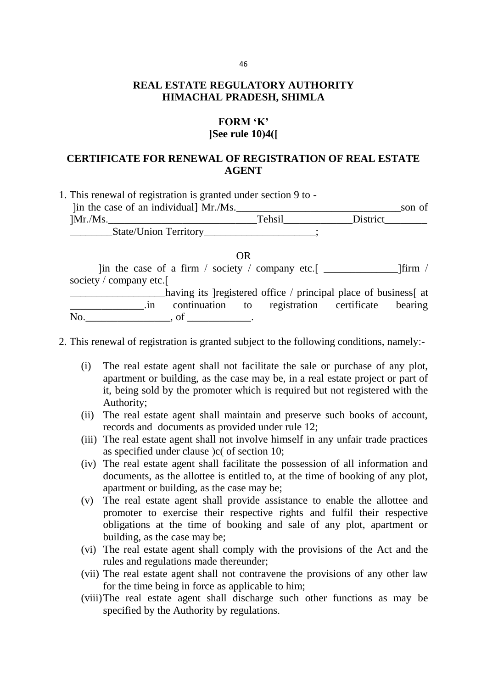## **REAL ESTATE REGULATORY AUTHORITY HIMACHAL PRADESH, SHIMLA**

#### **FORM 'K' [See rule 10(4)]**

## **CERTIFICATE FOR RENEWAL OF REGISTRATION OF REAL ESTATE AGENT**

| 1. This renewal of registration is granted under section 9 to - |        |          |        |
|-----------------------------------------------------------------|--------|----------|--------|
| [in the case of an individual] Mr./Ms.                          |        |          | son of |
| Mr.Ms.                                                          | Tehsil | District |        |
|                                                                 |        |          |        |
|                                                                 | OR.    |          |        |
| ] lin the case of a firm / society / company etc.[ $\Box$       |        |          | lfirm  |

society / company etc. \_\_\_\_\_\_\_\_\_\_\_\_\_\_\_\_\_\_having its [registered office / principal place of business] at \_\_\_\_\_\_\_\_\_\_\_\_\_\_.in continuation to registration certificate bearing

 $\mathbf{No.}$   $\qquad \qquad$   $\qquad$  of  $\qquad$ 

- 2. This renewal of registration is granted subject to the following conditions, namely:-
	- (i) The real estate agent shall not facilitate the sale or purchase of any plot, apartment or building, as the case may be, in a real estate project or part of it, being sold by the promoter which is required but not registered with the Authority;
	- (ii) The real estate agent shall maintain and preserve such books of account, records and documents as provided under rule 12;
	- (iii) The real estate agent shall not involve himself in any unfair trade practices as specified under clause  $\vert c \vert$  of section 10;
	- (iv) The real estate agent shall facilitate the possession of all information and documents, as the allottee is entitled to, at the time of booking of any plot, apartment or building, as the case may be;
	- (v) The real estate agent shall provide assistance to enable the allottee and promoter to exercise their respective rights and fulfil their respective obligations at the time of booking and sale of any plot, apartment or building, as the case may be;
	- (vi) The real estate agent shall comply with the provisions of the Act and the rules and regulations made thereunder;
	- (vii) The real estate agent shall not contravene the provisions of any other law for the time being in force as applicable to him;
	- (viii)The real estate agent shall discharge such other functions as may be specified by the Authority by regulations.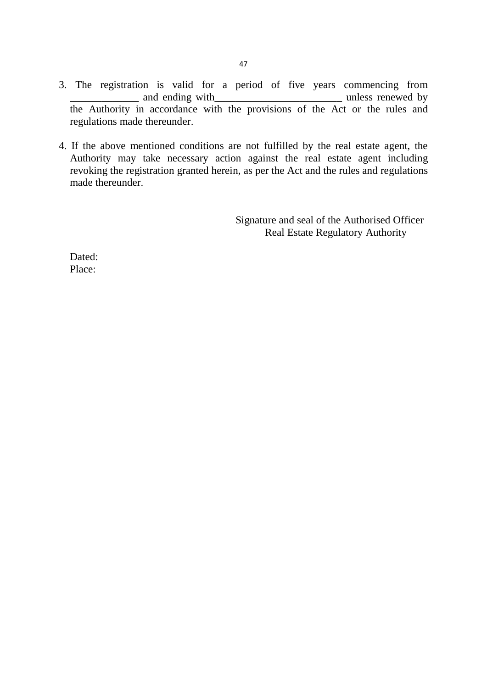- 3. The registration is valid for a period of five years commencing from and ending with and the same with and the same wed by  $\frac{1}{2}$  unless renewed by the Authority in accordance with the provisions of the Act or the rules and regulations made thereunder.
- 4. If the above mentioned conditions are not fulfilled by the real estate agent, the Authority may take necessary action against the real estate agent including revoking the registration granted herein, as per the Act and the rules and regulations made thereunder.

Signature and seal of the Authorised Officer Real Estate Regulatory Authority

Dated: Place: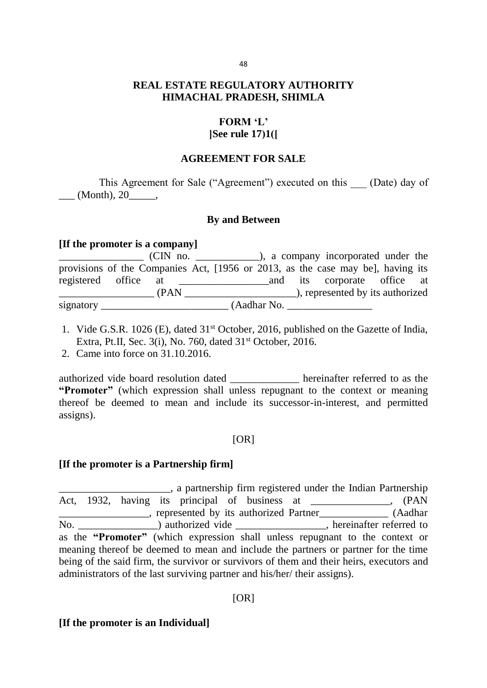## **REAL ESTATE REGULATORY AUTHORITY HIMACHAL PRADESH, SHIMLA**

### **FORM 'L'**

### **[See rule 17(1)]**

#### **AGREEMENT FOR SALE**

This Agreement for Sale ("Agreement") executed on this (Date) day of  $\_\_$  (Month), 20 $\_\_$ 

### **By and Between**

#### **[If the promoter is a company]**

|                      | provisions of the Companies Act, [1956 or 2013, as the case may be], having its |  |                      |  |  |                                  |  |
|----------------------|---------------------------------------------------------------------------------|--|----------------------|--|--|----------------------------------|--|
| registered office at |                                                                                 |  |                      |  |  | and its corporate office at      |  |
|                      | (PAN)                                                                           |  |                      |  |  | ), represented by its authorized |  |
| signatory_           |                                                                                 |  | $(Aadhar$ No. $\_\_$ |  |  |                                  |  |

- 1. Vide G.S.R. 1026 (E), dated 31st October, 2016, published on the Gazette of India, Extra, Pt.II, Sec. 3(i), No. 760, dated 31<sup>st</sup> October, 2016.
- 2. Came into force on 31.10.2016.

authorized vide board resolution dated **hereinafter referred** to as the **"Promoter"** (which expression shall unless repugnant to the context or meaning thereof be deemed to mean and include its successor-in-interest, and permitted assigns).

### [OR]

### **[If the promoter is a Partnership firm]**

\_\_\_\_\_\_\_\_\_\_\_\_\_\_\_\_\_\_\_\_\_, a partnership firm registered under the Indian Partnership Act, 1932, having its principal of business at \_\_\_\_\_\_\_\_\_\_\_\_, (PAN \_\_\_\_\_\_\_\_\_\_\_\_\_\_\_\_\_, represented by its authorized Partner\_\_\_\_\_\_\_\_\_\_\_\_\_ (Aadhar No. \_\_\_\_\_\_\_\_\_\_\_\_\_\_\_\_) authorized vide \_\_\_\_\_\_\_\_\_\_\_\_\_\_\_\_\_, hereinafter referred to as the **"Promoter"** (which expression shall unless repugnant to the context or meaning thereof be deemed to mean and include the partners or partner for the time being of the said firm, the survivor or survivors of them and their heirs, executors and administrators of the last surviving partner and his/her/ their assigns).

### [OR]

#### **[If the promoter is an Individual]**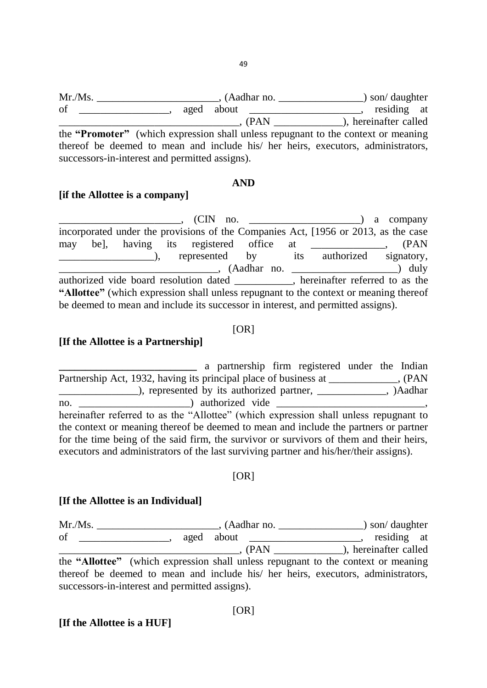Mr./Ms. (Aadhar no.  $\blacksquare$ ) son/ daughter of \_\_\_\_\_\_\_\_\_\_\_\_\_\_, aged about \_\_\_\_\_\_\_\_\_\_\_\_\_\_\_\_\_\_\_, residing at  $\overline{P}$   $\overline{P}$   $\overline{P}$   $\overline{P}$   $\overline{P}$   $\overline{P}$   $\overline{P}$   $\overline{P}$   $\overline{P}$   $\overline{P}$   $\overline{P}$   $\overline{P}$   $\overline{P}$   $\overline{P}$   $\overline{P}$   $\overline{P}$   $\overline{P}$   $\overline{P}$   $\overline{P}$   $\overline{P}$   $\overline{P}$   $\overline{P}$   $\overline{P}$   $\overline{P}$   $\overline{$ the **"Promoter"** (which expression shall unless repugnant to the context or meaning thereof be deemed to mean and include his/ her heirs, executors, administrators, successors-in-interest and permitted assigns).

#### **AND**

#### **[if the Allottee is a company]**

\_\_\_\_\_\_\_\_\_\_\_\_\_\_\_\_\_\_\_\_\_\_\_, (CIN no. \_\_\_\_\_\_\_\_\_\_\_\_\_\_\_\_\_\_\_\_\_) a company incorporated under the provisions of the Companies Act, [1956 or 2013, as the case may be], having its registered office at \_\_\_\_\_\_\_\_\_\_, (PAN ), represented by its authorized signatory, \_\_\_\_\_\_\_\_\_\_\_\_\_\_\_\_\_\_\_\_\_\_\_\_\_\_\_\_\_\_, (Aadhar no. \_\_\_\_\_\_\_\_\_\_\_\_\_\_\_\_\_\_\_\_) duly authorized vide board resolution dated \_\_\_\_\_\_\_\_\_\_\_, hereinafter referred to as the **"Allottee"** (which expression shall unless repugnant to the context or meaning thereof be deemed to mean and include its successor in interest, and permitted assigns).

### $[OR]$

#### **[If the Allottee is a Partnership]**

**\_\_\_\_\_\_\_\_\_\_\_\_\_\_\_\_\_\_\_\_\_\_\_\_\_\_** a partnership firm registered under the Indian Partnership Act, 1932, having its principal place of business at \_\_\_\_\_\_\_\_\_\_, (PAN \_\_\_\_\_\_\_\_\_\_\_\_\_\_\_), represented by its authorized partner, \_\_\_\_\_\_\_\_\_\_\_\_\_, )Aadhar no.  $\blacksquare$  authorized vide  $\blacksquare$ hereinafter referred to as the "Allottee" (which expression shall unless repugnant to the context or meaning thereof be deemed to mean and include the partners or partner for the time being of the said firm, the survivor or survivors of them and their heirs, executors and administrators of the last surviving partner and his/her/their assigns).

#### $[OR]$

#### **[If the Allottee is an Individual]**

Mr./Ms. \_\_\_\_\_\_\_\_\_\_\_\_\_\_\_\_\_\_\_\_\_\_\_, (Aadhar no. \_\_\_\_\_\_\_\_\_\_\_\_\_\_\_\_) son/ daughter of \_\_\_\_\_\_\_\_\_\_\_\_\_\_\_\_\_, aged about \_\_\_\_\_\_\_\_\_\_\_\_\_\_\_\_\_\_\_\_\_, residing at \_\_\_\_\_\_\_\_\_\_\_\_\_\_\_\_\_\_\_\_\_\_\_\_\_\_\_\_\_\_\_\_\_\_, (PAN \_\_\_\_\_\_\_\_\_\_\_\_\_), hereinafter called the **"Allottee"** (which expression shall unless repugnant to the context or meaning thereof be deemed to mean and include his/ her heirs, executors, administrators, successors-in-interest and permitted assigns).

[OR]

#### **[If the Allottee is a HUF]**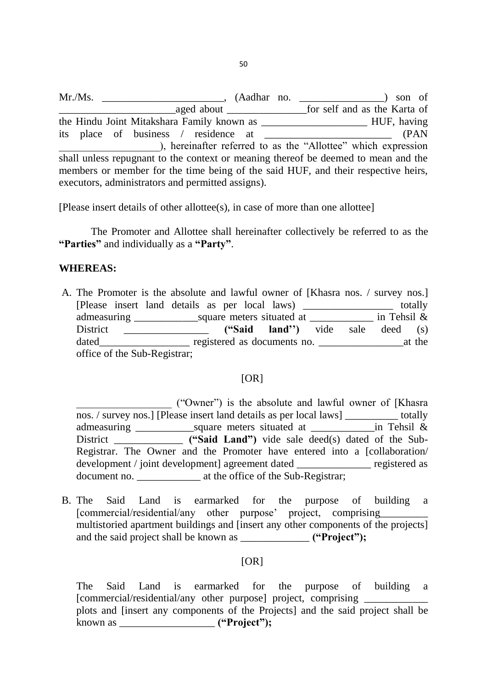Mr./Ms. \_\_\_\_\_\_\_\_\_\_\_\_\_\_\_\_\_\_\_\_\_\_\_, (Aadhar no. \_\_\_\_\_\_\_\_\_\_\_\_\_\_\_\_) son of \_\_\_\_\_\_\_\_\_\_\_\_\_\_\_\_\_\_\_\_\_\_aged about \_\_\_\_\_\_\_\_\_\_\_\_\_\_\_for self and as the Karta of the Hindu Joint Mitakshara Family known as **Example 2018** HUF, having its place of business / residence at \_\_\_\_\_\_\_\_\_\_\_\_\_\_\_\_\_\_\_\_\_\_\_\_ (PAN \_\_\_\_\_\_\_\_\_\_\_\_\_\_\_\_\_\_\_), hereinafter referred to as the "Allottee" which expression shall unless repugnant to the context or meaning thereof be deemed to mean and the members or member for the time being of the said HUF, and their respective heirs, executors, administrators and permitted assigns).

[Please insert details of other allottee(s), in case of more than one allottee]

 The Promoter and Allottee shall hereinafter collectively be referred to as the **"Parties"** and individually as a **"Party"**.

#### **WHEREAS:**

A. The Promoter is the absolute and lawful owner of [Khasra nos. / survey nos.] [Please insert land details as per local laws) \_\_\_\_\_\_\_\_\_\_\_\_\_\_\_\_\_ totally admeasuring \_\_\_\_\_\_\_\_\_\_\_\_square meters situated at \_\_\_\_\_\_\_\_\_\_\_\_ in Tehsil & District \_\_\_\_\_\_\_\_\_\_\_\_\_\_\_\_ **("Said land")** vide sale deed (s) dated\_\_\_\_\_\_\_\_\_\_\_\_\_\_\_\_\_ registered as documents no. \_\_\_\_\_\_\_\_\_\_\_\_\_\_\_\_at the office of the Sub-Registrar;

#### $[OR]$

\_\_\_\_\_\_\_\_\_\_\_\_\_\_\_\_\_\_ ("Owner") is the absolute and lawful owner of [Khasra nos. / survey nos.] [Please insert land details as per local laws] \_\_\_\_\_\_\_\_\_\_ totally admeasuring \_\_\_\_\_\_\_\_\_\_\_square meters situated at \_\_\_\_\_\_\_\_\_\_\_\_in Tehsil & District \_\_\_\_\_\_\_\_\_\_\_\_\_ **("Said Land")** vide sale deed(s) dated of the Sub-Registrar. The Owner and the Promoter have entered into a [collaboration/ development / joint development] agreement dated registered as document no. \_\_\_\_\_\_\_\_\_\_\_\_ at the office of the Sub-Registrar;

B. The Said Land is earmarked for the purpose of building a [commercial/residential/any other purpose' project, comprising multistoried apartment buildings and [insert any other components of the projects] and the said project shall be known as \_\_\_\_\_\_\_\_\_\_\_\_\_ **("Project");**

#### [OR]

The Said Land is earmarked for the purpose of building a [commercial/residential/any other purpose] project, comprising  $\Box$ plots and [insert any components of the Projects] and the said project shall be known as \_\_\_\_\_\_\_\_\_\_\_\_\_\_\_\_\_\_ **("Project");**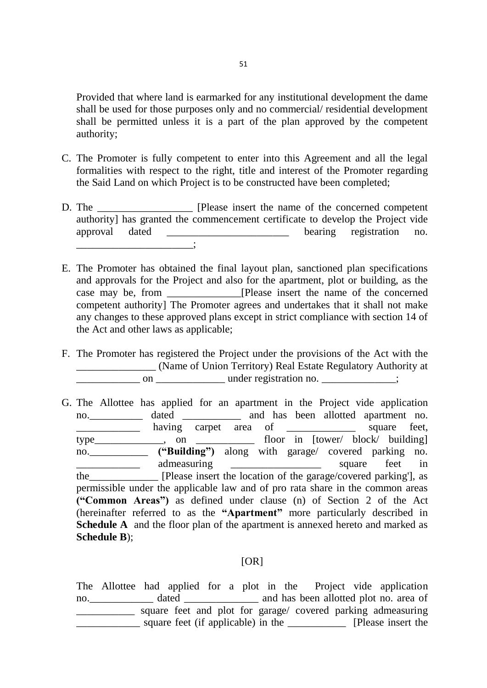Provided that where land is earmarked for any institutional development the dame shall be used for those purposes only and no commercial/ residential development shall be permitted unless it is a part of the plan approved by the competent authority;

- C. The Promoter is fully competent to enter into this Agreement and all the legal formalities with respect to the right, title and interest of the Promoter regarding the Said Land on which Project is to be constructed have been completed;
- D. The \_\_\_\_\_\_\_\_\_\_\_\_\_\_\_\_\_\_ [Please insert the name of the concerned competent authority] has granted the commencement certificate to develop the Project vide approval dated bearing registration no. \_\_\_\_\_\_\_\_\_\_\_\_\_\_\_\_\_\_\_\_\_\_;
- E. The Promoter has obtained the final layout plan, sanctioned plan specifications and approvals for the Project and also for the apartment, plot or building, as the case may be, from \_\_\_\_\_\_\_\_\_\_\_\_\_\_[Please insert the name of the concerned competent authority] The Promoter agrees and undertakes that it shall not make any changes to these approved plans except in strict compliance with section 14 of the Act and other laws as applicable;
- F. The Promoter has registered the Project under the provisions of the Act with the \_\_\_\_\_\_\_\_\_\_\_\_\_\_\_ (Name of Union Territory) Real Estate Regulatory Authority at  $\frac{1}{2}$  on  $\frac{1}{2}$  under registration no.  $\frac{1}{2}$ ;
- G. The Allottee has applied for an apartment in the Project vide application no.\_\_\_\_\_\_\_\_\_\_ dated \_\_\_\_\_\_\_\_\_\_\_ and has been allotted apartment no. \_\_\_\_\_\_\_\_\_\_\_\_\_\_ having carpet area of \_\_\_\_\_\_\_\_\_\_\_\_\_\_ square feet, type\_\_\_\_\_\_\_\_\_\_\_\_\_, on \_\_\_\_\_\_\_\_\_\_\_ floor in [tower/ block/ building] no.\_\_\_\_\_\_\_\_\_\_\_ **("Building")** along with garage/ covered parking no. \_\_\_\_\_\_\_\_\_\_\_\_\_\_\_\_ admeasuring \_\_\_\_\_\_\_\_\_\_\_\_\_\_\_\_\_\_\_\_ square feet in the **EXECUTE:** The **EXECUTE:** [Please insert the location of the garage/covered parking'], as permissible under the applicable law and of pro rata share in the common areas **("Common Areas")** as defined under clause (n) of Section 2 of the Act (hereinafter referred to as the **"Apartment"** more particularly described in **Schedule A** and the floor plan of the apartment is annexed hereto and marked as **Schedule B**);

#### $[OR]$

The Allottee had applied for a plot in the Project vide application no. \_\_\_\_\_\_\_\_\_\_\_\_\_ dated \_\_\_\_\_\_\_\_\_\_\_\_\_\_ and has been allotted plot no. area of square feet and plot for garage/ covered parking admeasuring \_\_\_\_\_\_\_\_\_\_\_\_ square feet (if applicable) in the \_\_\_\_\_\_\_\_\_\_\_ [Please insert the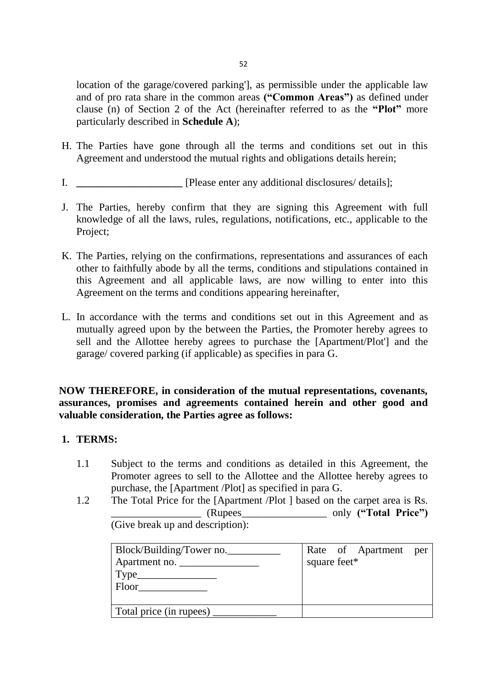location of the garage/covered parking'], as permissible under the applicable law and of pro rata share in the common areas **("Common Areas")** as defined under clause (n) of Section 2 of the Act (hereinafter referred to as the **"Plot"** more particularly described in **Schedule A**);

- H. The Parties have gone through all the terms and conditions set out in this Agreement and understood the mutual rights and obligations details herein;
- I. **\_\_\_\_\_\_\_\_\_\_\_\_\_\_\_\_\_\_\_\_** [Please enter any additional disclosures/ details];
- J. The Parties, hereby confirm that they are signing this Agreement with full knowledge of all the laws, rules, regulations, notifications, etc., applicable to the Project;
- K. The Parties, relying on the confirmations, representations and assurances of each other to faithfully abode by all the terms, conditions and stipulations contained in this Agreement and all applicable laws, are now willing to enter into this Agreement on the terms and conditions appearing hereinafter,
- L. In accordance with the terms and conditions set out in this Agreement and as mutually agreed upon by the between the Parties, the Promoter hereby agrees to sell and the Allottee hereby agrees to purchase the [Apartment/Plot'] and the garage/ covered parking (if applicable) as specifies in para G.

**NOW THEREFORE, in consideration of the mutual representations, covenants, assurances, promises and agreements contained herein and other good and valuable consideration, the Parties agree as follows:** 

## **1. TERMS:**

- 1.1 Subject to the terms and conditions as detailed in this Agreement, the Promoter agrees to sell to the Allottee and the Allottee hereby agrees to purchase, the [Apartment /Plot] as specified in para G.
- 1.2 The Total Price for the [Apartment /Plot ] based on the carpet area is Rs. \_\_\_\_\_\_\_\_\_\_\_\_\_\_\_\_\_ (Rupees\_\_\_\_\_\_\_\_\_\_\_\_\_\_\_\_ only **("Total Price")** (Give break up and description):

| Block/Building/Tower no. |              | Rate of Apartment per |  |
|--------------------------|--------------|-----------------------|--|
| Apartment no.            | square feet* |                       |  |
|                          |              |                       |  |
| Floor                    |              |                       |  |
|                          |              |                       |  |
| Total price (in rupees)  |              |                       |  |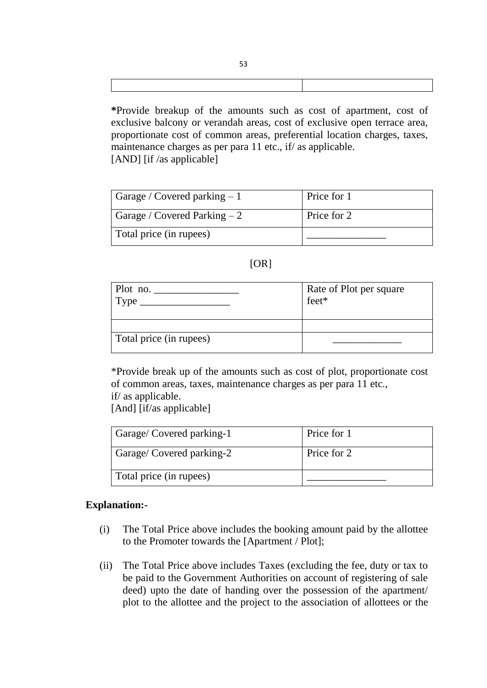| *Provide breakup of the amounts such as cost of apartment, cost of        |
|---------------------------------------------------------------------------|
| exclusive balcony or verandah areas, cost of exclusive open terrace area, |
| proportionate cost of common areas, preferential location charges, taxes, |
| maintenance charges as per para 11 etc., if as applicable.                |
| $[AND]$ [if /as applicable]                                               |

Garage / Covered parking  $-1$  Price for 1 Garage / Covered Parking  $-2$  Price for 2 Total price (in rupees) \_\_\_\_\_\_\_\_\_\_\_\_\_\_\_

## $[OR]$

| Plot no. $\overline{\phantom{0}}$<br>$Type \_\_$ | Rate of Plot per square<br>feet* |
|--------------------------------------------------|----------------------------------|
|                                                  |                                  |
| Total price (in rupees)                          |                                  |

\*Provide break up of the amounts such as cost of plot, proportionate cost of common areas, taxes, maintenance charges as per para 11 etc., if/ as applicable.

[And] [if/as applicable]

| Garage/Covered parking-1 | Price for 1 |
|--------------------------|-------------|
| Garage/Covered parking-2 | Price for 2 |
| Total price (in rupees)  |             |

### **Explanation:-**

- (i) The Total Price above includes the booking amount paid by the allottee to the Promoter towards the [Apartment / Plot];
- (ii) The Total Price above includes Taxes (excluding the fee, duty or tax to be paid to the Government Authorities on account of registering of sale deed) upto the date of handing over the possession of the apartment/ plot to the allottee and the project to the association of allottees or the

53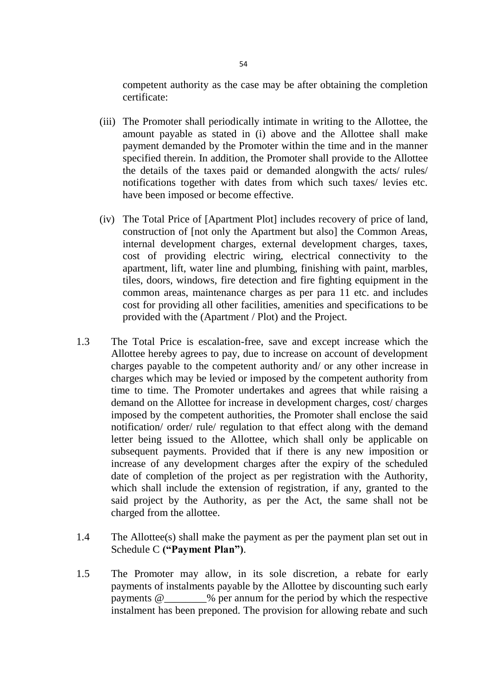competent authority as the case may be after obtaining the completion certificate:

- (iii) The Promoter shall periodically intimate in writing to the Allottee, the amount payable as stated in (i) above and the Allottee shall make payment demanded by the Promoter within the time and in the manner specified therein. In addition, the Promoter shall provide to the Allottee the details of the taxes paid or demanded alongwith the acts/ rules/ notifications together with dates from which such taxes/ levies etc. have been imposed or become effective.
- (iv) The Total Price of [Apartment Plot] includes recovery of price of land, construction of [not only the Apartment but also] the Common Areas, internal development charges, external development charges, taxes, cost of providing electric wiring, electrical connectivity to the apartment, lift, water line and plumbing, finishing with paint, marbles, tiles, doors, windows, fire detection and fire fighting equipment in the common areas, maintenance charges as per para 11 etc. and includes cost for providing all other facilities, amenities and specifications to be provided with the (Apartment / Plot) and the Project.
- 1.3 The Total Price is escalation-free, save and except increase which the Allottee hereby agrees to pay, due to increase on account of development charges payable to the competent authority and/ or any other increase in charges which may be levied or imposed by the competent authority from time to time. The Promoter undertakes and agrees that while raising a demand on the Allottee for increase in development charges, cost/ charges imposed by the competent authorities, the Promoter shall enclose the said notification/ order/ rule/ regulation to that effect along with the demand letter being issued to the Allottee, which shall only be applicable on subsequent payments. Provided that if there is any new imposition or increase of any development charges after the expiry of the scheduled date of completion of the project as per registration with the Authority, which shall include the extension of registration, if any, granted to the said project by the Authority, as per the Act, the same shall not be charged from the allottee.
- 1.4 The Allottee(s) shall make the payment as per the payment plan set out in Schedule C **("Payment Plan")**.
- 1.5 The Promoter may allow, in its sole discretion, a rebate for early payments of instalments payable by the Allottee by discounting such early payments @\_\_\_\_\_\_\_\_% per annum for the period by which the respective instalment has been preponed. The provision for allowing rebate and such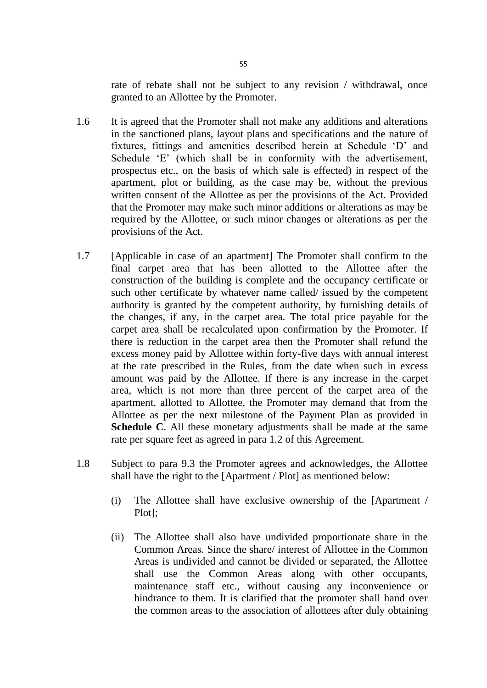rate of rebate shall not be subject to any revision / withdrawal, once granted to an Allottee by the Promoter.

- 1.6 It is agreed that the Promoter shall not make any additions and alterations in the sanctioned plans, layout plans and specifications and the nature of fixtures, fittings and amenities described herein at Schedule 'D' and Schedule 'E' (which shall be in conformity with the advertisement, prospectus etc., on the basis of which sale is effected) in respect of the apartment, plot or building, as the case may be, without the previous written consent of the Allottee as per the provisions of the Act. Provided that the Promoter may make such minor additions or alterations as may be required by the Allottee, or such minor changes or alterations as per the provisions of the Act.
- 1.7 [Applicable in case of an apartment] The Promoter shall confirm to the final carpet area that has been allotted to the Allottee after the construction of the building is complete and the occupancy certificate or such other certificate by whatever name called/ issued by the competent authority is granted by the competent authority, by furnishing details of the changes, if any, in the carpet area. The total price payable for the carpet area shall be recalculated upon confirmation by the Promoter. If there is reduction in the carpet area then the Promoter shall refund the excess money paid by Allottee within forty-five days with annual interest at the rate prescribed in the Rules, from the date when such in excess amount was paid by the Allottee. If there is any increase in the carpet area, which is not more than three percent of the carpet area of the apartment, allotted to Allottee, the Promoter may demand that from the Allottee as per the next milestone of the Payment Plan as provided in **Schedule C**. All these monetary adjustments shall be made at the same rate per square feet as agreed in para 1.2 of this Agreement.
- 1.8 Subject to para 9.3 the Promoter agrees and acknowledges, the Allottee shall have the right to the [Apartment / Plot] as mentioned below:
	- (i) The Allottee shall have exclusive ownership of the [Apartment / Plot];
	- (ii) The Allottee shall also have undivided proportionate share in the Common Areas. Since the share/ interest of Allottee in the Common Areas is undivided and cannot be divided or separated, the Allottee shall use the Common Areas along with other occupants, maintenance staff etc., without causing any inconvenience or hindrance to them. It is clarified that the promoter shall hand over the common areas to the association of allottees after duly obtaining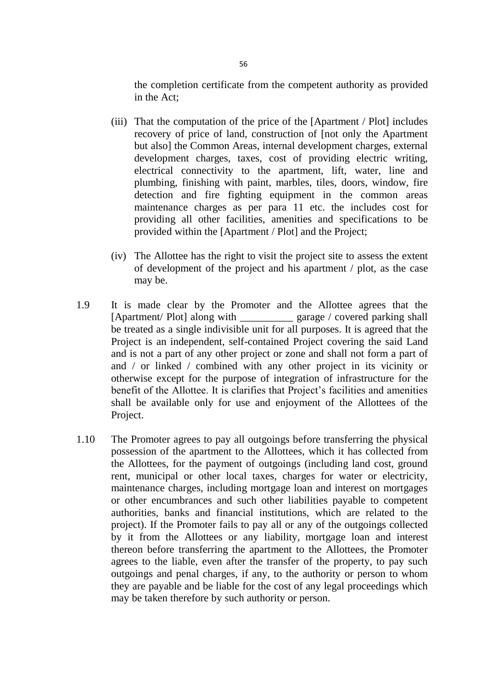the completion certificate from the competent authority as provided in the Act;

- (iii) That the computation of the price of the [Apartment / Plot] includes recovery of price of land, construction of [not only the Apartment but also] the Common Areas, internal development charges, external development charges, taxes, cost of providing electric writing, electrical connectivity to the apartment, lift, water, line and plumbing, finishing with paint, marbles, tiles, doors, window, fire detection and fire fighting equipment in the common areas maintenance charges as per para 11 etc. the includes cost for providing all other facilities, amenities and specifications to be provided within the [Apartment / Plot] and the Project;
- (iv) The Allottee has the right to visit the project site to assess the extent of development of the project and his apartment / plot, as the case may be.
- 1.9 It is made clear by the Promoter and the Allottee agrees that the [Apartment/ Plot] along with \_\_\_\_\_\_\_\_\_\_ garage / covered parking shall be treated as a single indivisible unit for all purposes. It is agreed that the Project is an independent, self-contained Project covering the said Land and is not a part of any other project or zone and shall not form a part of and / or linked / combined with any other project in its vicinity or otherwise except for the purpose of integration of infrastructure for the benefit of the Allottee. It is clarifies that Project's facilities and amenities shall be available only for use and enjoyment of the Allottees of the Project.
- 1.10 The Promoter agrees to pay all outgoings before transferring the physical possession of the apartment to the Allottees, which it has collected from the Allottees, for the payment of outgoings (including land cost, ground rent, municipal or other local taxes, charges for water or electricity, maintenance charges, including mortgage loan and interest on mortgages or other encumbrances and such other liabilities payable to competent authorities, banks and financial institutions, which are related to the project). If the Promoter fails to pay all or any of the outgoings collected by it from the Allottees or any liability, mortgage loan and interest thereon before transferring the apartment to the Allottees, the Promoter agrees to the liable, even after the transfer of the property, to pay such outgoings and penal charges, if any, to the authority or person to whom they are payable and be liable for the cost of any legal proceedings which may be taken therefore by such authority or person.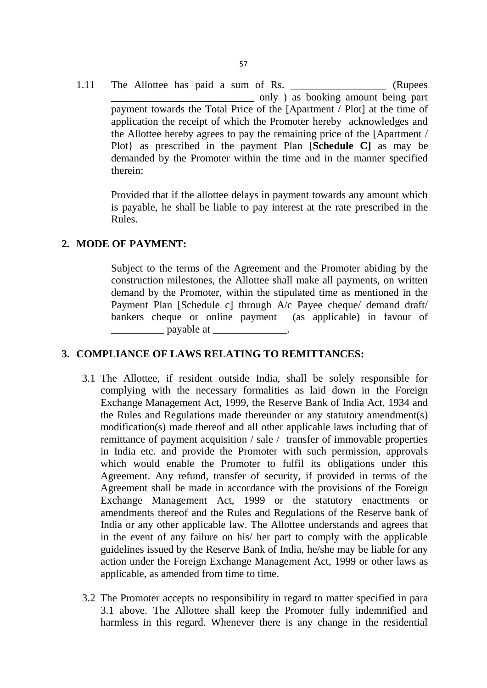1.11 The Allottee has paid a sum of Rs. (Rupees \_\_\_\_\_\_\_\_\_\_\_\_\_\_\_\_\_\_\_\_\_\_\_\_\_\_\_ only ) as booking amount being part payment towards the Total Price of the [Apartment / Plot] at the time of application the receipt of which the Promoter hereby acknowledges and the Allottee hereby agrees to pay the remaining price of the [Apartment / Plot} as prescribed in the payment Plan **[Schedule C]** as may be demanded by the Promoter within the time and in the manner specified therein:

Provided that if the allottee delays in payment towards any amount which is payable, he shall be liable to pay interest at the rate prescribed in the Rules.

### **2. MODE OF PAYMENT:**

Subject to the terms of the Agreement and the Promoter abiding by the construction milestones, the Allottee shall make all payments, on written demand by the Promoter, within the stipulated time as mentioned in the Payment Plan [Schedule c] through A/c Payee cheque/ demand draft/ bankers cheque or online payment (as applicable) in favour of  $\Box$  payable at  $\Box$ 

### **3. COMPLIANCE OF LAWS RELATING TO REMITTANCES:**

- 3.1 The Allottee, if resident outside India, shall be solely responsible for complying with the necessary formalities as laid down in the Foreign Exchange Management Act, 1999, the Reserve Bank of India Act, 1934 and the Rules and Regulations made thereunder or any statutory amendment(s) modification(s) made thereof and all other applicable laws including that of remittance of payment acquisition / sale / transfer of immovable properties in India etc. and provide the Promoter with such permission, approvals which would enable the Promoter to fulfil its obligations under this Agreement. Any refund, transfer of security, if provided in terms of the Agreement shall be made in accordance with the provisions of the Foreign Exchange Management Act, 1999 or the statutory enactments or amendments thereof and the Rules and Regulations of the Reserve bank of India or any other applicable law. The Allottee understands and agrees that in the event of any failure on his/ her part to comply with the applicable guidelines issued by the Reserve Bank of India, he/she may be liable for any action under the Foreign Exchange Management Act, 1999 or other laws as applicable, as amended from time to time.
- 3.2 The Promoter accepts no responsibility in regard to matter specified in para 3.1 above. The Allottee shall keep the Promoter fully indemnified and harmless in this regard. Whenever there is any change in the residential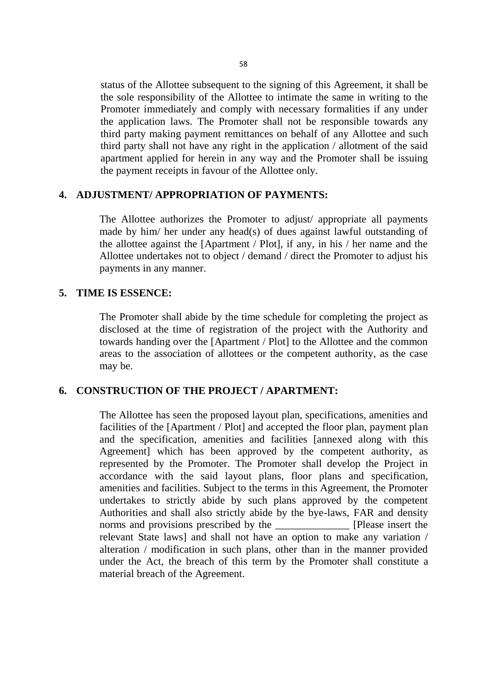status of the Allottee subsequent to the signing of this Agreement, it shall be the sole responsibility of the Allottee to intimate the same in writing to the Promoter immediately and comply with necessary formalities if any under the application laws. The Promoter shall not be responsible towards any third party making payment remittances on behalf of any Allottee and such third party shall not have any right in the application / allotment of the said apartment applied for herein in any way and the Promoter shall be issuing the payment receipts in favour of the Allottee only.

## **4. ADJUSTMENT/ APPROPRIATION OF PAYMENTS:**

The Allottee authorizes the Promoter to adjust/ appropriate all payments made by him/ her under any head(s) of dues against lawful outstanding of the allottee against the [Apartment / Plot], if any, in his / her name and the Allottee undertakes not to object / demand / direct the Promoter to adjust his payments in any manner.

### **5. TIME IS ESSENCE:**

The Promoter shall abide by the time schedule for completing the project as disclosed at the time of registration of the project with the Authority and towards handing over the [Apartment / Plot] to the Allottee and the common areas to the association of allottees or the competent authority, as the case may be.

### **6. CONSTRUCTION OF THE PROJECT / APARTMENT:**

The Allottee has seen the proposed layout plan, specifications, amenities and facilities of the [Apartment / Plot] and accepted the floor plan, payment plan and the specification, amenities and facilities [annexed along with this Agreement] which has been approved by the competent authority, as represented by the Promoter. The Promoter shall develop the Project in accordance with the said layout plans, floor plans and specification, amenities and facilities. Subject to the terms in this Agreement, the Promoter undertakes to strictly abide by such plans approved by the competent Authorities and shall also strictly abide by the bye-laws, FAR and density norms and provisions prescribed by the TPlease insert the relevant State laws] and shall not have an option to make any variation / alteration / modification in such plans, other than in the manner provided under the Act, the breach of this term by the Promoter shall constitute a material breach of the Agreement.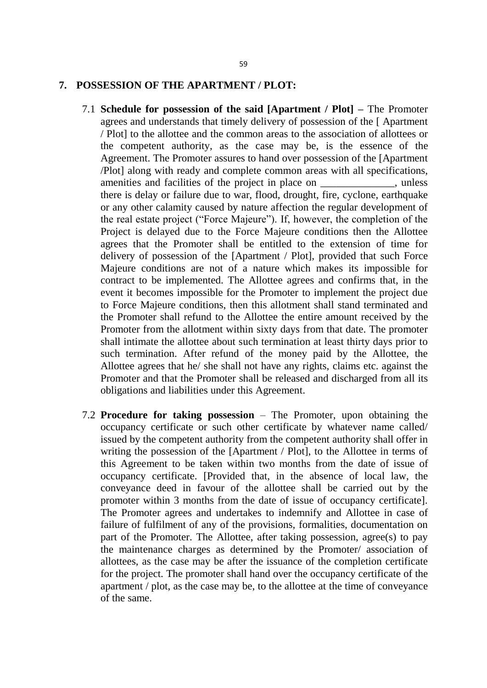#### **7. POSSESSION OF THE APARTMENT / PLOT:**

- 7.1 **Schedule for possession of the said [Apartment / Plot] –** The Promoter agrees and understands that timely delivery of possession of the [ Apartment / Plot] to the allottee and the common areas to the association of allottees or the competent authority, as the case may be, is the essence of the Agreement. The Promoter assures to hand over possession of the [Apartment /Plot] along with ready and complete common areas with all specifications, amenities and facilities of the project in place on \_\_\_\_\_\_\_\_\_\_\_\_, unless there is delay or failure due to war, flood, drought, fire, cyclone, earthquake or any other calamity caused by nature affection the regular development of the real estate project ("Force Majeure"). If, however, the completion of the Project is delayed due to the Force Majeure conditions then the Allottee agrees that the Promoter shall be entitled to the extension of time for delivery of possession of the [Apartment / Plot], provided that such Force Majeure conditions are not of a nature which makes its impossible for contract to be implemented. The Allottee agrees and confirms that, in the event it becomes impossible for the Promoter to implement the project due to Force Majeure conditions, then this allotment shall stand terminated and the Promoter shall refund to the Allottee the entire amount received by the Promoter from the allotment within sixty days from that date. The promoter shall intimate the allottee about such termination at least thirty days prior to such termination. After refund of the money paid by the Allottee, the Allottee agrees that he/ she shall not have any rights, claims etc. against the Promoter and that the Promoter shall be released and discharged from all its obligations and liabilities under this Agreement.
- 7.2 **Procedure for taking possession**  The Promoter, upon obtaining the occupancy certificate or such other certificate by whatever name called/ issued by the competent authority from the competent authority shall offer in writing the possession of the [Apartment / Plot], to the Allottee in terms of this Agreement to be taken within two months from the date of issue of occupancy certificate. [Provided that, in the absence of local law, the conveyance deed in favour of the allottee shall be carried out by the promoter within 3 months from the date of issue of occupancy certificate]. The Promoter agrees and undertakes to indemnify and Allottee in case of failure of fulfilment of any of the provisions, formalities, documentation on part of the Promoter. The Allottee, after taking possession, agree(s) to pay the maintenance charges as determined by the Promoter/ association of allottees, as the case may be after the issuance of the completion certificate for the project. The promoter shall hand over the occupancy certificate of the apartment / plot, as the case may be, to the allottee at the time of conveyance of the same.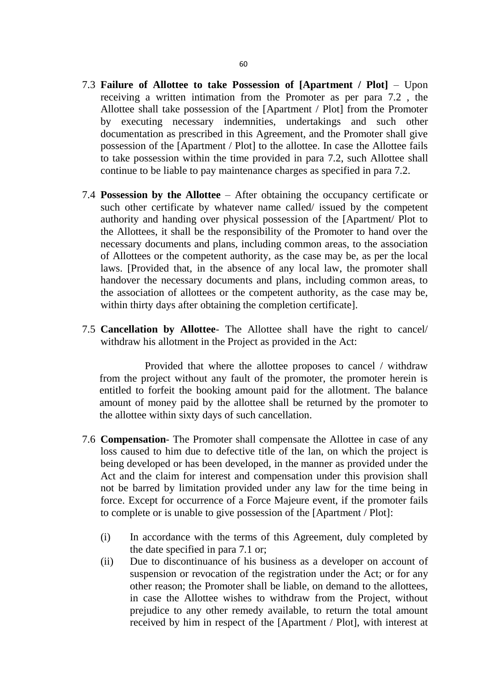- 7.3 **Failure of Allottee to take Possession of [Apartment / Plot]** Upon receiving a written intimation from the Promoter as per para 7.2 , the Allottee shall take possession of the [Apartment / Plot] from the Promoter by executing necessary indemnities, undertakings and such other documentation as prescribed in this Agreement, and the Promoter shall give possession of the [Apartment / Plot] to the allottee. In case the Allottee fails to take possession within the time provided in para 7.2, such Allottee shall continue to be liable to pay maintenance charges as specified in para 7.2.
- 7.4 **Possession by the Allottee** After obtaining the occupancy certificate or such other certificate by whatever name called/ issued by the competent authority and handing over physical possession of the [Apartment/ Plot to the Allottees, it shall be the responsibility of the Promoter to hand over the necessary documents and plans, including common areas, to the association of Allottees or the competent authority, as the case may be, as per the local laws. [Provided that, in the absence of any local law, the promoter shall handover the necessary documents and plans, including common areas, to the association of allottees or the competent authority, as the case may be, within thirty days after obtaining the completion certificate].
- 7.5 **Cancellation by Allottee** The Allottee shall have the right to cancel/ withdraw his allotment in the Project as provided in the Act:

 Provided that where the allottee proposes to cancel / withdraw from the project without any fault of the promoter, the promoter herein is entitled to forfeit the booking amount paid for the allotment. The balance amount of money paid by the allottee shall be returned by the promoter to the allottee within sixty days of such cancellation.

- 7.6 **Compensation** The Promoter shall compensate the Allottee in case of any loss caused to him due to defective title of the lan, on which the project is being developed or has been developed, in the manner as provided under the Act and the claim for interest and compensation under this provision shall not be barred by limitation provided under any law for the time being in force. Except for occurrence of a Force Majeure event, if the promoter fails to complete or is unable to give possession of the [Apartment / Plot]:
	- (i) In accordance with the terms of this Agreement, duly completed by the date specified in para 7.1 or;
	- (ii) Due to discontinuance of his business as a developer on account of suspension or revocation of the registration under the Act; or for any other reason; the Promoter shall be liable, on demand to the allottees, in case the Allottee wishes to withdraw from the Project, without prejudice to any other remedy available, to return the total amount received by him in respect of the [Apartment / Plot], with interest at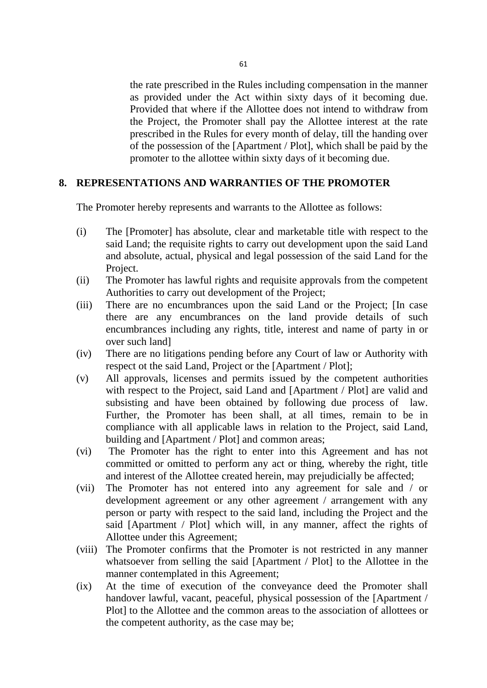the rate prescribed in the Rules including compensation in the manner as provided under the Act within sixty days of it becoming due. Provided that where if the Allottee does not intend to withdraw from the Project, the Promoter shall pay the Allottee interest at the rate prescribed in the Rules for every month of delay, till the handing over of the possession of the [Apartment / Plot], which shall be paid by the promoter to the allottee within sixty days of it becoming due.

### **8. REPRESENTATIONS AND WARRANTIES OF THE PROMOTER**

The Promoter hereby represents and warrants to the Allottee as follows:

- (i) The [Promoter] has absolute, clear and marketable title with respect to the said Land; the requisite rights to carry out development upon the said Land and absolute, actual, physical and legal possession of the said Land for the Project.
- (ii) The Promoter has lawful rights and requisite approvals from the competent Authorities to carry out development of the Project;
- (iii) There are no encumbrances upon the said Land or the Project; [In case there are any encumbrances on the land provide details of such encumbrances including any rights, title, interest and name of party in or over such land]
- (iv) There are no litigations pending before any Court of law or Authority with respect ot the said Land, Project or the [Apartment / Plot];
- (v) All approvals, licenses and permits issued by the competent authorities with respect to the Project, said Land and [Apartment / Plot] are valid and subsisting and have been obtained by following due process of law. Further, the Promoter has been shall, at all times, remain to be in compliance with all applicable laws in relation to the Project, said Land, building and [Apartment / Plot] and common areas;
- (vi) The Promoter has the right to enter into this Agreement and has not committed or omitted to perform any act or thing, whereby the right, title and interest of the Allottee created herein, may prejudicially be affected;
- (vii) The Promoter has not entered into any agreement for sale and / or development agreement or any other agreement / arrangement with any person or party with respect to the said land, including the Project and the said [Apartment / Plot] which will, in any manner, affect the rights of Allottee under this Agreement;
- (viii) The Promoter confirms that the Promoter is not restricted in any manner whatsoever from selling the said [Apartment / Plot] to the Allottee in the manner contemplated in this Agreement;
- (ix) At the time of execution of the conveyance deed the Promoter shall handover lawful, vacant, peaceful, physical possession of the [Apartment / Plot] to the Allottee and the common areas to the association of allottees or the competent authority, as the case may be;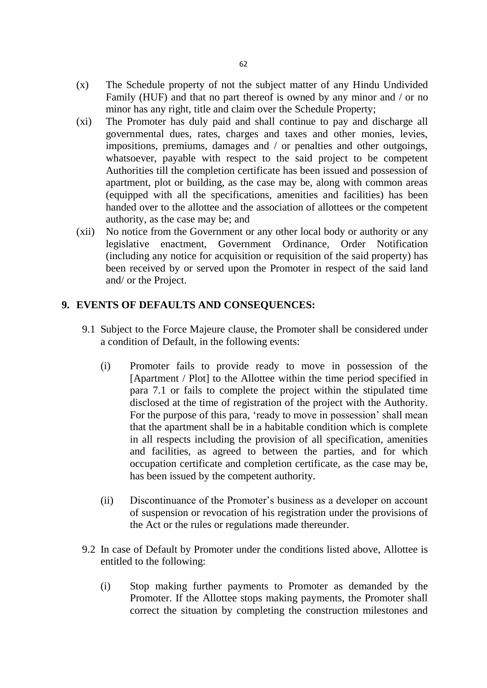- (x) The Schedule property of not the subject matter of any Hindu Undivided Family (HUF) and that no part thereof is owned by any minor and / or no minor has any right, title and claim over the Schedule Property;
- (xi) The Promoter has duly paid and shall continue to pay and discharge all governmental dues, rates, charges and taxes and other monies, levies, impositions, premiums, damages and / or penalties and other outgoings, whatsoever, payable with respect to the said project to be competent Authorities till the completion certificate has been issued and possession of apartment, plot or building, as the case may be, along with common areas (equipped with all the specifications, amenities and facilities) has been handed over to the allottee and the association of allottees or the competent authority, as the case may be; and
- (xii) No notice from the Government or any other local body or authority or any legislative enactment, Government Ordinance, Order Notification (including any notice for acquisition or requisition of the said property) has been received by or served upon the Promoter in respect of the said land and/ or the Project.

## **9. EVENTS OF DEFAULTS AND CONSEQUENCES:**

- 9.1 Subject to the Force Majeure clause, the Promoter shall be considered under a condition of Default, in the following events:
	- (i) Promoter fails to provide ready to move in possession of the [Apartment / Plot] to the Allottee within the time period specified in para 7.1 or fails to complete the project within the stipulated time disclosed at the time of registration of the project with the Authority. For the purpose of this para, 'ready to move in possession' shall mean that the apartment shall be in a habitable condition which is complete in all respects including the provision of all specification, amenities and facilities, as agreed to between the parties, and for which occupation certificate and completion certificate, as the case may be, has been issued by the competent authority.
	- (ii) Discontinuance of the Promoter's business as a developer on account of suspension or revocation of his registration under the provisions of the Act or the rules or regulations made thereunder.
- 9.2 In case of Default by Promoter under the conditions listed above, Allottee is entitled to the following:
	- (i) Stop making further payments to Promoter as demanded by the Promoter. If the Allottee stops making payments, the Promoter shall correct the situation by completing the construction milestones and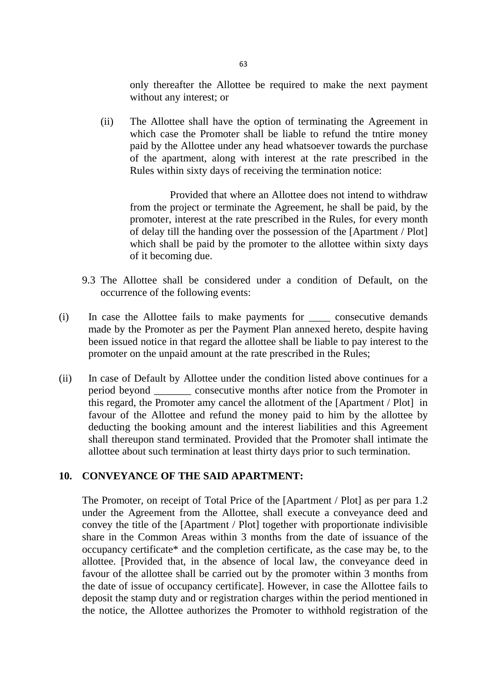only thereafter the Allottee be required to make the next payment without any interest; or

(ii) The Allottee shall have the option of terminating the Agreement in which case the Promoter shall be liable to refund the tntire money paid by the Allottee under any head whatsoever towards the purchase of the apartment, along with interest at the rate prescribed in the Rules within sixty days of receiving the termination notice:

 Provided that where an Allottee does not intend to withdraw from the project or terminate the Agreement, he shall be paid, by the promoter, interest at the rate prescribed in the Rules, for every month of delay till the handing over the possession of the [Apartment / Plot] which shall be paid by the promoter to the allottee within sixty days of it becoming due.

- 9.3 The Allottee shall be considered under a condition of Default, on the occurrence of the following events:
- (i) In case the Allottee fails to make payments for \_\_\_\_ consecutive demands made by the Promoter as per the Payment Plan annexed hereto, despite having been issued notice in that regard the allottee shall be liable to pay interest to the promoter on the unpaid amount at the rate prescribed in the Rules;
- (ii) In case of Default by Allottee under the condition listed above continues for a period beyond \_\_\_\_\_\_\_ consecutive months after notice from the Promoter in this regard, the Promoter amy cancel the allotment of the [Apartment / Plot] in favour of the Allottee and refund the money paid to him by the allottee by deducting the booking amount and the interest liabilities and this Agreement shall thereupon stand terminated. Provided that the Promoter shall intimate the allottee about such termination at least thirty days prior to such termination.

#### **10. CONVEYANCE OF THE SAID APARTMENT:**

The Promoter, on receipt of Total Price of the [Apartment / Plot] as per para 1.2 under the Agreement from the Allottee, shall execute a conveyance deed and convey the title of the [Apartment / Plot] together with proportionate indivisible share in the Common Areas within 3 months from the date of issuance of the occupancy certificate\* and the completion certificate, as the case may be, to the allottee. [Provided that, in the absence of local law, the conveyance deed in favour of the allottee shall be carried out by the promoter within 3 months from the date of issue of occupancy certificate]. However, in case the Allottee fails to deposit the stamp duty and or registration charges within the period mentioned in the notice, the Allottee authorizes the Promoter to withhold registration of the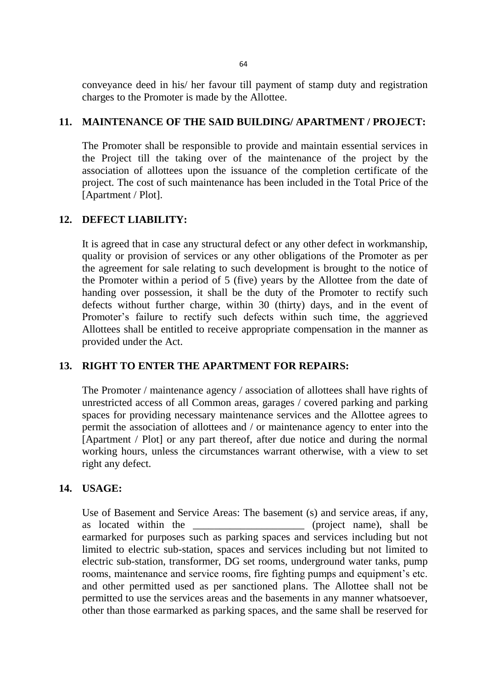conveyance deed in his/ her favour till payment of stamp duty and registration charges to the Promoter is made by the Allottee.

### **11. MAINTENANCE OF THE SAID BUILDING/ APARTMENT / PROJECT:**

The Promoter shall be responsible to provide and maintain essential services in the Project till the taking over of the maintenance of the project by the association of allottees upon the issuance of the completion certificate of the project. The cost of such maintenance has been included in the Total Price of the [Apartment / Plot].

## **12. DEFECT LIABILITY:**

It is agreed that in case any structural defect or any other defect in workmanship, quality or provision of services or any other obligations of the Promoter as per the agreement for sale relating to such development is brought to the notice of the Promoter within a period of 5 (five) years by the Allottee from the date of handing over possession, it shall be the duty of the Promoter to rectify such defects without further charge, within 30 (thirty) days, and in the event of Promoter's failure to rectify such defects within such time, the aggrieved Allottees shall be entitled to receive appropriate compensation in the manner as provided under the Act.

## **13. RIGHT TO ENTER THE APARTMENT FOR REPAIRS:**

The Promoter / maintenance agency / association of allottees shall have rights of unrestricted access of all Common areas, garages / covered parking and parking spaces for providing necessary maintenance services and the Allottee agrees to permit the association of allottees and / or maintenance agency to enter into the [Apartment / Plot] or any part thereof, after due notice and during the normal working hours, unless the circumstances warrant otherwise, with a view to set right any defect.

## **14. USAGE:**

Use of Basement and Service Areas: The basement (s) and service areas, if any, as located within the the series of the state of the shall be  $(project \ name)$ , shall be earmarked for purposes such as parking spaces and services including but not limited to electric sub-station, spaces and services including but not limited to electric sub-station, transformer, DG set rooms, underground water tanks, pump rooms, maintenance and service rooms, fire fighting pumps and equipment's etc. and other permitted used as per sanctioned plans. The Allottee shall not be permitted to use the services areas and the basements in any manner whatsoever, other than those earmarked as parking spaces, and the same shall be reserved for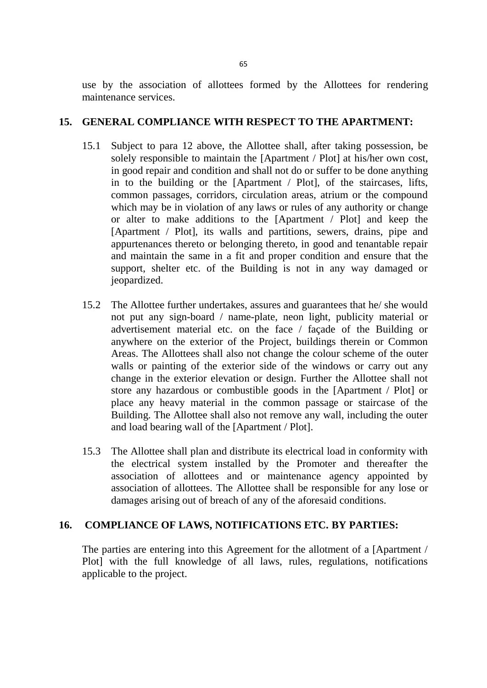use by the association of allottees formed by the Allottees for rendering maintenance services.

### **15. GENERAL COMPLIANCE WITH RESPECT TO THE APARTMENT:**

- 15.1 Subject to para 12 above, the Allottee shall, after taking possession, be solely responsible to maintain the [Apartment / Plot] at his/her own cost, in good repair and condition and shall not do or suffer to be done anything in to the building or the [Apartment / Plot], of the staircases, lifts, common passages, corridors, circulation areas, atrium or the compound which may be in violation of any laws or rules of any authority or change or alter to make additions to the [Apartment / Plot] and keep the [Apartment / Plot], its walls and partitions, sewers, drains, pipe and appurtenances thereto or belonging thereto, in good and tenantable repair and maintain the same in a fit and proper condition and ensure that the support, shelter etc. of the Building is not in any way damaged or jeopardized.
- 15.2 The Allottee further undertakes, assures and guarantees that he/ she would not put any sign-board / name-plate, neon light, publicity material or advertisement material etc. on the face / façade of the Building or anywhere on the exterior of the Project, buildings therein or Common Areas. The Allottees shall also not change the colour scheme of the outer walls or painting of the exterior side of the windows or carry out any change in the exterior elevation or design. Further the Allottee shall not store any hazardous or combustible goods in the [Apartment / Plot] or place any heavy material in the common passage or staircase of the Building. The Allottee shall also not remove any wall, including the outer and load bearing wall of the [Apartment / Plot].
- 15.3 The Allottee shall plan and distribute its electrical load in conformity with the electrical system installed by the Promoter and thereafter the association of allottees and or maintenance agency appointed by association of allottees. The Allottee shall be responsible for any lose or damages arising out of breach of any of the aforesaid conditions.

### **16. COMPLIANCE OF LAWS, NOTIFICATIONS ETC. BY PARTIES:**

The parties are entering into this Agreement for the allotment of a [Apartment / Plot] with the full knowledge of all laws, rules, regulations, notifications applicable to the project.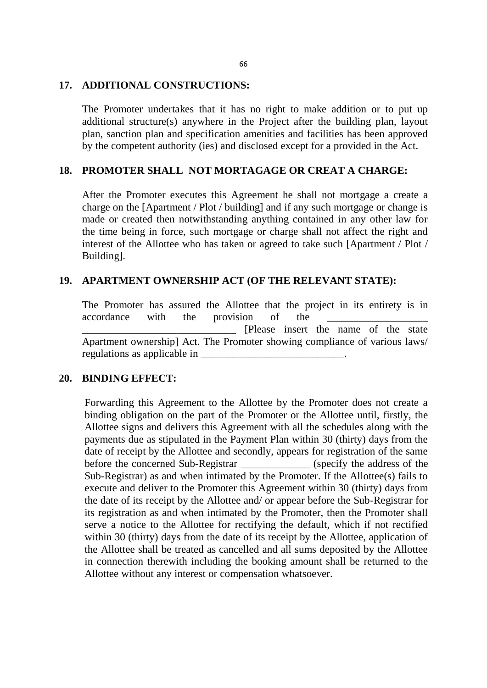#### **17. ADDITIONAL CONSTRUCTIONS:**

The Promoter undertakes that it has no right to make addition or to put up additional structure(s) anywhere in the Project after the building plan, layout plan, sanction plan and specification amenities and facilities has been approved by the competent authority (ies) and disclosed except for a provided in the Act.

#### **18. PROMOTER SHALL NOT MORTAGAGE OR CREAT A CHARGE:**

After the Promoter executes this Agreement he shall not mortgage a create a charge on the [Apartment / Plot / building] and if any such mortgage or change is made or created then notwithstanding anything contained in any other law for the time being in force, such mortgage or charge shall not affect the right and interest of the Allottee who has taken or agreed to take such [Apartment / Plot / Building].

### **19. APARTMENT OWNERSHIP ACT (OF THE RELEVANT STATE):**

The Promoter has assured the Allottee that the project in its entirety is in accordance with the provision of the \_\_\_\_\_\_\_\_\_\_\_\_\_\_\_\_\_\_\_\_\_\_\_\_\_\_\_\_\_ [Please insert the name of the state Apartment ownership] Act. The Promoter showing compliance of various laws/ regulations as applicable in

#### **20. BINDING EFFECT:**

Forwarding this Agreement to the Allottee by the Promoter does not create a binding obligation on the part of the Promoter or the Allottee until, firstly, the Allottee signs and delivers this Agreement with all the schedules along with the payments due as stipulated in the Payment Plan within 30 (thirty) days from the date of receipt by the Allottee and secondly, appears for registration of the same before the concerned Sub-Registrar (specify the address of the Sub-Registrar) as and when intimated by the Promoter. If the Allottee(s) fails to execute and deliver to the Promoter this Agreement within 30 (thirty) days from the date of its receipt by the Allottee and/ or appear before the Sub-Registrar for its registration as and when intimated by the Promoter, then the Promoter shall serve a notice to the Allottee for rectifying the default, which if not rectified within 30 (thirty) days from the date of its receipt by the Allottee, application of the Allottee shall be treated as cancelled and all sums deposited by the Allottee in connection therewith including the booking amount shall be returned to the Allottee without any interest or compensation whatsoever.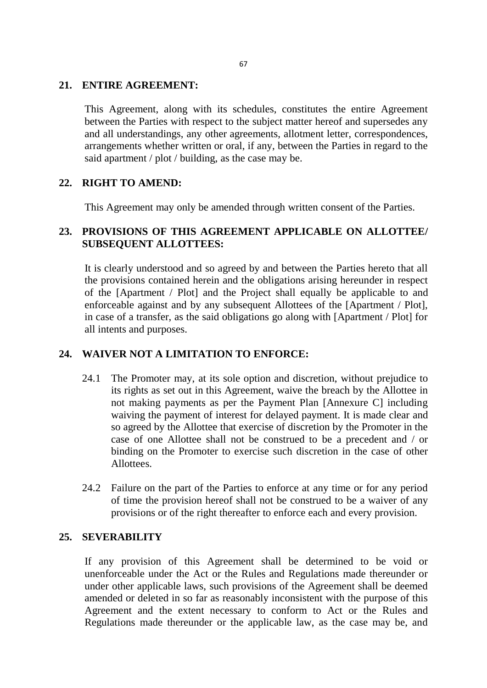#### **21. ENTIRE AGREEMENT:**

This Agreement, along with its schedules, constitutes the entire Agreement between the Parties with respect to the subject matter hereof and supersedes any and all understandings, any other agreements, allotment letter, correspondences, arrangements whether written or oral, if any, between the Parties in regard to the said apartment / plot / building, as the case may be.

### **22. RIGHT TO AMEND:**

This Agreement may only be amended through written consent of the Parties.

## **23. PROVISIONS OF THIS AGREEMENT APPLICABLE ON ALLOTTEE/ SUBSEQUENT ALLOTTEES:**

It is clearly understood and so agreed by and between the Parties hereto that all the provisions contained herein and the obligations arising hereunder in respect of the [Apartment / Plot] and the Project shall equally be applicable to and enforceable against and by any subsequent Allottees of the [Apartment / Plot], in case of a transfer, as the said obligations go along with [Apartment / Plot] for all intents and purposes.

## **24. WAIVER NOT A LIMITATION TO ENFORCE:**

- 24.1 The Promoter may, at its sole option and discretion, without prejudice to its rights as set out in this Agreement, waive the breach by the Allottee in not making payments as per the Payment Plan [Annexure C] including waiving the payment of interest for delayed payment. It is made clear and so agreed by the Allottee that exercise of discretion by the Promoter in the case of one Allottee shall not be construed to be a precedent and / or binding on the Promoter to exercise such discretion in the case of other Allottees.
- 24.2 Failure on the part of the Parties to enforce at any time or for any period of time the provision hereof shall not be construed to be a waiver of any provisions or of the right thereafter to enforce each and every provision.

### **25. SEVERABILITY**

If any provision of this Agreement shall be determined to be void or unenforceable under the Act or the Rules and Regulations made thereunder or under other applicable laws, such provisions of the Agreement shall be deemed amended or deleted in so far as reasonably inconsistent with the purpose of this Agreement and the extent necessary to conform to Act or the Rules and Regulations made thereunder or the applicable law, as the case may be, and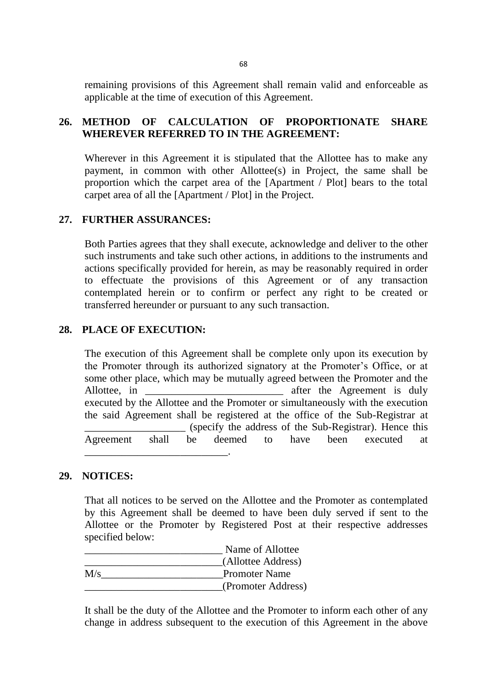remaining provisions of this Agreement shall remain valid and enforceable as applicable at the time of execution of this Agreement.

## **26. METHOD OF CALCULATION OF PROPORTIONATE SHARE WHEREVER REFERRED TO IN THE AGREEMENT:**

Wherever in this Agreement it is stipulated that the Allottee has to make any payment, in common with other Allottee(s) in Project, the same shall be proportion which the carpet area of the [Apartment / Plot] bears to the total carpet area of all the [Apartment / Plot] in the Project.

### **27. FURTHER ASSURANCES:**

Both Parties agrees that they shall execute, acknowledge and deliver to the other such instruments and take such other actions, in additions to the instruments and actions specifically provided for herein, as may be reasonably required in order to effectuate the provisions of this Agreement or of any transaction contemplated herein or to confirm or perfect any right to be created or transferred hereunder or pursuant to any such transaction.

### **28. PLACE OF EXECUTION:**

The execution of this Agreement shall be complete only upon its execution by the Promoter through its authorized signatory at the Promoter's Office, or at some other place, which may be mutually agreed between the Promoter and the Allottee, in \_\_\_\_\_\_\_\_\_\_\_\_\_\_\_\_\_\_\_\_\_\_\_\_\_\_\_\_\_\_\_\_\_\_ after the Agreement is duly executed by the Allottee and the Promoter or simultaneously with the execution the said Agreement shall be registered at the office of the Sub-Registrar at \_\_\_\_\_\_\_\_\_\_\_\_\_\_\_\_\_\_\_ (specify the address of the Sub-Registrar). Hence this Agreement shall be deemed to have been executed at \_\_\_\_\_\_\_\_\_\_\_\_\_\_\_\_\_\_\_\_\_\_\_\_\_\_\_.

#### **29. NOTICES:**

That all notices to be served on the Allottee and the Promoter as contemplated by this Agreement shall be deemed to have been duly served if sent to the Allottee or the Promoter by Registered Post at their respective addresses specified below:

|     | Name of Allottee     |
|-----|----------------------|
|     | (Allottee Address)   |
| M/s | <b>Promoter Name</b> |
|     | (Promoter Address)   |

It shall be the duty of the Allottee and the Promoter to inform each other of any change in address subsequent to the execution of this Agreement in the above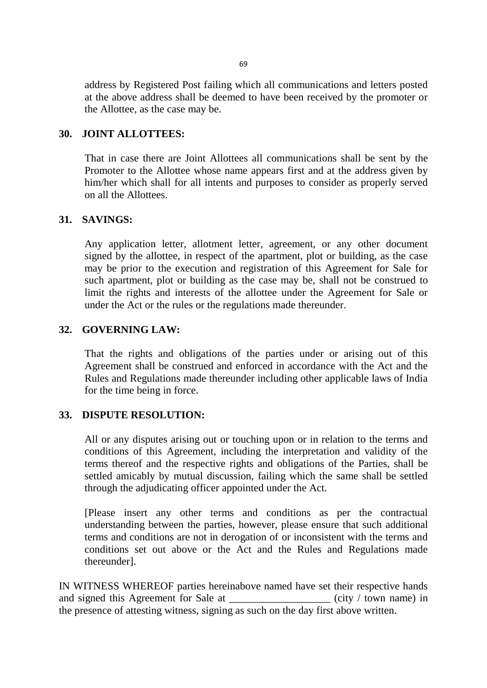address by Registered Post failing which all communications and letters posted at the above address shall be deemed to have been received by the promoter or the Allottee, as the case may be.

### **30. JOINT ALLOTTEES:**

That in case there are Joint Allottees all communications shall be sent by the Promoter to the Allottee whose name appears first and at the address given by him/her which shall for all intents and purposes to consider as properly served on all the Allottees.

### **31. SAVINGS:**

Any application letter, allotment letter, agreement, or any other document signed by the allottee, in respect of the apartment, plot or building, as the case may be prior to the execution and registration of this Agreement for Sale for such apartment, plot or building as the case may be, shall not be construed to limit the rights and interests of the allottee under the Agreement for Sale or under the Act or the rules or the regulations made thereunder.

### **32. GOVERNING LAW:**

That the rights and obligations of the parties under or arising out of this Agreement shall be construed and enforced in accordance with the Act and the Rules and Regulations made thereunder including other applicable laws of India for the time being in force.

#### **33. DISPUTE RESOLUTION:**

All or any disputes arising out or touching upon or in relation to the terms and conditions of this Agreement, including the interpretation and validity of the terms thereof and the respective rights and obligations of the Parties, shall be settled amicably by mutual discussion, failing which the same shall be settled through the adjudicating officer appointed under the Act.

[Please insert any other terms and conditions as per the contractual understanding between the parties, however, please ensure that such additional terms and conditions are not in derogation of or inconsistent with the terms and conditions set out above or the Act and the Rules and Regulations made thereunder].

IN WITNESS WHEREOF parties hereinabove named have set their respective hands and signed this Agreement for Sale at  $\left(\text{city } / \text{ town name}\right)$  in the presence of attesting witness, signing as such on the day first above written.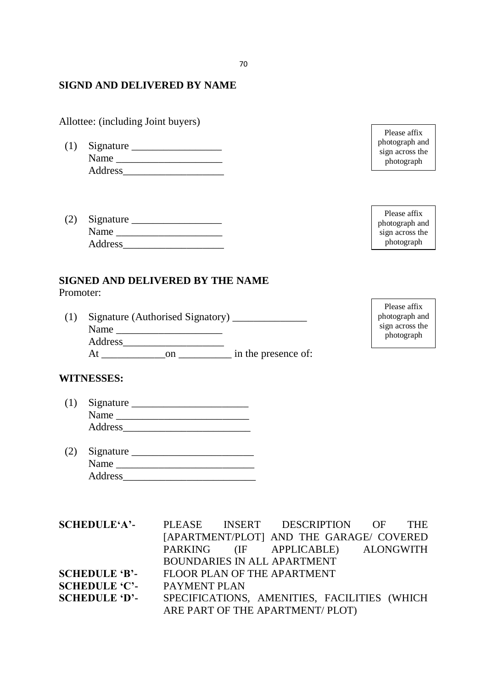### **SIGND AND DELIVERED BY NAME**

Allottee: (including Joint buyers)

- (1) Signature \_\_\_\_\_\_\_\_\_\_\_\_\_\_\_\_\_ Name \_\_\_\_\_\_\_\_\_\_\_\_\_\_\_\_\_\_\_\_ Address
- (2) Signature \_\_\_\_\_\_\_\_\_\_\_\_\_\_\_\_\_ Name \_\_\_\_\_\_\_\_\_\_\_\_\_\_\_\_\_\_\_\_ Address\_\_\_\_\_\_\_\_\_\_\_\_\_\_\_\_\_\_\_

### **SIGNED AND DELIVERED BY THE NAME**

Promoter:

(1) Signature (Authorised Signatory) \_\_\_\_\_\_\_\_\_\_\_\_\_\_ Name  $\Box$ Address\_\_\_\_\_\_\_\_\_\_\_\_\_\_\_\_\_\_\_ At on on in the presence of: photograph and sign across the photograph

Please affix

Please affix photograph and sign across the photograph

Please affix photograph and sign across the photograph

### **WITNESSES:**

- (1) Signature \_\_\_\_\_\_\_\_\_\_\_\_\_\_\_\_\_\_\_\_\_\_ Name \_\_\_\_\_\_\_\_\_\_\_\_\_\_\_\_\_\_\_\_\_\_\_\_\_ Address\_\_\_\_\_\_\_\_\_\_\_\_\_\_\_\_\_\_\_\_\_\_\_\_
- $(2)$  Signature  $\qquad \qquad$ Name \_\_\_\_\_\_\_\_\_\_\_\_\_\_\_\_\_\_\_\_\_\_\_\_\_\_ Address\_\_\_\_\_\_\_\_\_\_\_\_\_\_\_\_\_\_\_\_\_\_\_\_\_

**SCHEDULE'A'-** PLEASE INSERT DESCRIPTION OF THE [APARTMENT/PLOT] AND THE GARAGE/ COVERED PARKING (IF APPLICABLE) ALONGWITH BOUNDARIES IN ALL APARTMENT **SCHEDULE 'B'-** FLOOR PLAN OF THE APARTMENT **SCHEDULE 'C'-** PAYMENT PLAN **SCHEDULE 'D'-** SPECIFICATIONS, AMENITIES, FACILITIES (WHICH ARE PART OF THE APARTMENT/ PLOT)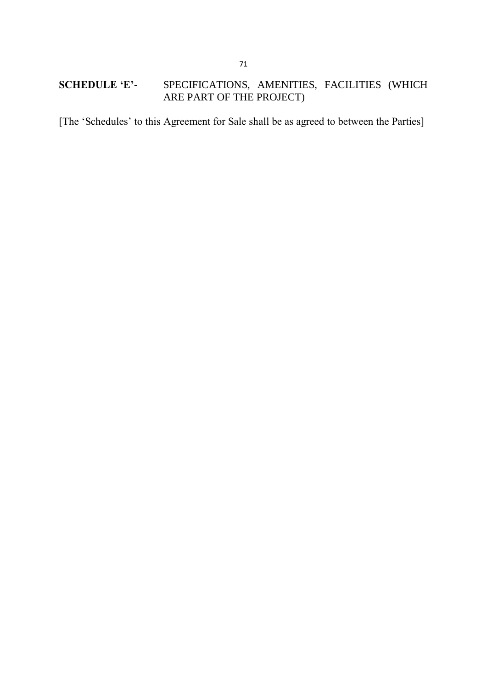# **SCHEDULE 'E'-** SPECIFICATIONS, AMENITIES, FACILITIES (WHICH ARE PART OF THE PROJECT)

[The 'Schedules' to this Agreement for Sale shall be as agreed to between the Parties]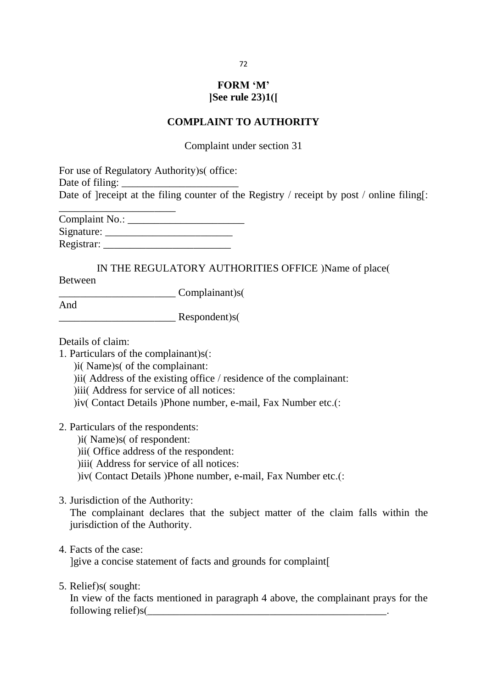# **FORM 'M' [See rule 23(1)]**

#### **COMPLAINT TO AUTHORITY**

Complaint under section 31

For use of Regulatory Authority) s( office: Date of filing: Date of  $|{\text{receiver}}|$  at the filing counter of the Registry / receipt by post / online filing[:

Complaint No.: \_\_\_\_\_\_\_\_\_\_\_\_\_\_\_\_\_\_\_\_\_\_ Signature: \_\_\_\_\_\_\_\_\_\_\_\_\_\_\_\_\_\_\_\_\_\_\_\_ Registrar:

\_\_\_\_\_\_\_\_\_\_\_\_\_\_\_\_\_\_\_\_\_\_

IN THE REGULATORY AUTHORITIES OFFICE )Name of place( Between

\_\_\_\_\_\_\_\_\_\_\_\_\_\_\_\_\_\_\_\_\_\_ Complainant(s)

\_\_\_\_\_\_\_\_\_\_\_\_\_\_\_\_\_\_\_\_\_\_ Respondent(s)

Details of claim:

And

- 1. Particulars of the complainant) $s$ :
	- ) i(Name) s (of the complainant:
	- ) iii Address of the existing office  $/$  residence of the complainant:
	- (iii) Address for service of all notices:
	- )iv( Contact Details )Phone number, e-mail, Fax Number etc.(:
- 2. Particulars of the respondents:
	- )i( Name)s( of respondent:
	- (ii) Office address of the respondent:
	- )iii( Address for service of all notices:
	- )iv( Contact Details )Phone number, e-mail, Fax Number etc.(:
- 3. Jurisdiction of the Authority:

The complainant declares that the subject matter of the claim falls within the jurisdiction of the Authority.

4. Facts of the case:

lgive a concise statement of facts and grounds for complaint

5. Relief) s(sought:

In view of the facts mentioned in paragraph 4 above, the complainant prays for the following relief)s $($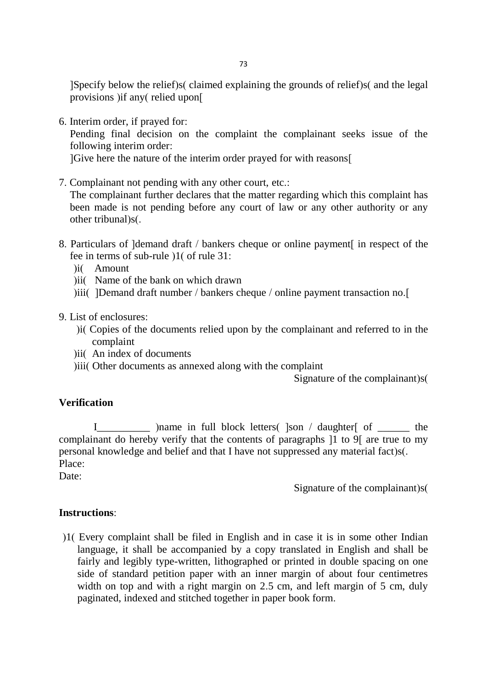$\beta$ [Specify below the relief $\beta$ s( claimed explaining the grounds of relief $\beta$ s( and the legal provisions ) if any  $\left($  relied upon $\left[$ 

6. Interim order, if prayed for:

Pending final decision on the complaint the complainant seeks issue of the following interim order:

[Give here the nature of the interim order prayed for with reasons]

7. Complainant not pending with any other court, etc.:

The complainant further declares that the matter regarding which this complaint has been made is not pending before any court of law or any other authority or any other tribunal)s(.

- 8. Particulars of [demand draft / bankers cheque or online payment] in respect of the fee in terms of sub-rule  $|1($  of rule 31:
	- )i( Amount
	- (ii) Name of the bank on which drawn
	- (iii) iii) [Demand draft number / bankers cheque / online payment transaction no.]
- 9. List of enclosures:
	- (i) Copies of the documents relied upon by the complainant and referred to in the complaint
	- (ii)  $\int$  An index of documents
	- )iii( Other documents as annexed along with the complaint

Signature of the complainant)s(

# **Verification**

I\_\_\_\_\_\_\_\_\_\_\_ (name in full block letters) [son / daughter of \_\_\_\_\_\_\_\_ the complainant do hereby verify that the contents of paragraphs 11 to 9. The true to my personal knowledge and belief and that I have not suppressed any material fact) $s$ . Place:

Date:

Signature of the complainant) $s($ 

### **Instructions**:

(1) Every complaint shall be filed in English and in case it is in some other Indian language, it shall be accompanied by a copy translated in English and shall be fairly and legibly type-written, lithographed or printed in double spacing on one side of standard petition paper with an inner margin of about four centimetres width on top and with a right margin on 2.5 cm, and left margin of 5 cm, duly paginated, indexed and stitched together in paper book form.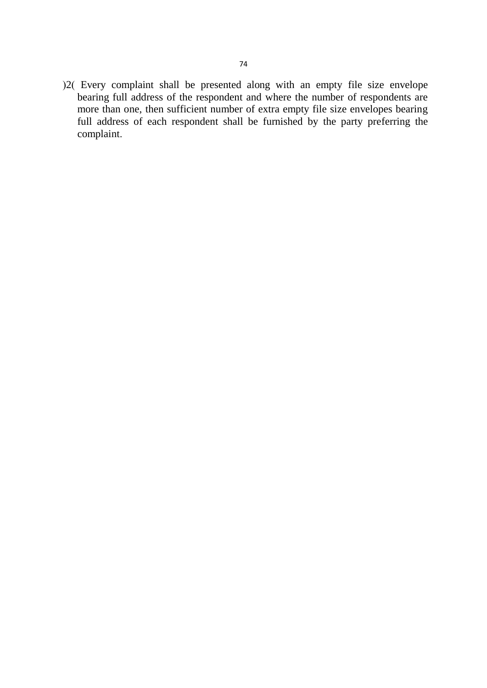$(2)$  Every complaint shall be presented along with an empty file size envelope bearing full address of the respondent and where the number of respondents are more than one, then sufficient number of extra empty file size envelopes bearing full address of each respondent shall be furnished by the party preferring the complaint.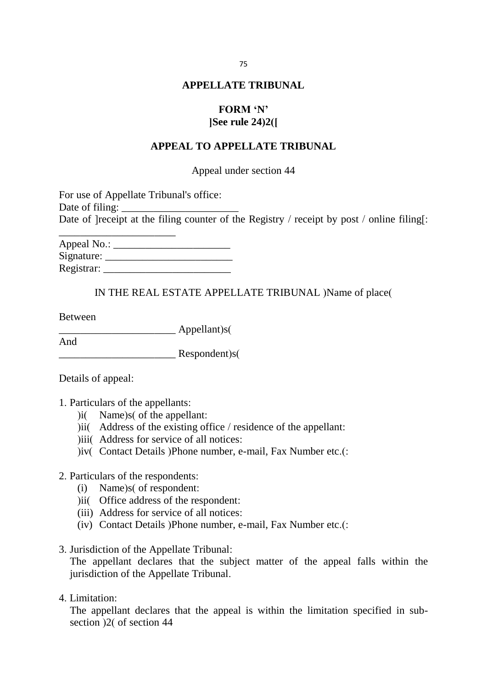#### **APPELLATE TRIBUNAL**

# **FORM 'N' [See rule 24(2)]**

#### **APPEAL TO APPELLATE TRIBUNAL**

Appeal under section 44

| For use of Appellate Tribunal's office:                                                                                                                                                                                                                                                                                                                                                                                                  |  |
|------------------------------------------------------------------------------------------------------------------------------------------------------------------------------------------------------------------------------------------------------------------------------------------------------------------------------------------------------------------------------------------------------------------------------------------|--|
| Date of filing: $\frac{1}{\frac{1}{2} \cdot \frac{1}{2} \cdot \frac{1}{2} \cdot \frac{1}{2} \cdot \frac{1}{2} \cdot \frac{1}{2} \cdot \frac{1}{2} \cdot \frac{1}{2} \cdot \frac{1}{2} \cdot \frac{1}{2} \cdot \frac{1}{2} \cdot \frac{1}{2} \cdot \frac{1}{2} \cdot \frac{1}{2} \cdot \frac{1}{2} \cdot \frac{1}{2} \cdot \frac{1}{2} \cdot \frac{1}{2} \cdot \frac{1}{2} \cdot \frac{1}{2} \cdot \frac{1}{2} \cdot \frac{1}{2} \cdot \$ |  |
| Date of [receipt at the filing counter of the Registry / receipt by post / online filing[:                                                                                                                                                                                                                                                                                                                                               |  |
|                                                                                                                                                                                                                                                                                                                                                                                                                                          |  |

| Appeal No.: |  |
|-------------|--|
| Signature:  |  |
| Registrar:  |  |

#### IN THE REAL ESTATE APPELLATE TRIBUNAL )Name of place(

Between

 $\Delta$ ppellant)s(

And Respondent)s(

Details of appeal:

- 1. Particulars of the appellants:
	- $\text{ii}$  Name)s of the appellant:
	- $ii$  Address of the existing office / residence of the appellant:
	- ) iii( Address for service of all notices:
	- )iv( Contact Details )Phone number, e-mail, Fax Number etc.(:

#### 2. Particulars of the respondents:

- $(i)$  Name)s $($  of respondent:
- )ii( Office address of the respondent:
- (iii) Address for service of all notices:
- (iv) Contact Details (Phone number, e-mail, Fax Number etc.(:
- 3. Jurisdiction of the Appellate Tribunal:

The appellant declares that the subject matter of the appeal falls within the jurisdiction of the Appellate Tribunal.

4. Limitation:

The appellant declares that the appeal is within the limitation specified in subsection  $\frac{2}{3}$  of section 44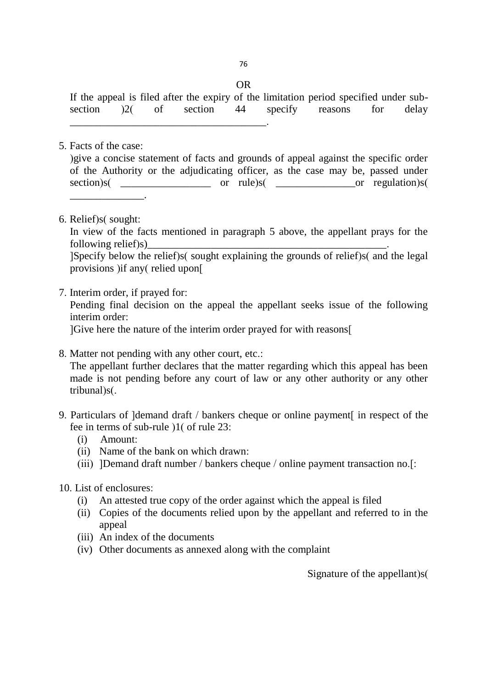OR

If the appeal is filed after the expiry of the limitation period specified under subsection (2) of section 44 specify reasons for delay

5. Facts of the case:

(give a concise statement of facts and grounds of appeal against the specific order of the Authority or the adjudicating officer, as the case may be, passed under  $\text{section}(s)$  or rule)s(  $\text{or} \quad \text{rule}(s)$  $\overline{\phantom{a}}$  , and the set of the set of the set of the set of the set of the set of the set of the set of the set of the set of the set of the set of the set of the set of the set of the set of the set of the set of the s

6. Relief) $s$ (sought:

In view of the facts mentioned in paragraph 5 above, the appellant prays for the following relief)s)

 $[Specify$  below the relief)s(sought explaining the grounds of relief)s(and the legal provisions ) if any (relied upon  $\lceil$ 

7. Interim order, if prayed for:

Pending final decision on the appeal the appellant seeks issue of the following interim order:

[Give here the nature of the interim order prayed for with reasons]

- 8. Matter not pending with any other court, etc.: The appellant further declares that the matter regarding which this appeal has been made is not pending before any court of law or any other authority or any other tribunal)s(.
- 9. Particulars of ]demand draft / bankers cheque or online payment in respect of the fee in terms of sub-rule  $\frac{1}{1}$  of rule 23:
	- (i) Amount:
	- (ii) Name of the bank on which drawn:

\_\_\_\_\_\_\_\_\_\_\_\_\_\_\_\_\_\_\_\_\_\_\_\_\_\_\_\_\_\_\_\_\_\_\_\_\_.

- (iii) ]Demand draft number / bankers cheque / online payment transaction no.[:
- 10. List of enclosures:
	- (i) An attested true copy of the order against which the appeal is filed
	- (ii) Copies of the documents relied upon by the appellant and referred to in the appeal
	- (iii) An index of the documents
	- (iv) Other documents as annexed along with the complaint

Signature of the appellant) $s($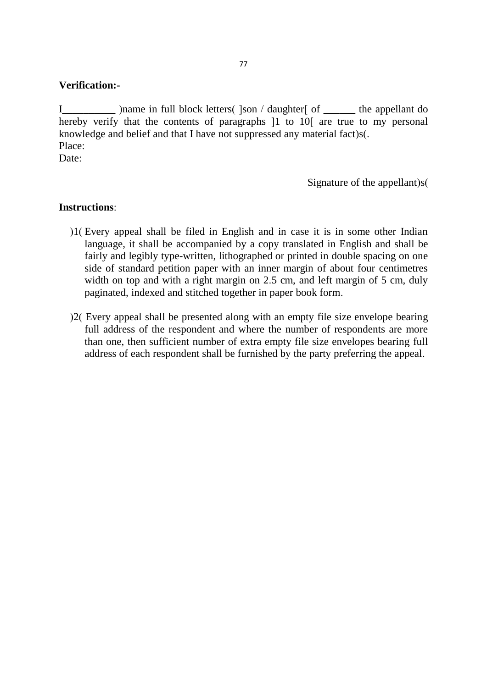# **Verification:-**

I\_\_\_\_\_\_\_\_\_ (name in full block letters) [son / daughter] of \_\_\_\_\_\_\_ the appellant do hereby verify that the contents of paragraphs  $[1]$  to  $[1]$  are true to my personal knowledge and belief and that I have not suppressed any material fact)s(. Place:

Date:

Signature of the appellant) $s($ 

### **Instructions**:

- (1) Every appeal shall be filed in English and in case it is in some other Indian language, it shall be accompanied by a copy translated in English and shall be fairly and legibly type-written, lithographed or printed in double spacing on one side of standard petition paper with an inner margin of about four centimetres width on top and with a right margin on 2.5 cm, and left margin of 5 cm, duly paginated, indexed and stitched together in paper book form.
- (2) Every appeal shall be presented along with an empty file size envelope bearing full address of the respondent and where the number of respondents are more than one, then sufficient number of extra empty file size envelopes bearing full address of each respondent shall be furnished by the party preferring the appeal.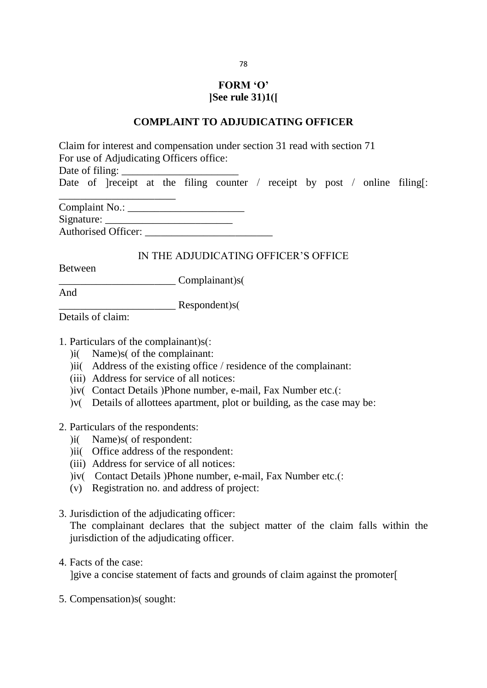# **FORM 'O' [See rule 31(1)]**

#### **COMPLAINT TO ADJUDICATING OFFICER**

Claim for interest and compensation under section 31 read with section 71 For use of Adjudicating Officers office: Date of filing: Date of *leeript* at the filing counter / receipt by post / online filing[: \_\_\_\_\_\_\_\_\_\_\_\_\_\_\_\_\_\_\_\_\_\_  $C<sub>complaint</sub>$  N<sub>o</sub>.

| Compianii ivo              |  |
|----------------------------|--|
| Signature:                 |  |
| <b>Authorised Officer:</b> |  |

### IN THE ADJUDICATING OFFICER'S OFFICE

Between

Let Complainant (s) S

And

\_\_\_\_\_\_\_\_\_\_\_\_\_\_\_\_\_\_\_\_\_\_ Respondent(s)

Details of claim:

- 1. Particulars of the complainant) $s$ :
	- $\delta$  Name)s( of the complainant:
	- $\delta$ iii) Address of the existing office / residence of the complainant:
	- (iii) Address for service of all notices:
	- (iv) Contact Details (Phone number, e-mail, Fax Number etc.):
	- $\mathbf{v}$  Details of allottees apartment, plot or building, as the case may be:
- 2. Particulars of the respondents:
	- $\text{ii}$  Name)s of respondent:
	- (ii) Office address of the respondent:
	- (iii) Address for service of all notices:
	- )iv( Contact Details )Phone number, e-mail, Fax Number etc.(:
	- (v) Registration no. and address of project:
- 3. Jurisdiction of the adjudicating officer:

The complainant declares that the subject matter of the claim falls within the jurisdiction of the adjudicating officer.

4. Facts of the case:

[give a concise statement of facts and grounds of claim against the promoter]

5. Compensation) s(sought:

78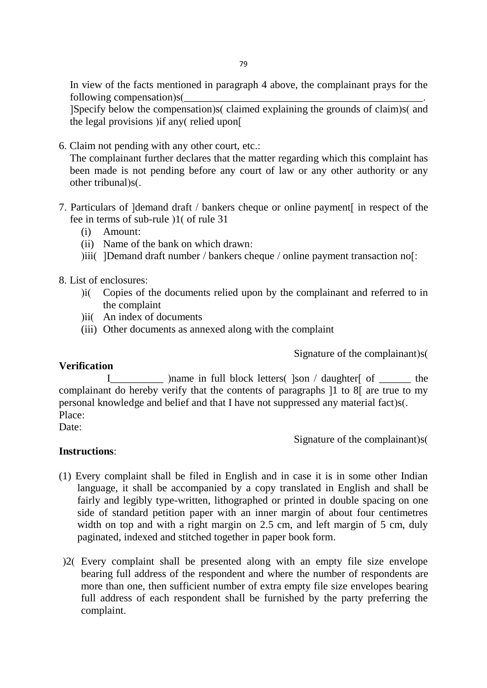In view of the facts mentioned in paragraph 4 above, the complainant prays for the following compensation) $s$ 

[Specify below the compensation) s(claimed explaining the grounds of claim) s(and the legal provisions  $\lim_{n \to \infty}$  relied upon

6. Claim not pending with any other court, etc.:

The complainant further declares that the matter regarding which this complaint has been made is not pending before any court of law or any other authority or any other tribunal)s(.

- 7. Particulars of ]demand draft / bankers cheque or online payment in respect of the fee in terms of sub-rule  $(1)$  of rule 31
	- (i) Amount:
	- (ii) Name of the bank on which drawn:
	- $(iii)$  [Demand draft number / bankers cheque / online payment transaction no]:

8. List of enclosures:

- (i) Copies of the documents relied upon by the complainant and referred to in the complaint
- )ii( An index of documents
- (iii) Other documents as annexed along with the complaint

Signature of the complainant)s(

### **Verification**

IL some in full block letters (  $\vert$  \ son / daughter of  $\vert$  the complainant do hereby verify that the contents of paragraphs [1 to 8] are true to my personal knowledge and belief and that I have not suppressed any material fact)s(. Place:

Date:

Signature of the complainant) $s($ 

### **Instructions**:

- (1) Every complaint shall be filed in English and in case it is in some other Indian language, it shall be accompanied by a copy translated in English and shall be fairly and legibly type-written, lithographed or printed in double spacing on one side of standard petition paper with an inner margin of about four centimetres width on top and with a right margin on 2.5 cm, and left margin of 5 cm, duly paginated, indexed and stitched together in paper book form.
- (2) Every complaint shall be presented along with an empty file size envelope bearing full address of the respondent and where the number of respondents are more than one, then sufficient number of extra empty file size envelopes bearing full address of each respondent shall be furnished by the party preferring the complaint.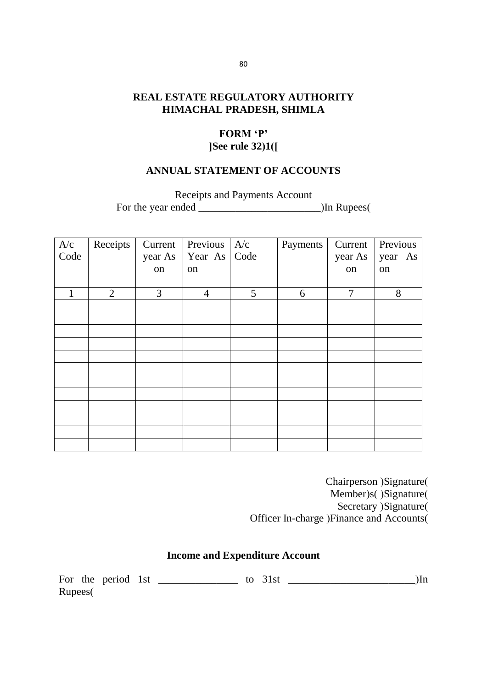# **REAL ESTATE REGULATORY AUTHORITY HIMACHAL PRADESH, SHIMLA**

# **FORM 'P' [See rule 32(1)]**

### **ANNUAL STATEMENT OF ACCOUNTS**

Receipts and Payments Account

For the year ended \_\_\_\_\_\_\_\_\_\_\_\_\_\_\_\_\_\_\_\_\_\_\_(In Rupees)

| $\frac{A/c}{Code}$ | Receipts       | Current<br>year As<br>on | Previous<br>Year As Code<br>on | A/c | Payments | Current<br>year As<br>on | Previous<br>year As<br>on |
|--------------------|----------------|--------------------------|--------------------------------|-----|----------|--------------------------|---------------------------|
|                    | $\overline{2}$ | 3                        | $\overline{4}$                 | 5   | 6        | 7                        | 8                         |
|                    |                |                          |                                |     |          |                          |                           |
|                    |                |                          |                                |     |          |                          |                           |
|                    |                |                          |                                |     |          |                          |                           |
|                    |                |                          |                                |     |          |                          |                           |
|                    |                |                          |                                |     |          |                          |                           |
|                    |                |                          |                                |     |          |                          |                           |
|                    |                |                          |                                |     |          |                          |                           |
|                    |                |                          |                                |     |          |                          |                           |
|                    |                |                          |                                |     |          |                          |                           |

Chairperson )Signature( Member)s()Signature( Secretary (Signature) Officer In-charge )Finance and Accounts(

# **Income and Expenditure Account**

| For the | neriod – | l C1 |  |  |  |
|---------|----------|------|--|--|--|
| Rupees( |          |      |  |  |  |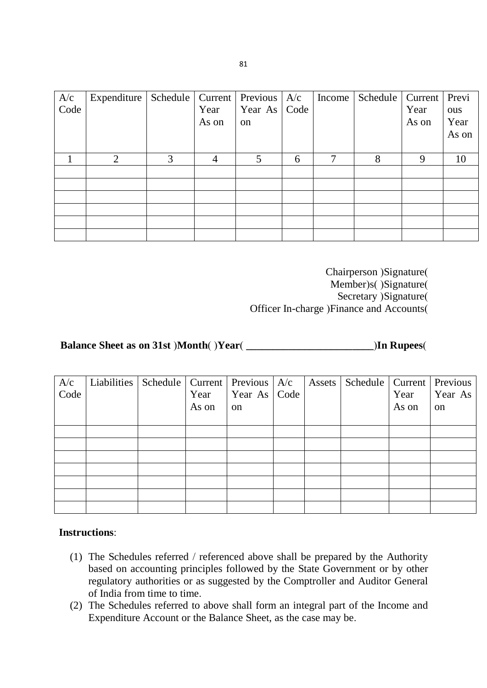|               | Expenditure    |   |       | Schedule   Current   Previous   $A/c$ |      | Income | Schedule   Current   Previ |       |       |
|---------------|----------------|---|-------|---------------------------------------|------|--------|----------------------------|-------|-------|
| $A/c$<br>Code |                |   | Year  | Year As                               | Code |        |                            | Year  | ous   |
|               |                |   | As on | <sub>on</sub>                         |      |        |                            | As on | Year  |
|               |                |   |       |                                       |      |        |                            |       | As on |
|               |                |   |       |                                       |      |        |                            |       |       |
|               | $\overline{2}$ | 3 | 4     | 5                                     | 6    | 7      | 8                          | 9     | 10    |
|               |                |   |       |                                       |      |        |                            |       |       |
|               |                |   |       |                                       |      |        |                            |       |       |
|               |                |   |       |                                       |      |        |                            |       |       |
|               |                |   |       |                                       |      |        |                            |       |       |
|               |                |   |       |                                       |      |        |                            |       |       |
|               |                |   |       |                                       |      |        |                            |       |       |

Chairperson )Signature( Member)s()Signature( Secretary (Signature) Officer In-charge )Finance and Accounts(

# **Balance Sheet as on 31st** *(Month***) (***Year***) <b>***Month* (*Year*) *In Rupees*

| A/c<br>Code | Liabilities | Schedule   Current | Year<br>As on | Previous $A/c$<br>Year As   Code<br>on | Assets | Schedule   Current | Year<br>As on | Previous<br>Year As<br><sub>on</sub> |
|-------------|-------------|--------------------|---------------|----------------------------------------|--------|--------------------|---------------|--------------------------------------|
|             |             |                    |               |                                        |        |                    |               |                                      |
|             |             |                    |               |                                        |        |                    |               |                                      |
|             |             |                    |               |                                        |        |                    |               |                                      |
|             |             |                    |               |                                        |        |                    |               |                                      |
|             |             |                    |               |                                        |        |                    |               |                                      |
|             |             |                    |               |                                        |        |                    |               |                                      |
|             |             |                    |               |                                        |        |                    |               |                                      |

# **Instructions**:

- (1) The Schedules referred / referenced above shall be prepared by the Authority based on accounting principles followed by the State Government or by other regulatory authorities or as suggested by the Comptroller and Auditor General of India from time to time.
- (2) The Schedules referred to above shall form an integral part of the Income and Expenditure Account or the Balance Sheet, as the case may be.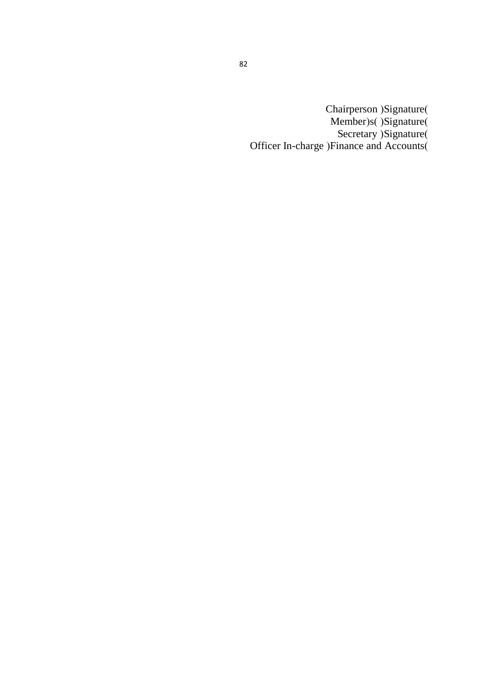Chairperson )Signature( Member)s()Signature( Secretary )Signature( Officer In-charge )Finance and Accounts(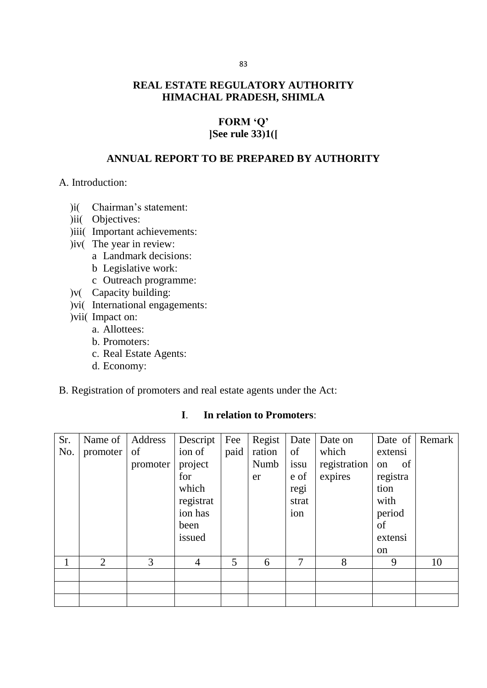# **REAL ESTATE REGULATORY AUTHORITY HIMACHAL PRADESH, SHIMLA**

# **FORM 'Q' [See rule 33(1)]**

# **ANNUAL REPORT TO BE PREPARED BY AUTHORITY**

#### A. Introduction:

- )i( Chairman's statement:
- )ii( Objectives:
- )iii( Important achievements:
- $(iv)$  The year in review:
	- a Landmark decisions:
	- b Legislative work:
	- c Outreach programme:
- )v( Capacity building:
- $(vi)$  International engagements:
- ) vii( Impact on:
	- a. Allottees:
	- b. Promoters:
	- c. Real Estate Agents:
	- d. Economy:

#### B. Registration of promoters and real estate agents under the Act:

| Sr.<br>No. | Name of<br>promoter | Address<br>of<br>promoter | Descript<br>ion of<br>project<br>for<br>which<br>registrat<br>ion has<br>been<br>issued | Fee<br>paid | Regist<br>ration<br>Numb<br>er | Date<br>of<br>issu<br>e of<br>regi<br>strat<br>ion | Date on<br>which<br>registration<br>expires | extensi<br>of<br>on<br>registra<br>tion<br>with<br>period<br>of<br>extensi<br><sub>on</sub> | Date of Remark |
|------------|---------------------|---------------------------|-----------------------------------------------------------------------------------------|-------------|--------------------------------|----------------------------------------------------|---------------------------------------------|---------------------------------------------------------------------------------------------|----------------|
|            | 2                   | 3                         | $\overline{4}$                                                                          | 5           | 6                              | 7                                                  | 8                                           | 9                                                                                           | 10             |
|            |                     |                           |                                                                                         |             |                                |                                                    |                                             |                                                                                             |                |
|            |                     |                           |                                                                                         |             |                                |                                                    |                                             |                                                                                             |                |
|            |                     |                           |                                                                                         |             |                                |                                                    |                                             |                                                                                             |                |

### **I**. **In relation to Promoters**: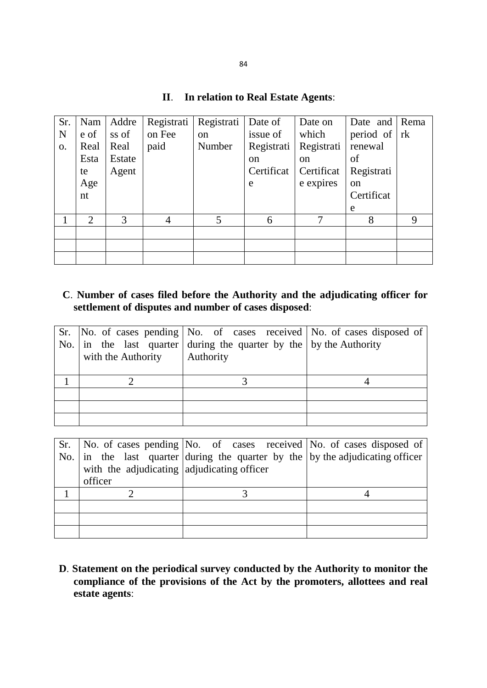# **II**. **In relation to Real Estate Agents**:

| Sr. | Nam            | Addre  | Registrati | Registrati    | Date of       | Date on       | Date and $\vert$ | Rema |
|-----|----------------|--------|------------|---------------|---------------|---------------|------------------|------|
| N   | e of           | ss of  | on Fee     | <sub>on</sub> | issue of      | which         | period of        | rk   |
| 0.  | Real           | Real   | paid       | Number        | Registrati    | Registrati    | renewal          |      |
|     | Esta           | Estate |            |               | <sub>on</sub> | <sub>on</sub> | of               |      |
|     | te             | Agent  |            |               | Certificat    | Certificat    | Registrati       |      |
|     | Age            |        |            |               | e             | e expires     | <sub>on</sub>    |      |
|     | nt             |        |            |               |               |               | Certificat       |      |
|     |                |        |            |               |               |               | e                |      |
|     | $\overline{2}$ | 3      | 4          | 5             | 6             | 7             | 8                | 9    |
|     |                |        |            |               |               |               |                  |      |
|     |                |        |            |               |               |               |                  |      |
|     |                |        |            |               |               |               |                  |      |

# **C**. **Number of cases filed before the Authority and the adjudicating officer for settlement of disputes and number of cases disposed**:

| with the Authority | Sr. No. of cases pending $\vert$ No. of cases received $\vert$ No. of cases disposed of<br>No. $\vert$ in the last quarter during the quarter by the $\vert$ by the Authority<br>Authority |  |
|--------------------|--------------------------------------------------------------------------------------------------------------------------------------------------------------------------------------------|--|
|                    |                                                                                                                                                                                            |  |
|                    |                                                                                                                                                                                            |  |
|                    |                                                                                                                                                                                            |  |
|                    |                                                                                                                                                                                            |  |

|                                            | Sr.   No. of cases pending   No. of cases received   No. of cases disposed of                 |  |
|--------------------------------------------|-----------------------------------------------------------------------------------------------|--|
|                                            | No. $\vert$ in the last quarter during the quarter by the $\vert$ by the adjudicating officer |  |
| with the adjudicating adjudicating officer |                                                                                               |  |
| officer                                    |                                                                                               |  |
|                                            |                                                                                               |  |
|                                            |                                                                                               |  |
|                                            |                                                                                               |  |
|                                            |                                                                                               |  |

**D**. **Statement on the periodical survey conducted by the Authority to monitor the compliance of the provisions of the Act by the promoters, allottees and real estate agents**: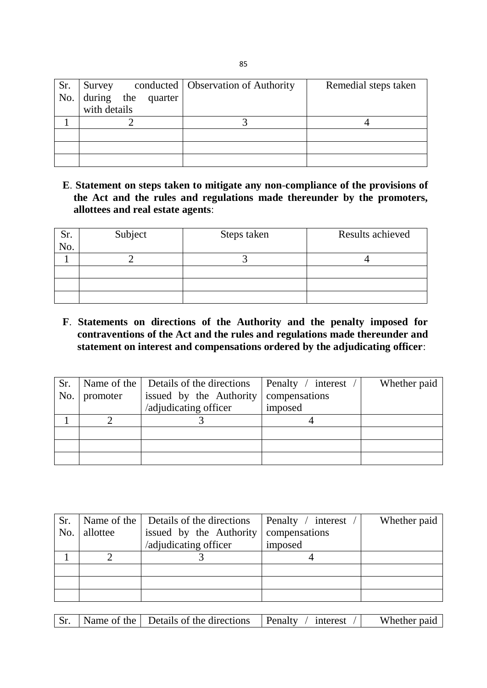| Sr. | Survey       |  |                        | conducted   Observation of Authority | Remedial steps taken |
|-----|--------------|--|------------------------|--------------------------------------|----------------------|
|     |              |  | No. during the quarter |                                      |                      |
|     | with details |  |                        |                                      |                      |
|     |              |  |                        |                                      |                      |
|     |              |  |                        |                                      |                      |
|     |              |  |                        |                                      |                      |
|     |              |  |                        |                                      |                      |

**E**. **Statement on steps taken to mitigate any non**-**compliance of the provisions of the Act and the rules and regulations made thereunder by the promoters, allottees and real estate agents**:

| Sr. | Subject | Steps taken | Results achieved |
|-----|---------|-------------|------------------|
| No. |         |             |                  |
|     |         |             |                  |
|     |         |             |                  |
|     |         |             |                  |
|     |         |             |                  |

**F**. **Statements on directions of the Authority and the penalty imposed for contraventions of the Act and the rules and regulations made thereunder and statement on interest and compensations ordered by the adjudicating officer**:

| Sr. |          | Name of the   Details of the directions | Penalty / interest / | Whether paid |
|-----|----------|-----------------------------------------|----------------------|--------------|
| No. | promoter | issued by the Authority                 | compensations        |              |
|     |          | /adjudicating officer                   | imposed              |              |
|     |          |                                         |                      |              |
|     |          |                                         |                      |              |
|     |          |                                         |                      |              |
|     |          |                                         |                      |              |

| Sr. |          | Name of the   Details of the directions | Penalty / interest | Whether paid |
|-----|----------|-----------------------------------------|--------------------|--------------|
| No. | allottee | issued by the Authority                 | compensations      |              |
|     |          | /adjudicating officer                   | imposed            |              |
|     |          |                                         |                    |              |
|     |          |                                         |                    |              |
|     |          |                                         |                    |              |
|     |          |                                         |                    |              |

|  |  | $\blacksquare$ Name of the $\blacksquare$ Details of the directions | Penalty<br>interest | Whether paid |
|--|--|---------------------------------------------------------------------|---------------------|--------------|
|--|--|---------------------------------------------------------------------|---------------------|--------------|

85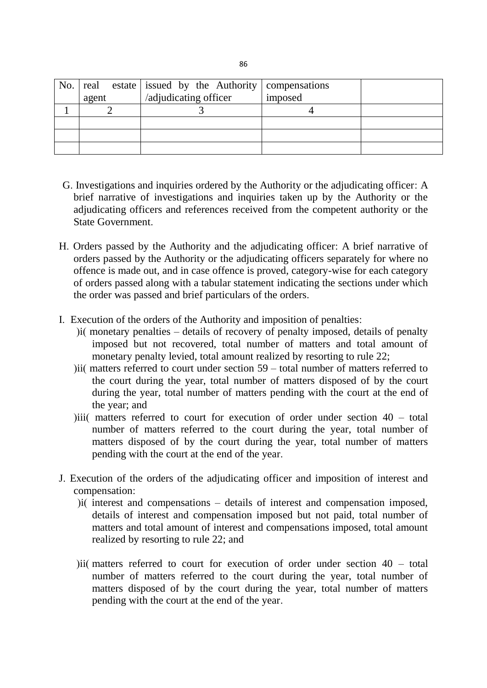|       | No. $\vert$ real estate issued by the Authority $\vert$ compensations |         |  |
|-------|-----------------------------------------------------------------------|---------|--|
| agent | /adjudicating officer                                                 | imposed |  |
|       |                                                                       |         |  |
|       |                                                                       |         |  |
|       |                                                                       |         |  |
|       |                                                                       |         |  |

- G. Investigations and inquiries ordered by the Authority or the adjudicating officer: A brief narrative of investigations and inquiries taken up by the Authority or the adjudicating officers and references received from the competent authority or the State Government.
- H. Orders passed by the Authority and the adjudicating officer: A brief narrative of orders passed by the Authority or the adjudicating officers separately for where no offence is made out, and in case offence is proved, category-wise for each category of orders passed along with a tabular statement indicating the sections under which the order was passed and brief particulars of the orders.
- I. Execution of the orders of the Authority and imposition of penalties:
	- $\delta$  i( monetary penalties details of recovery of penalty imposed, details of penalty imposed but not recovered, total number of matters and total amount of monetary penalty levied, total amount realized by resorting to rule 22;
	- ) ii( matters referred to court under section  $59 -$  total number of matters referred to the court during the year, total number of matters disposed of by the court during the year, total number of matters pending with the court at the end of the year; and
	- )iii) matters referred to court for execution of order under section  $40 \text{total}$ number of matters referred to the court during the year, total number of matters disposed of by the court during the year, total number of matters pending with the court at the end of the year.
- J. Execution of the orders of the adjudicating officer and imposition of interest and compensation:
	- $\delta$  interest and compensations details of interest and compensation imposed, details of interest and compensation imposed but not paid, total number of matters and total amount of interest and compensations imposed, total amount realized by resorting to rule 22; and
	- ) ii) matters referred to court for execution of order under section  $40 \text{total}$ number of matters referred to the court during the year, total number of matters disposed of by the court during the year, total number of matters pending with the court at the end of the year.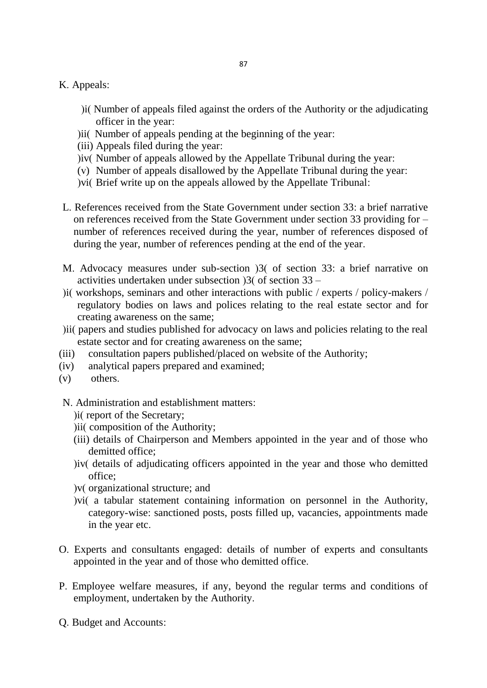- K. Appeals:
	- ) i(Number of appeals filed against the orders of the Authority or the adjudicating officer in the year:
	- )ii( Number of appeals pending at the beginning of the year:
	- (iii) Appeals filed during the year:
	- ) iv( Number of appeals allowed by the Appellate Tribunal during the year:
	- (v) Number of appeals disallowed by the Appellate Tribunal during the year:
	- ) vi( Brief write up on the appeals allowed by the Appellate Tribunal:
- L. References received from the State Government under section 33: a brief narrative on references received from the State Government under section 33 providing for – number of references received during the year, number of references disposed of during the year, number of references pending at the end of the year.
- M. Advocacy measures under sub-section  $\overline{3}$  of section 33: a brief narrative on activities undertaken under subsection  $\frac{33 - 1}{2}$
- ) i(workshops, seminars and other interactions with public / experts / policy-makers / regulatory bodies on laws and polices relating to the real estate sector and for creating awareness on the same;
- ) iii papers and studies published for advocacy on laws and policies relating to the real estate sector and for creating awareness on the same;
- (iii) consultation papers published/placed on website of the Authority;
- (iv) analytical papers prepared and examined;
- (v) others.
- N. Administration and establishment matters:
	- ) i(report of the Secretary;
	- )ii( composition of the Authority;
	- (iii) details of Chairperson and Members appointed in the year and of those who demitted office;
	- )iv( details of adjudicating officers appointed in the year and those who demitted office;
	- ) v(organizational structure; and
	- ) vi( a tabular statement containing information on personnel in the Authority, category-wise: sanctioned posts, posts filled up, vacancies, appointments made in the year etc.
- O. Experts and consultants engaged: details of number of experts and consultants appointed in the year and of those who demitted office.
- P. Employee welfare measures, if any, beyond the regular terms and conditions of employment, undertaken by the Authority.
- Q. Budget and Accounts: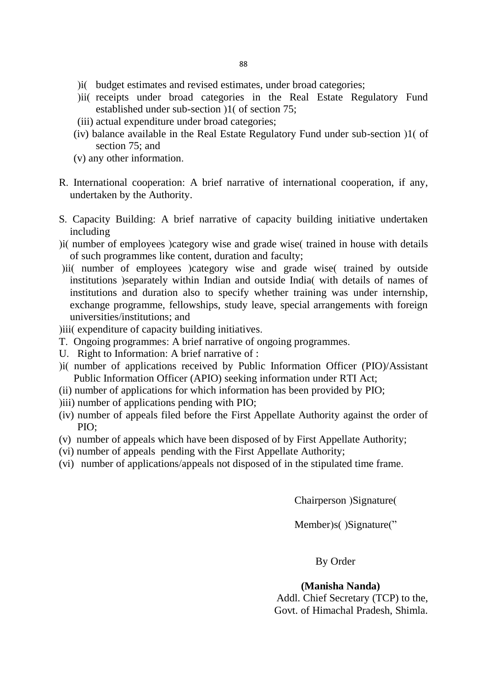- ) i(budget estimates and revised estimates, under broad categories;
- (ii) receipts under broad categories in the Real Estate Regulatory Fund established under sub-section  $(1)$  of section 75;
- (iii) actual expenditure under broad categories;
- (iv) balance available in the Real Estate Regulatory Fund under sub-section  $1$  (of section 75; and
- (v) any other information.
- R. International cooperation: A brief narrative of international cooperation, if any, undertaken by the Authority.
- S. Capacity Building: A brief narrative of capacity building initiative undertaken including
- ) i( number of employees ) category wise and grade wise (trained in house with details of such programmes like content, duration and faculty;
- ) ii( number of employees ) category wise and grade wise (trained by outside institutions (separately within Indian and outside India) with details of names of institutions and duration also to specify whether training was under internship, exchange programme, fellowships, study leave, special arrangements with foreign universities/institutions; and
- (iii) expenditure of capacity building initiatives.
- T. Ongoing programmes: A brief narrative of ongoing programmes.
- U. Right to Information: A brief narrative of :
- ) i( number of applications received by Public Information Officer (PIO)/Assistant Public Information Officer (APIO) seeking information under RTI Act;
- (ii) number of applications for which information has been provided by PIO;
- (iii) number of applications pending with PIO;
- (iv) number of appeals filed before the First Appellate Authority against the order of PIO;
- (v) number of appeals which have been disposed of by First Appellate Authority;
- (vi) number of appeals pending with the First Appellate Authority;
- (vi) number of applications/appeals not disposed of in the stipulated time frame.

Chairperson (Signature)

Member)s()Signature("

By Order

#### **(Manisha Nanda)**

Addl. Chief Secretary (TCP) to the, Govt. of Himachal Pradesh, Shimla.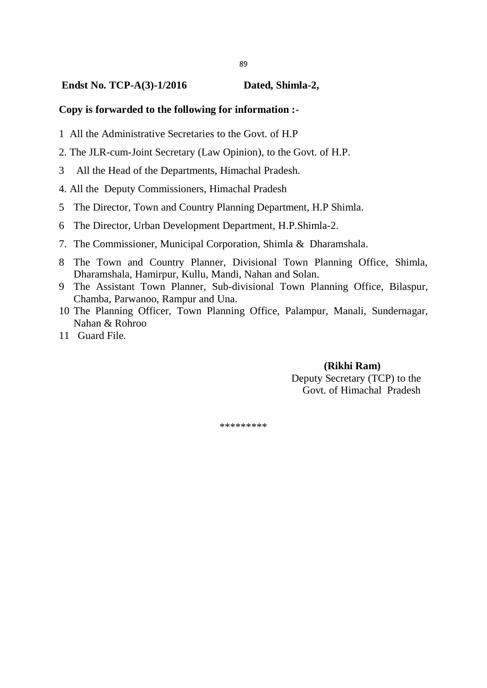#### **Endst No. TCP-A(3)-1/2016 Dated, Shimla-2,**

#### **Copy is forwarded to the following for information :-**

- 1 All the Administrative Secretaries to the Govt. of H.P
- 2. The JLR-cum-Joint Secretary (Law Opinion), to the Govt. of H.P.
- 3 All the Head of the Departments, Himachal Pradesh.
- 4. All the Deputy Commissioners, Himachal Pradesh
- 5 The Director, Town and Country Planning Department, H.P Shimla.
- 6 The Director, Urban Development Department, H.P.Shimla-2.
- 7. The Commissioner, Municipal Corporation, Shimla & Dharamshala.
- 8 The Town and Country Planner, Divisional Town Planning Office, Shimla, Dharamshala, Hamirpur, Kullu, Mandi, Nahan and Solan.
- 9 The Assistant Town Planner, Sub-divisional Town Planning Office, Bilaspur, Chamba, Parwanoo, Rampur and Una.
- 10 The Planning Officer, Town Planning Office, Palampur, Manali, Sundernagar, Nahan & Rohroo
- 11 Guard File.

#### **(Rikhi Ram)** Deputy Secretary (TCP) to the Govt. of Himachal Pradesh

\*\*\*\*\*\*\*\*\*